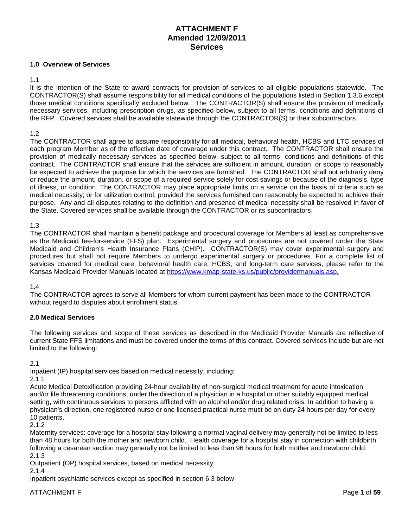# **ATTACHMENT F Amended 12/09/2011 Services**

## **1.0 Overview of Services**

### 1.1

It is the intention of the State to award contracts for provision of services to all eligible populations statewide. The CONTRACTOR(S) shall assume responsibility for all medical conditions of the populations listed in Section 1.3.6 except those medical conditions specifically excluded below. The CONTRACTOR(S) shall ensure the provision of medically necessary services, including prescription drugs, as specified below, subject to all terms, conditions and definitions of the RFP. Covered services shall be available statewide through the CONTRACTOR(S) or their subcontractors.

#### 1.2

The CONTRACTOR shall agree to assume responsibility for all medical, behavioral health, HCBS and LTC services of each program Member as of the effective date of coverage under this contract. The CONTRACTOR shall ensure the provision of medically necessary services as specified below, subject to all terms, conditions and definitions of this contract. The CONTRACTOR shall ensure that the services are sufficient in amount, duration, or scope to reasonably be expected to achieve the purpose for which the services are furnished. The CONTRACTOR shall not arbitrarily deny or reduce the amount, duration, or scope of a required service solely for cost savings or because of the diagnosis, type of illness, or condition. The CONTRACTOR may place appropriate limits on a service on the basis of criteria such as medical necessity; or for utilization control, provided the services furnished can reasonably be expected to achieve their purpose. Any and all disputes relating to the definition and presence of medical necessity shall be resolved in favor of the State. Covered services shall be available through the CONTRACTOR or its subcontractors.

#### 1.3

The CONTRACTOR shall maintain a benefit package and procedural coverage for Members at least as comprehensive as the Medicaid fee-for-service (FFS) plan. Experimental surgery and procedures are not covered under the State Medicaid and Children's Health Insurance Plans (CHIP). CONTRACTOR(S) may cover experimental surgery and procedures but shall not require Members to undergo experimental surgery or procedures. For a complete list of services covered for medical care, behavioral health care, HCBS, and long-term care services, please refer to the Kansas Medicaid Provider Manuals located at [https://www.kmap-state-ks.us/public/providermanuals.asp.](https://www.kmap-state-ks.us/public/providermanuals.asp)

### 1.4

The CONTRACTOR agrees to serve all Members for whom current payment has been made to the CONTRACTOR without regard to disputes about enrollment status.

### **2.0 Medical Services**

The following services and scope of these services as described in the Medicaid Provider Manuals are reflective of current State FFS limitations and must be covered under the terms of this contract. Covered services include but are not limited to the following:

### 2.1

Inpatient (IP) hospital services based on medical necessity, including:

2.1.1

Acute Medical Detoxification providing 24-hour availability of non-surgical medical treatment for acute intoxication and/or life threatening conditions, under the direction of a physician in a hospital or other suitably equipped medical setting, with continuous services to persons afflicted with an alcohol and/or drug related crisis. In addition to having a physician's direction, one registered nurse or one licensed practical nurse must be on duty 24 hours per day for every 10 patients.

2.1.2

Maternity services: coverage for a hospital stay following a normal vaginal delivery may generally not be limited to less than 48 hours for both the mother and newborn child. Health coverage for a hospital stay in connection with childbirth following a cesarean section may generally not be limited to less than 96 hours for both mother and newborn child. 2.1.3

Outpatient (OP) hospital services, based on medical necessity

2.1.4

Inpatient psychiatric services except as specified in section 6.3 below

ATTACHMENT F Page 1 of 59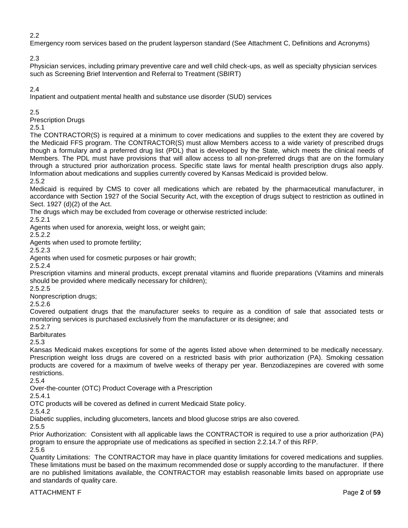# 2.2

Emergency room services based on the prudent layperson standard (See Attachment C, Definitions and Acronyms)

2.3

Physician services, including primary preventive care and well child check-ups, as well as specialty physician services such as Screening Brief Intervention and Referral to Treatment (SBIRT)

# 2.4

Inpatient and outpatient mental health and substance use disorder (SUD) services

# 2.5

Prescription Drugs

# 2.5.1

The CONTRACTOR(S) is required at a minimum to cover medications and supplies to the extent they are covered by the Medicaid FFS program. The CONTRACTOR(S) must allow Members access to a wide variety of prescribed drugs though a formulary and a preferred drug list (PDL) that is developed by the State, which meets the clinical needs of Members. The PDL must have provisions that will allow access to all non-preferred drugs that are on the formulary through a structured prior authorization process. Specific state laws for mental health prescription drugs also apply. Information about medications and supplies currently covered by Kansas Medicaid is provided below.

2.5.2

Medicaid is required by CMS to cover all medications which are rebated by the pharmaceutical manufacturer, in accordance with Section 1927 of the Social Security Act, with the exception of drugs subject to restriction as outlined in Sect. 1927 (d)(2) of the Act.

The drugs which may be excluded from coverage or otherwise restricted include:

2.5.2.1

Agents when used for anorexia, weight loss, or weight gain;

2.5.2.2

Agents when used to promote fertility;

2.5.2.3

Agents when used for cosmetic purposes or hair growth;

2.5.2.4

Prescription vitamins and mineral products, except prenatal vitamins and fluoride preparations (Vitamins and minerals should be provided where medically necessary for children);

2.5.2.5

Nonprescription drugs;

2.5.2.6

Covered outpatient drugs that the manufacturer seeks to require as a condition of sale that associated tests or monitoring services is purchased exclusively from the manufacturer or its designee; and

2.5.2.7

**Barbiturates** 

2.5.3

Kansas Medicaid makes exceptions for some of the agents listed above when determined to be medically necessary. Prescription weight loss drugs are covered on a restricted basis with prior authorization (PA). Smoking cessation products are covered for a maximum of twelve weeks of therapy per year. Benzodiazepines are covered with some restrictions.

2.5.4

Over-the-counter (OTC) Product Coverage with a Prescription

2.5.4.1

OTC products will be covered as defined in current Medicaid State policy.

2.5.4.2

Diabetic supplies, including glucometers, lancets and blood glucose strips are also covered.

2.5.5

Prior Authorization: Consistent with all applicable laws the CONTRACTOR is required to use a prior authorization (PA) program to ensure the appropriate use of medications as specified in section 2.2.14.7 of this RFP. 2.5.6

Quantity Limitations: The CONTRACTOR may have in place quantity limitations for covered medications and supplies. These limitations must be based on the maximum recommended dose or supply according to the manufacturer. If there are no published limitations available, the CONTRACTOR may establish reasonable limits based on appropriate use and standards of quality care.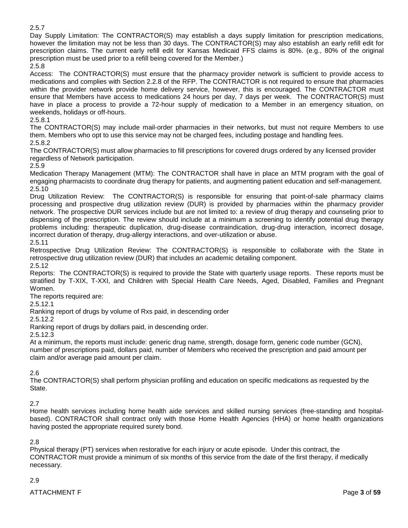2.5.7

Day Supply Limitation: The CONTRACTOR(S) may establish a days supply limitation for prescription medications, however the limitation may not be less than 30 days. The CONTRACTOR(S) may also establish an early refill edit for prescription claims. The current early refill edit for Kansas Medicaid FFS claims is 80%. (e.g., 80% of the original prescription must be used prior to a refill being covered for the Member.)

2.5.8

Access: The CONTRACTOR(S) must ensure that the pharmacy provider network is sufficient to provide access to medications and complies with Section 2.2.8 of the RFP. The CONTRACTOR is not required to ensure that pharmacies within the provider network provide home delivery service, however, this is encouraged. The CONTRACTOR must ensure that Members have access to medications 24 hours per day, 7 days per week. The CONTRACTOR(S) must have in place a process to provide a 72-hour supply of medication to a Member in an emergency situation, on weekends, holidays or off-hours.

2.5.8.1

The CONTRACTOR(S) may include mail-order pharmacies in their networks, but must not require Members to use them. Members who opt to use this service may not be charged fees, including postage and handling fees. 2.5.8.2

The CONTRACTOR(S) must allow pharmacies to fill prescriptions for covered drugs ordered by any licensed provider regardless of Network participation.

2.5.9

Medication Therapy Management (MTM): The CONTRACTOR shall have in place an MTM program with the goal of engaging pharmacists to coordinate drug therapy for patients, and augmenting patient education and self-management. 2.5.10

Drug Utilization Review: The CONTRACTOR(S) is responsible for ensuring that point-of-sale pharmacy claims processing and prospective drug utilization review (DUR) is provided by pharmacies within the pharmacy provider network. The prospective DUR services include but are not limited to: a review of drug therapy and counseling prior to dispensing of the prescription. The review should include at a minimum a screening to identify potential drug therapy problems including: therapeutic duplication, drug-disease contraindication, drug-drug interaction, incorrect dosage, incorrect duration of therapy, drug-allergy interactions, and over-utilization or abuse. 2.5.11

Retrospective Drug Utilization Review: The CONTRACTOR(S) is responsible to collaborate with the State in retrospective drug utilization review (DUR) that includes an academic detailing component. 2.5.12

Reports: The CONTRACTOR(S) is required to provide the State with quarterly usage reports. These reports must be stratified by T-XIX, T-XXI, and Children with Special Health Care Needs, Aged, Disabled, Families and Pregnant Women.

The reports required are:

2.5.12.1

Ranking report of drugs by volume of Rxs paid, in descending order

2.5.12.2

Ranking report of drugs by dollars paid, in descending order.

2.5.12.3

At a minimum, the reports must include: generic drug name, strength, dosage form, generic code number (GCN), number of prescriptions paid, dollars paid, number of Members who received the prescription and paid amount per claim and/or average paid amount per claim.

# 2.6

The CONTRACTOR(S) shall perform physician profiling and education on specific medications as requested by the State.

2.7

Home health services including home health aide services and skilled nursing services (free-standing and hospitalbased). CONTRACTOR shall contract only with those Home Health Agencies (HHA) or home health organizations having posted the appropriate required surety bond.

2.8

Physical therapy (PT) services when restorative for each injury or acute episode. Under this contract, the CONTRACTOR must provide a minimum of six months of this service from the date of the first therapy, if medically necessary.

# 2.9

ATTACHMENT F Page **3** of 59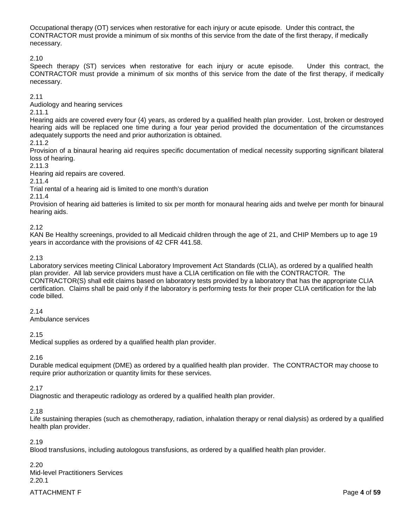Occupational therapy (OT) services when restorative for each injury or acute episode. Under this contract, the CONTRACTOR must provide a minimum of six months of this service from the date of the first therapy, if medically necessary.

2.10

Speech therapy (ST) services when restorative for each injury or acute episode. Under this contract, the CONTRACTOR must provide a minimum of six months of this service from the date of the first therapy, if medically necessary.

2.11

Audiology and hearing services

2.11.1

Hearing aids are covered every four (4) years, as ordered by a qualified health plan provider. Lost, broken or destroyed hearing aids will be replaced one time during a four year period provided the documentation of the circumstances adequately supports the need and prior authorization is obtained.

2.11.2

Provision of a binaural hearing aid requires specific documentation of medical necessity supporting significant bilateral loss of hearing.

2.11.3

Hearing aid repairs are covered.

2.11.4

Trial rental of a hearing aid is limited to one month's duration

2.11.4

Provision of hearing aid batteries is limited to six per month for monaural hearing aids and twelve per month for binaural hearing aids.

2.12

KAN Be Healthy screenings, provided to all Medicaid children through the age of 21, and CHIP Members up to age 19 years in accordance with the provisions of 42 CFR 441.58.

# 2.13

Laboratory services meeting Clinical Laboratory Improvement Act Standards (CLIA), as ordered by a qualified health plan provider. All lab service providers must have a CLIA certification on file with the CONTRACTOR. The CONTRACTOR(S) shall edit claims based on laboratory tests provided by a laboratory that has the appropriate CLIA certification. Claims shall be paid only if the laboratory is performing tests for their proper CLIA certification for the lab code billed.

2.14

Ambulance services

2.15

Medical supplies as ordered by a qualified health plan provider.

2.16

Durable medical equipment (DME) as ordered by a qualified health plan provider. The CONTRACTOR may choose to require prior authorization or quantity limits for these services.

# 2.17

Diagnostic and therapeutic radiology as ordered by a qualified health plan provider.

Life sustaining therapies (such as chemotherapy, radiation, inhalation therapy or renal dialysis) as ordered by a qualified health plan provider.

2.19

Blood transfusions, including autologous transfusions, as ordered by a qualified health plan provider.

2.20 Mid-level Practitioners Services 2.20.1

ATTACHMENT F Page **4** of **59** 

<sup>2.18</sup>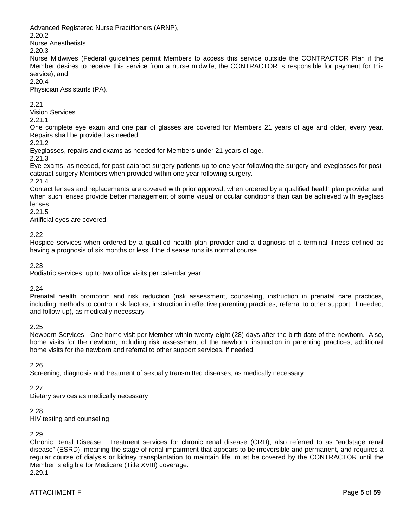Advanced Registered Nurse Practitioners (ARNP),

2.20.2

Nurse Anesthetists,

2.20.3

Nurse Midwives (Federal guidelines permit Members to access this service outside the CONTRACTOR Plan if the Member desires to receive this service from a nurse midwife; the CONTRACTOR is responsible for payment for this service), and

2.20.4

Physician Assistants (PA).

2.21

Vision Services

2.21.1

One complete eye exam and one pair of glasses are covered for Members 21 years of age and older, every year. Repairs shall be provided as needed.

2.21.2

Eyeglasses, repairs and exams as needed for Members under 21 years of age.

2.21.3

Eye exams, as needed, for post-cataract surgery patients up to one year following the surgery and eyeglasses for postcataract surgery Members when provided within one year following surgery.

2.21.4

Contact lenses and replacements are covered with prior approval, when ordered by a qualified health plan provider and when such lenses provide better management of some visual or ocular conditions than can be achieved with eyeglass lenses

2.21.5

Artificial eyes are covered.

2.22

Hospice services when ordered by a qualified health plan provider and a diagnosis of a terminal illness defined as having a prognosis of six months or less if the disease runs its normal course

2.23

Podiatric services; up to two office visits per calendar year

2.24

Prenatal health promotion and risk reduction (risk assessment, counseling, instruction in prenatal care practices, including methods to control risk factors, instruction in effective parenting practices, referral to other support, if needed, and follow-up), as medically necessary

2.25

Newborn Services - One home visit per Member within twenty-eight (28) days after the birth date of the newborn. Also, home visits for the newborn, including risk assessment of the newborn, instruction in parenting practices, additional home visits for the newborn and referral to other support services, if needed.

2.26

Screening, diagnosis and treatment of sexually transmitted diseases, as medically necessary

# 2.27

Dietary services as medically necessary

2.28

HIV testing and counseling

# 2.29

Chronic Renal Disease: Treatment services for chronic renal disease (CRD), also referred to as "endstage renal disease" (ESRD), meaning the stage of renal impairment that appears to be irreversible and permanent, and requires a regular course of dialysis or kidney transplantation to maintain life, must be covered by the CONTRACTOR until the Member is eligible for Medicare (Title XVIII) coverage. 2.29.1

ATTACHMENT F Page **5** of **59**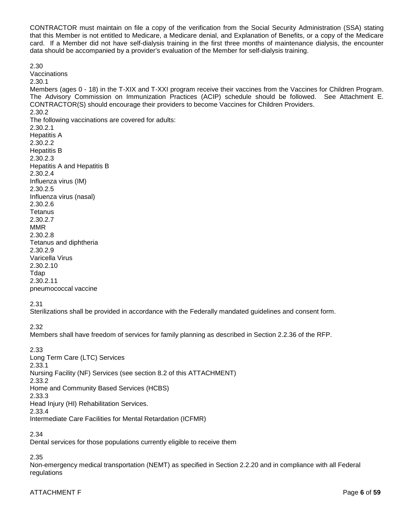CONTRACTOR must maintain on file a copy of the verification from the Social Security Administration (SSA) stating that this Member is not entitled to Medicare, a Medicare denial, and Explanation of Benefits, or a copy of the Medicare card. If a Member did not have self-dialysis training in the first three months of maintenance dialysis, the encounter data should be accompanied by a provider's evaluation of the Member for self-dialysis training.

**Vaccinations** 2.30.1 Members (ages 0 - 18) in the T-XIX and T-XXI program receive their vaccines from the Vaccines for Children Program. The Advisory Commission on Immunization Practices (ACIP) schedule should be followed. See Attachment E. CONTRACTOR(S) should encourage their providers to become Vaccines for Children Providers. 2.30.2 The following vaccinations are covered for adults: 2.30.2.1 Hepatitis A 2.30.2.2 Hepatitis B 2.30.2.3 Hepatitis A and Hepatitis B 2.30.2.4 Influenza virus (IM) 2.30.2.5 Influenza virus (nasal) 2.30.2.6 **Tetanus** 2.30.2.7 MMR 2.30.2.8 Tetanus and diphtheria 2.30.2.9 Varicella Virus 2.30.2.10 Tdap 2.30.2.11 pneumococcal vaccine

2.31

2.30

Sterilizations shall be provided in accordance with the Federally mandated guidelines and consent form.

2.32

Members shall have freedom of services for family planning as described in Section 2.2.36 of the RFP.

2.33 Long Term Care (LTC) Services 2.33.1 Nursing Facility (NF) Services (see section 8.2 of this ATTACHMENT) 2.33.2 Home and Community Based Services (HCBS) 2.33.3 Head Injury (HI) Rehabilitation Services. 2.33.4 Intermediate Care Facilities for Mental Retardation (ICFMR)

2.34

Dental services for those populations currently eligible to receive them

2.35

Non-emergency medical transportation (NEMT) as specified in Section 2.2.20 and in compliance with all Federal regulations

# ATTACHMENT F Page **6** of **59**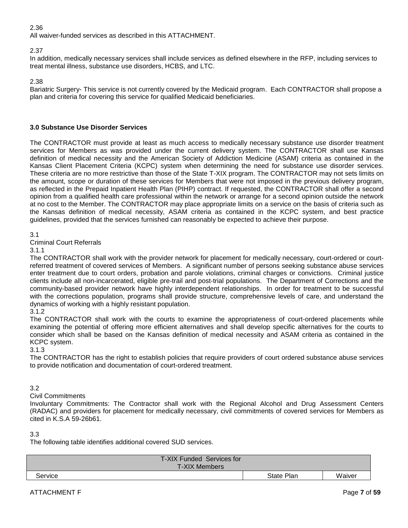# 2.36

All waiver-funded services as described in this ATTACHMENT.

# 2.37

In addition, medically necessary services shall include services as defined elsewhere in the RFP, including services to treat mental illness, substance use disorders, HCBS, and LTC.

2.38

Bariatric Surgery- This service is not currently covered by the Medicaid program. Each CONTRACTOR shall propose a plan and criteria for covering this service for qualified Medicaid beneficiaries.

### **3.0 Substance Use Disorder Services**

The CONTRACTOR must provide at least as much access to medically necessary substance use disorder treatment services for Members as was provided under the current delivery system. The CONTRACTOR shall use Kansas definition of medical necessity and the American Society of Addiction Medicine (ASAM) criteria as contained in the Kansas Client Placement Criteria (KCPC) system when determining the need for substance use disorder services. These criteria are no more restrictive than those of the State T-XIX program. The CONTRACTOR may not sets limits on the amount, scope or duration of these services for Members that were not imposed in the previous delivery program, as reflected in the Prepaid Inpatient Health Plan (PIHP) contract. If requested, the CONTRACTOR shall offer a second opinion from a qualified health care professional within the network or arrange for a second opinion outside the network at no cost to the Member. The CONTRACTOR may place appropriate limits on a service on the basis of criteria such as the Kansas definition of medical necessity, ASAM criteria as contained in the KCPC system, and best practice guidelines, provided that the services furnished can reasonably be expected to achieve their purpose.

### 3.1

Criminal Court Referrals

#### 3.1.1

The CONTRACTOR shall work with the provider network for placement for medically necessary, court-ordered or courtreferred treatment of covered services of Members. A significant number of persons seeking substance abuse services enter treatment due to court orders, probation and parole violations, criminal charges or convictions. Criminal justice clients include all non-incarcerated, eligible pre-trail and post-trial populations. The Department of Corrections and the community-based provider network have highly interdependent relationships. In order for treatment to be successful with the corrections population, programs shall provide structure, comprehensive levels of care, and understand the dynamics of working with a highly resistant population.

### 3.1.2

The CONTRACTOR shall work with the courts to examine the appropriateness of court-ordered placements while examining the potential of offering more efficient alternatives and shall develop specific alternatives for the courts to consider which shall be based on the Kansas definition of medical necessity and ASAM criteria as contained in the KCPC system.

### 3.1.3

The CONTRACTOR has the right to establish policies that require providers of court ordered substance abuse services to provide notification and documentation of court-ordered treatment.

### 3.2

Civil Commitments

Involuntary Commitments: The Contractor shall work with the Regional Alcohol and Drug Assessment Centers (RADAC) and providers for placement for medically necessary, civil commitments of covered services for Members as cited in K.S.A 59-26b61.

### 3.3

The following table identifies additional covered SUD services.

| T-XIX Funded Services for<br><b>T-XIX Members</b> |            |        |
|---------------------------------------------------|------------|--------|
| Service                                           | State Plan | Waiver |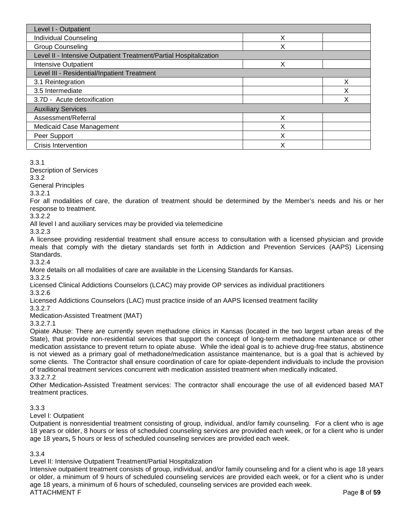| Level I - Outpatient                                              |   |   |  |  |  |
|-------------------------------------------------------------------|---|---|--|--|--|
| <b>Individual Counseling</b>                                      | Χ |   |  |  |  |
| <b>Group Counseling</b>                                           | Χ |   |  |  |  |
| Level II - Intensive Outpatient Treatment/Partial Hospitalization |   |   |  |  |  |
| <b>Intensive Outpatient</b>                                       | x |   |  |  |  |
| Level III - Residential/Inpatient Treatment                       |   |   |  |  |  |
| 3.1 Reintegration                                                 |   | Χ |  |  |  |
| 3.5 Intermediate                                                  |   | Χ |  |  |  |
| 3.7D - Acute detoxification                                       |   | Χ |  |  |  |
| <b>Auxiliary Services</b>                                         |   |   |  |  |  |
| Assessment/Referral                                               | x |   |  |  |  |
| <b>Medicaid Case Management</b>                                   | X |   |  |  |  |
| Peer Support                                                      | X |   |  |  |  |
| <b>Crisis Intervention</b>                                        | Χ |   |  |  |  |

3.3.1

Description of Services

3.3.2

General Principles

3.3.2.1

For all modalities of care, the duration of treatment should be determined by the Member's needs and his or her response to treatment.

3.3.2.2

All level I and auxiliary services may be provided via telemedicine

3.3.2.3

A licensee providing residential treatment shall ensure access to consultation with a licensed physician and provide meals that comply with the dietary standards set forth in Addiction and Prevention Services (AAPS) Licensing Standards.

3.3.2.4

More details on all modalities of care are available in the Licensing Standards for Kansas.

3.3.2.5

Licensed Clinical Addictions Counselors (LCAC) may provide OP services as individual practitioners 3.3.2.6

Licensed Addictions Counselors (LAC) must practice inside of an AAPS licensed treatment facility

3.3.2.7 Medication-Assisted Treatment (MAT)

3.3.2.7.1

Opiate Abuse: There are currently seven methadone clinics in Kansas (located in the two largest urban areas of the State), that provide non-residential services that support the concept of long-term methadone maintenance or other medication assistance to prevent return to opiate abuse. While the ideal goal is to achieve drug-free status, abstinence is not viewed as a primary goal of methadone/medication assistance maintenance, but is a goal that is achieved by some clients. The Contractor shall ensure coordination of care for opiate-dependent individuals to include the provision of traditional treatment services concurrent with medication assisted treatment when medically indicated. 3.3.2.7.2

Other Medication-Assisted Treatment services: The contractor shall encourage the use of all evidenced based MAT treatment practices.

# 3.3.3

Level I: Outpatient

Outpatient is nonresidential treatment consisting of group, individual, and/or family counseling. For a client who is age 18 years or older, 8 hours or less of scheduled counseling services are provided each week, or for a client who is under age 18 years**,** 5 hours or less of scheduled counseling services are provided each week.

# 3.3.4

Level II: Intensive Outpatient Treatment/Partial Hospitalization

ATTACHMENT F Page **8** of **59** Intensive outpatient treatment consists of group, individual, and/or family counseling and for a client who is age 18 years or older, a minimum of 9 hours of scheduled counseling services are provided each week, or for a client who is under age 18 years, a minimum of 6 hours of scheduled, counseling services are provided each week.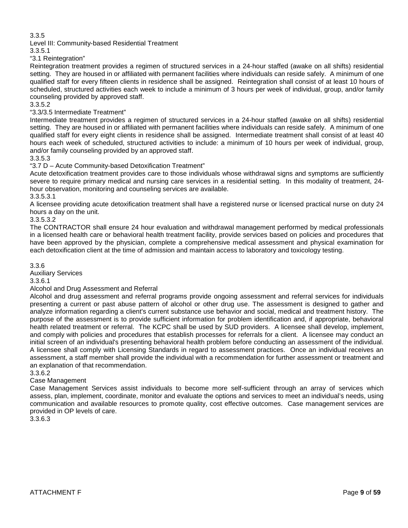3.3.5

Level III: Community-based Residential Treatment

3.3.5.1

"3.1 Reintegration"

Reintegration treatment provides a regimen of structured services in a 24-hour staffed (awake on all shifts) residential setting. They are housed in or affiliated with permanent facilities where individuals can reside safely. A minimum of one qualified staff for every fifteen clients in residence shall be assigned. Reintegration shall consist of at least 10 hours of scheduled, structured activities each week to include a minimum of 3 hours per week of individual, group, and/or family counseling provided by approved staff.

3.3.5.2

# "3.3/3.5 Intermediate Treatment"

Intermediate treatment provides a regimen of structured services in a 24-hour staffed (awake on all shifts) residential setting. They are housed in or affiliated with permanent facilities where individuals can reside safely. A minimum of one qualified staff for every eight clients in residence shall be assigned. Intermediate treatment shall consist of at least 40 hours each week of scheduled, structured activities to include: a minimum of 10 hours per week of individual, group, and/or family counseling provided by an approved staff.

### 3.3.5.3

"3.7 D – Acute Community-based Detoxification Treatment"

Acute detoxification treatment provides care to those individuals whose withdrawal signs and symptoms are sufficiently severe to require primary medical and nursing care services in a residential setting. In this modality of treatment, 24 hour observation, monitoring and counseling services are available.

3.3.5.3.1

A licensee providing acute detoxification treatment shall have a registered nurse or licensed practical nurse on duty 24 hours a day on the unit.

3.3.5.3.2

The CONTRACTOR shall ensure 24 hour evaluation and withdrawal management performed by medical professionals in a licensed health care or behavioral health treatment facility, provide services based on policies and procedures that have been approved by the physician, complete a comprehensive medical assessment and physical examination for each detoxification client at the time of admission and maintain access to laboratory and toxicology testing.

### 3.3.6

Auxiliary Services

# 3.3.6.1

# Alcohol and Drug Assessment and Referral

Alcohol and drug assessment and referral programs provide ongoing assessment and referral services for individuals presenting a current or past abuse pattern of alcohol or other drug use. The assessment is designed to gather and analyze information regarding a client's current substance use behavior and social, medical and treatment history. The purpose of the assessment is to provide sufficient information for problem identification and, if appropriate, behavioral health related treatment or referral. The KCPC shall be used by SUD providers. A licensee shall develop, implement, and comply with policies and procedures that establish processes for referrals for a client. A licensee may conduct an initial screen of an individual's presenting behavioral health problem before conducting an assessment of the individual. A licensee shall comply with Licensing Standards in regard to assessment practices. Once an individual receives an assessment, a staff member shall provide the individual with a recommendation for further assessment or treatment and an explanation of that recommendation.

## 3.3.6.2

# Case Management

Case Management Services assist individuals to become more self-sufficient through an array of services which assess, plan, implement, coordinate, monitor and evaluate the options and services to meet an individual's needs, using communication and available resources to promote quality, cost effective outcomes. Case management services are provided in OP levels of care.

3.3.6.3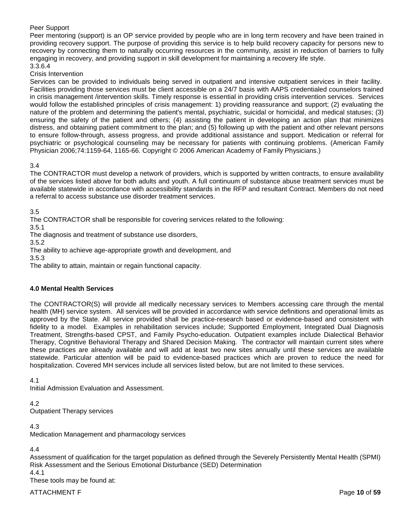### Peer Support

Peer mentoring (support) is an OP service provided by people who are in long term recovery and have been trained in providing recovery support. The purpose of providing this service is to help build recovery capacity for persons new to recovery by connecting them to naturally occurring resources in the community, assist in reduction of barriers to fully engaging in recovery, and providing support in skill development for maintaining a recovery life style.

# 3.3.6.4

Crisis Intervention

Services can be provided to individuals being served in outpatient and intensive outpatient services in their facility. Facilities providing those services must be client accessible on a 24/7 basis with AAPS credentialed counselors trained in crisis management /intervention skills. Timely response is essential in providing crisis intervention services. Services would follow the established principles of crisis management: 1) providing reassurance and support; (2) evaluating the nature of the problem and determining the patient's mental, psychiatric, suicidal or homicidal, and medical statuses; (3) ensuring the safety of the patient and others; (4) assisting the patient in developing an action plan that minimizes distress, and obtaining patient commitment to the plan; and (5) following up with the patient and other relevant persons to ensure follow-through, assess progress, and provide additional assistance and support. Medication or referral for psychiatric or psychological counseling may be necessary for patients with continuing problems. (American Family Physician 2006;74:1159-64, 1165-66. Copyright © 2006 American Academy of Family Physicians.)

### 3.4

The CONTRACTOR must develop a network of providers, which is supported by written contracts, to ensure availability of the services listed above for both adults and youth. A full continuum of substance abuse treatment services must be available statewide in accordance with accessibility standards in the RFP and resultant Contract. Members do not need a referral to access substance use disorder treatment services.

3.5

The CONTRACTOR shall be responsible for covering services related to the following:

3.5.1

The diagnosis and treatment of substance use disorders,

3.5.2

The ability to achieve age-appropriate growth and development, and

3.5.3

The ability to attain, maintain or regain functional capacity.

### **4.0 Mental Health Services**

The CONTRACTOR(S) will provide all medically necessary services to Members accessing care through the mental health (MH) service system. All services will be provided in accordance with service definitions and operational limits as approved by the State. All service provided shall be practice-research based or evidence-based and consistent with fidelity to a model. Examples in rehabilitation services include; Supported Employment, Integrated Dual Diagnosis Treatment, Strengths-based CPST, and Family Psycho-education. Outpatient examples include Dialectical Behavior Therapy, Cognitive Behavioral Therapy and Shared Decision Making. The contractor will maintain current sites where these practices are already available and will add at least two new sites annually until these services are available statewide. Particular attention will be paid to evidence-based practices which are proven to reduce the need for hospitalization. Covered MH services include all services listed below, but are not limited to these services.

4.1

Initial Admission Evaluation and Assessment.

4.2 Outpatient Therapy services

4.3

Medication Management and pharmacology services

4.4

Assessment of qualification for the target population as defined through the Severely Persistently Mental Health (SPMI) Risk Assessment and the Serious Emotional Disturbance (SED) Determination

4.4.1

These tools may be found at:

ATTACHMENT F Page **10** of **59**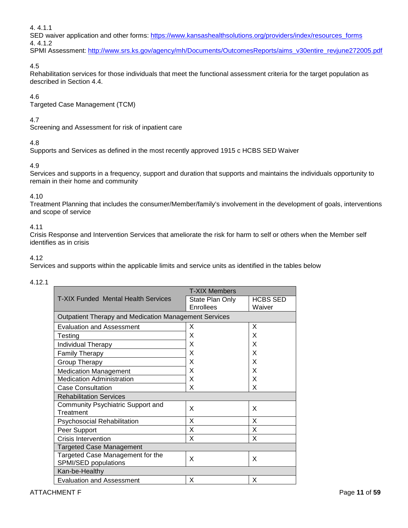4. 4.1.1

SED waiver application and other forms: [https://www.kansashealthsolutions.org/providers/index/resources\\_forms](https://www.kansashealthsolutions.org/providers/index/resources_forms) 4. 4.1.2

SPMI Assessment: [http://www.srs.ks.gov/agency/mh/Documents/OutcomesReports/aims\\_v30entire\\_revjune272005.pdf](http://www.srs.ks.gov/agency/mh/Documents/OutcomesReports/aims_v30entire_revjune272005.pdf)

# 4.5

Rehabilitation services for those individuals that meet the functional assessment criteria for the target population as described in Section 4.4.

# 4.6

Targeted Case Management (TCM)

# 4.7

Screening and Assessment for risk of inpatient care

# 4.8

Supports and Services as defined in the most recently approved 1915 c HCBS SED Waiver

# 4.9

Services and supports in a frequency, support and duration that supports and maintains the individuals opportunity to remain in their home and community

# 4.10

Treatment Planning that includes the consumer/Member/family's involvement in the development of goals, interventions and scope of service

# 4.11

Crisis Response and Intervention Services that ameliorate the risk for harm to self or others when the Member self identifies as in crisis

# 4.12

Services and supports within the applicable limits and service units as identified in the tables below

# 4.12.1

|                                                              | <b>T-XIX Members</b> |                 |  |  |
|--------------------------------------------------------------|----------------------|-----------------|--|--|
| <b>T-XIX Funded Mental Health Services</b>                   | State Plan Only      | <b>HCBS SED</b> |  |  |
|                                                              | Enrollees            | Waiver          |  |  |
| <b>Outpatient Therapy and Medication Management Services</b> |                      |                 |  |  |
| <b>Evaluation and Assessment</b>                             | X                    | X               |  |  |
| Testing                                                      | X                    | X               |  |  |
| Individual Therapy                                           | X                    | X               |  |  |
| <b>Family Therapy</b>                                        | X                    | X               |  |  |
| Group Therapy                                                | X                    | X               |  |  |
| <b>Medication Management</b>                                 | X                    | X               |  |  |
| <b>Medication Administration</b>                             | X                    | X               |  |  |
| <b>Case Consultation</b>                                     | X                    | X               |  |  |
| <b>Rehabilitation Services</b>                               |                      |                 |  |  |
| Community Psychiatric Support and<br>Treatment               | X                    | X               |  |  |
| <b>Psychosocial Rehabilitation</b>                           | X                    | X               |  |  |
| Peer Support                                                 | X                    | X               |  |  |
| <b>Crisis Intervention</b>                                   | X                    | X               |  |  |
| <b>Targeted Case Management</b>                              |                      |                 |  |  |
| Targeted Case Management for the<br>SPMI/SED populations     | X                    | X               |  |  |
| Kan-be-Healthy                                               |                      |                 |  |  |
| <b>Evaluation and Assessment</b>                             | Х                    | X               |  |  |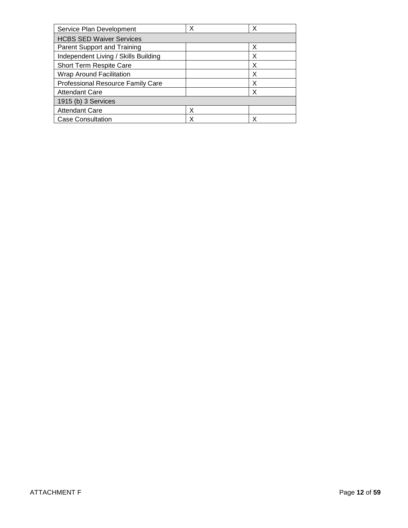| Service Plan Development                 | х | Х |
|------------------------------------------|---|---|
| <b>HCBS SED Waiver Services</b>          |   |   |
| Parent Support and Training              |   | X |
| Independent Living / Skills Building     |   | Х |
| Short Term Respite Care                  |   | х |
| <b>Wrap Around Facilitation</b>          |   | Χ |
| <b>Professional Resource Family Care</b> |   | Х |
| <b>Attendant Care</b>                    |   | x |
| 1915 (b) 3 Services                      |   |   |
| <b>Attendant Care</b>                    | х |   |
| <b>Case Consultation</b>                 | X | x |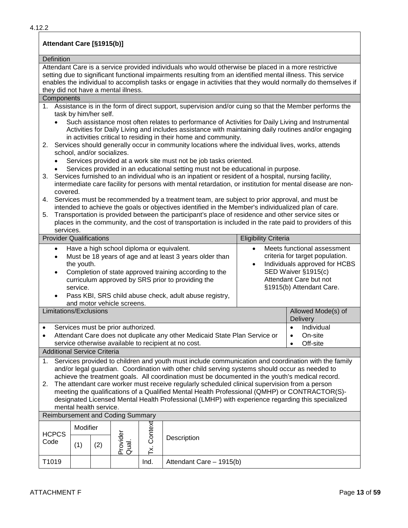# **Attendant Care [§1915(b)]**

#### **Definition**

Attendant Care is a service provided individuals who would otherwise be placed in a more restrictive setting due to significant functional impairments resulting from an identified mental illness. This service enables the individual to accomplish tasks or engage in activities that they would normally do themselves if they did not have a mental illness.

### **Components**

- 1. Assistance is in the form of direct support, supervision and/or cuing so that the Member performs the task by him/her self.
	- Such assistance most often relates to performance of Activities for Daily Living and Instrumental Activities for Daily Living and includes assistance with maintaining daily routines and/or engaging in activities critical to residing in their home and community.
- 2. Services should generally occur in community locations where the individual lives, works, attends school, and/or socializes.
	- Services provided at a work site must not be job tasks oriented.
	- Services provided in an educational setting must not be educational in purpose.
- 3. Services furnished to an individual who is an inpatient or resident of a hospital, nursing facility, intermediate care facility for persons with mental retardation, or institution for mental disease are noncovered.
- 4. Services must be recommended by a treatment team, are subject to prior approval, and must be intended to achieve the goals or objectives identified in the Member's individualized plan of care.
- 5. Transportation is provided between the participant's place of residence and other service sites or places in the community, and the cost of transportation is included in the rate paid to providers of this services.

| <b>Provider Qualifications</b>                                                                                                                                                                                                                                                                                                                                  |                                                                                                                                                                                                                                                                                                                                                                                                                                                                                                                                                                                                                                          |  |  |      |                          | <b>Eligibility Criteria</b>                                                                                                                                                  |                                |
|-----------------------------------------------------------------------------------------------------------------------------------------------------------------------------------------------------------------------------------------------------------------------------------------------------------------------------------------------------------------|------------------------------------------------------------------------------------------------------------------------------------------------------------------------------------------------------------------------------------------------------------------------------------------------------------------------------------------------------------------------------------------------------------------------------------------------------------------------------------------------------------------------------------------------------------------------------------------------------------------------------------------|--|--|------|--------------------------|------------------------------------------------------------------------------------------------------------------------------------------------------------------------------|--------------------------------|
| Have a high school diploma or equivalent.<br>$\bullet$<br>Must be 18 years of age and at least 3 years older than<br>the youth.<br>Completion of state approved training according to the<br>$\bullet$<br>curriculum approved by SRS prior to providing the<br>service.<br>Pass KBI, SRS child abuse check, adult abuse registry,<br>and motor vehicle screens. |                                                                                                                                                                                                                                                                                                                                                                                                                                                                                                                                                                                                                                          |  |  |      | $\bullet$<br>$\bullet$   | Meets functional assessment<br>criteria for target population.<br>Individuals approved for HCBS<br>SED Waiver §1915(c)<br>Attendant Care but not<br>§1915(b) Attendant Care. |                                |
| Limitations/Exclusions                                                                                                                                                                                                                                                                                                                                          |                                                                                                                                                                                                                                                                                                                                                                                                                                                                                                                                                                                                                                          |  |  |      |                          |                                                                                                                                                                              | Allowed Mode(s) of<br>Delivery |
|                                                                                                                                                                                                                                                                                                                                                                 | Services must be prior authorized.<br>Individual<br>$\bullet$<br>Attendant Care does not duplicate any other Medicaid State Plan Service or<br>On-site<br>$\bullet$<br>service otherwise available to recipient at no cost.<br>Off-site<br>$\bullet$<br><b>Additional Service Criteria</b>                                                                                                                                                                                                                                                                                                                                               |  |  |      |                          |                                                                                                                                                                              |                                |
| 1.<br>2.                                                                                                                                                                                                                                                                                                                                                        | Services provided to children and youth must include communication and coordination with the family<br>and/or legal guardian. Coordination with other child serving systems should occur as needed to<br>achieve the treatment goals. All coordination must be documented in the youth's medical record.<br>The attendant care worker must receive regularly scheduled clinical supervision from a person<br>meeting the qualifications of a Qualified Mental Health Professional (QMHP) or CONTRACTOR(S)-<br>designated Licensed Mental Health Professional (LMHP) with experience regarding this specialized<br>mental health service. |  |  |      |                          |                                                                                                                                                                              |                                |
| <b>Reimbursement and Coding Summary</b>                                                                                                                                                                                                                                                                                                                         |                                                                                                                                                                                                                                                                                                                                                                                                                                                                                                                                                                                                                                          |  |  |      |                          |                                                                                                                                                                              |                                |
| <b>HCPCS</b><br>Code                                                                                                                                                                                                                                                                                                                                            | Context<br>Modifier<br>Provider<br>Qual.<br>Description<br>(1)<br>(2)<br>≚                                                                                                                                                                                                                                                                                                                                                                                                                                                                                                                                                               |  |  |      |                          |                                                                                                                                                                              |                                |
| T1019                                                                                                                                                                                                                                                                                                                                                           |                                                                                                                                                                                                                                                                                                                                                                                                                                                                                                                                                                                                                                          |  |  | Ind. | Attendant Care - 1915(b) |                                                                                                                                                                              |                                |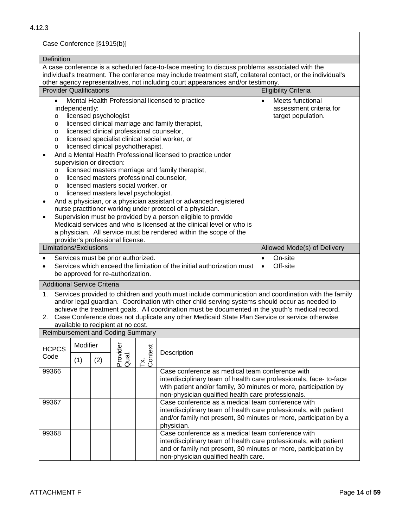Case Conference [§1915(b)]

| Definition                                                                                                                                                                                                                                                                                                                                                                                                                                                                                                                                                                                                                                                                                                                                                                                                                                                                                                                                                                                                                                                                                                                                                                                |                                                                                                                                                                                                                                   |                                                                                                                                                                                                           |                                    |                |                                                                                                                                                                                                                                                                                                                                                                                                           |                             |  |  |  |
|-------------------------------------------------------------------------------------------------------------------------------------------------------------------------------------------------------------------------------------------------------------------------------------------------------------------------------------------------------------------------------------------------------------------------------------------------------------------------------------------------------------------------------------------------------------------------------------------------------------------------------------------------------------------------------------------------------------------------------------------------------------------------------------------------------------------------------------------------------------------------------------------------------------------------------------------------------------------------------------------------------------------------------------------------------------------------------------------------------------------------------------------------------------------------------------------|-----------------------------------------------------------------------------------------------------------------------------------------------------------------------------------------------------------------------------------|-----------------------------------------------------------------------------------------------------------------------------------------------------------------------------------------------------------|------------------------------------|----------------|-----------------------------------------------------------------------------------------------------------------------------------------------------------------------------------------------------------------------------------------------------------------------------------------------------------------------------------------------------------------------------------------------------------|-----------------------------|--|--|--|
| A case conference is a scheduled face-to-face meeting to discuss problems associated with the<br>individual's treatment. The conference may include treatment staff, collateral contact, or the individual's<br>other agency representatives, not including court appearances and/or testimony.                                                                                                                                                                                                                                                                                                                                                                                                                                                                                                                                                                                                                                                                                                                                                                                                                                                                                           |                                                                                                                                                                                                                                   |                                                                                                                                                                                                           |                                    |                |                                                                                                                                                                                                                                                                                                                                                                                                           |                             |  |  |  |
|                                                                                                                                                                                                                                                                                                                                                                                                                                                                                                                                                                                                                                                                                                                                                                                                                                                                                                                                                                                                                                                                                                                                                                                           |                                                                                                                                                                                                                                   |                                                                                                                                                                                                           |                                    |                |                                                                                                                                                                                                                                                                                                                                                                                                           | <b>Eligibility Criteria</b> |  |  |  |
| <b>Provider Qualifications</b><br>Meets functional<br>Mental Health Professional licensed to practice<br>$\bullet$<br>$\bullet$<br>independently:<br>assessment criteria for<br>licensed psychologist<br>target population.<br>$\circ$<br>licensed clinical marriage and family therapist,<br>$\circ$<br>licensed clinical professional counselor,<br>$\circ$<br>licensed specialist clinical social worker, or<br>$\circ$<br>licensed clinical psychotherapist.<br>$\circ$<br>And a Mental Health Professional licensed to practice under<br>supervision or direction:<br>licensed masters marriage and family therapist,<br>O<br>licensed masters professional counselor,<br>O<br>licensed masters social worker, or<br>$\circ$<br>licensed masters level psychologist.<br>$\circ$<br>And a physician, or a physician assistant or advanced registered<br>٠<br>nurse practitioner working under protocol of a physician.<br>Supervision must be provided by a person eligible to provide<br>$\bullet$<br>Medicaid services and who is licensed at the clinical level or who is<br>a physician. All service must be rendered within the scope of the<br>provider's professional license. |                                                                                                                                                                                                                                   |                                                                                                                                                                                                           |                                    |                |                                                                                                                                                                                                                                                                                                                                                                                                           |                             |  |  |  |
| Limitations/Exclusions                                                                                                                                                                                                                                                                                                                                                                                                                                                                                                                                                                                                                                                                                                                                                                                                                                                                                                                                                                                                                                                                                                                                                                    |                                                                                                                                                                                                                                   |                                                                                                                                                                                                           |                                    |                |                                                                                                                                                                                                                                                                                                                                                                                                           | Allowed Mode(s) of Delivery |  |  |  |
| Services must be prior authorized.<br>$\bullet$<br>Services which exceed the limitation of the initial authorization must<br>be approved for re-authorization.                                                                                                                                                                                                                                                                                                                                                                                                                                                                                                                                                                                                                                                                                                                                                                                                                                                                                                                                                                                                                            |                                                                                                                                                                                                                                   |                                                                                                                                                                                                           |                                    |                | On-site<br>$\bullet$<br>Off-site<br>$\bullet$                                                                                                                                                                                                                                                                                                                                                             |                             |  |  |  |
| <b>Additional Service Criteria</b>                                                                                                                                                                                                                                                                                                                                                                                                                                                                                                                                                                                                                                                                                                                                                                                                                                                                                                                                                                                                                                                                                                                                                        |                                                                                                                                                                                                                                   |                                                                                                                                                                                                           |                                    |                |                                                                                                                                                                                                                                                                                                                                                                                                           |                             |  |  |  |
| 1.<br>2.                                                                                                                                                                                                                                                                                                                                                                                                                                                                                                                                                                                                                                                                                                                                                                                                                                                                                                                                                                                                                                                                                                                                                                                  |                                                                                                                                                                                                                                   |                                                                                                                                                                                                           | available to recipient at no cost. |                | Services provided to children and youth must include communication and coordination with the family<br>and/or legal guardian. Coordination with other child serving systems should occur as needed to<br>achieve the treatment goals. All coordination must be documented in the youth's medical record.<br>Case Conference does not duplicate any other Medicaid State Plan Service or service otherwise |                             |  |  |  |
| <b>Reimbursement and Coding Summary</b>                                                                                                                                                                                                                                                                                                                                                                                                                                                                                                                                                                                                                                                                                                                                                                                                                                                                                                                                                                                                                                                                                                                                                   |                                                                                                                                                                                                                                   |                                                                                                                                                                                                           |                                    |                |                                                                                                                                                                                                                                                                                                                                                                                                           |                             |  |  |  |
| <b>HCPCS</b><br>Code                                                                                                                                                                                                                                                                                                                                                                                                                                                                                                                                                                                                                                                                                                                                                                                                                                                                                                                                                                                                                                                                                                                                                                      | Modifier<br>(1)                                                                                                                                                                                                                   | (2)                                                                                                                                                                                                       | Provider<br>Qual.                  | Tx.<br>Context | Description                                                                                                                                                                                                                                                                                                                                                                                               |                             |  |  |  |
| 99366                                                                                                                                                                                                                                                                                                                                                                                                                                                                                                                                                                                                                                                                                                                                                                                                                                                                                                                                                                                                                                                                                                                                                                                     |                                                                                                                                                                                                                                   |                                                                                                                                                                                                           |                                    |                | Case conference as medical team conference with<br>interdisciplinary team of health care professionals, face-to-face<br>with patient and/or family, 30 minutes or more, participation by<br>non-physician qualified health care professionals.                                                                                                                                                            |                             |  |  |  |
| 99367                                                                                                                                                                                                                                                                                                                                                                                                                                                                                                                                                                                                                                                                                                                                                                                                                                                                                                                                                                                                                                                                                                                                                                                     |                                                                                                                                                                                                                                   | Case conference as a medical team conference with<br>interdisciplinary team of health care professionals, with patient<br>and/or family not present, 30 minutes or more, participation by a<br>physician. |                                    |                |                                                                                                                                                                                                                                                                                                                                                                                                           |                             |  |  |  |
| 99368                                                                                                                                                                                                                                                                                                                                                                                                                                                                                                                                                                                                                                                                                                                                                                                                                                                                                                                                                                                                                                                                                                                                                                                     | Case conference as a medical team conference with<br>interdisciplinary team of health care professionals, with patient<br>and or family not present, 30 minutes or more, participation by<br>non-physician qualified health care. |                                                                                                                                                                                                           |                                    |                |                                                                                                                                                                                                                                                                                                                                                                                                           |                             |  |  |  |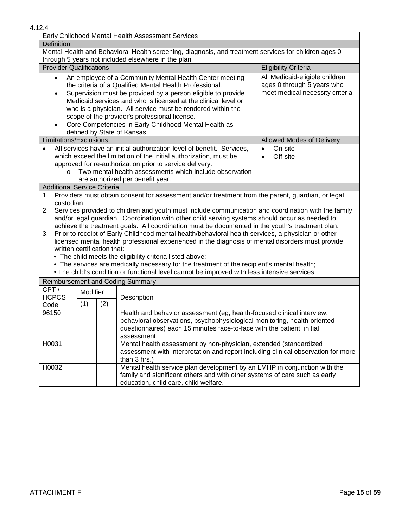|                                |                                                                                                                                                                                                                                                                                                                                                                                                                                                                                                                                                                                                                                                                                                                                                                                                                                                                                                                                 | Early Childhood Mental Health Assessment Services                                                                                                           |                             |  |  |  |  |  |
|--------------------------------|---------------------------------------------------------------------------------------------------------------------------------------------------------------------------------------------------------------------------------------------------------------------------------------------------------------------------------------------------------------------------------------------------------------------------------------------------------------------------------------------------------------------------------------------------------------------------------------------------------------------------------------------------------------------------------------------------------------------------------------------------------------------------------------------------------------------------------------------------------------------------------------------------------------------------------|-------------------------------------------------------------------------------------------------------------------------------------------------------------|-----------------------------|--|--|--|--|--|
| <b>Definition</b>              |                                                                                                                                                                                                                                                                                                                                                                                                                                                                                                                                                                                                                                                                                                                                                                                                                                                                                                                                 |                                                                                                                                                             |                             |  |  |  |  |  |
|                                |                                                                                                                                                                                                                                                                                                                                                                                                                                                                                                                                                                                                                                                                                                                                                                                                                                                                                                                                 | Mental Health and Behavioral Health screening, diagnosis, and treatment services for children ages 0<br>through 5 years not included elsewhere in the plan. |                             |  |  |  |  |  |
| <b>Provider Qualifications</b> |                                                                                                                                                                                                                                                                                                                                                                                                                                                                                                                                                                                                                                                                                                                                                                                                                                                                                                                                 |                                                                                                                                                             | <b>Eligibility Criteria</b> |  |  |  |  |  |
| $\bullet$<br>$\bullet$         | All Medicaid-eligible children<br>An employee of a Community Mental Health Center meeting<br>the criteria of a Qualified Mental Health Professional.<br>ages 0 through 5 years who<br>meet medical necessity criteria.<br>Supervision must be provided by a person eligible to provide<br>Medicaid services and who is licensed at the clinical level or<br>who is a physician. All service must be rendered within the<br>scope of the provider's professional license.<br>Core Competencies in Early Childhood Mental Health as<br>defined by State of Kansas.                                                                                                                                                                                                                                                                                                                                                                |                                                                                                                                                             |                             |  |  |  |  |  |
| Limitations/Exclusions         |                                                                                                                                                                                                                                                                                                                                                                                                                                                                                                                                                                                                                                                                                                                                                                                                                                                                                                                                 |                                                                                                                                                             | Allowed Modes of Delivery   |  |  |  |  |  |
| $\Omega$                       | All services have an initial authorization level of benefit. Services,<br>On-site<br>$\bullet$<br>which exceed the limitation of the initial authorization, must be<br>Off-site<br>$\bullet$<br>approved for re-authorization prior to service delivery.<br>Two mental health assessments which include observation<br>are authorized per benefit year.                                                                                                                                                                                                                                                                                                                                                                                                                                                                                                                                                                         |                                                                                                                                                             |                             |  |  |  |  |  |
|                                | <b>Additional Service Criteria</b>                                                                                                                                                                                                                                                                                                                                                                                                                                                                                                                                                                                                                                                                                                                                                                                                                                                                                              |                                                                                                                                                             |                             |  |  |  |  |  |
| $1_{\cdot}$<br>2.<br>3.        | Providers must obtain consent for assessment and/or treatment from the parent, guardian, or legal<br>custodian.<br>Services provided to children and youth must include communication and coordination with the family<br>and/or legal guardian. Coordination with other child serving systems should occur as needed to<br>achieve the treatment goals. All coordination must be documented in the youth's treatment plan.<br>Prior to receipt of Early Childhood mental health/behavioral health services, a physician or other<br>licensed mental health professional experienced in the diagnosis of mental disorders must provide<br>written certification that:<br>• The child meets the eligibility criteria listed above;<br>• The services are medically necessary for the treatment of the recipient's mental health;<br>. The child's condition or functional level cannot be improved with less intensive services. |                                                                                                                                                             |                             |  |  |  |  |  |
|                                |                                                                                                                                                                                                                                                                                                                                                                                                                                                                                                                                                                                                                                                                                                                                                                                                                                                                                                                                 |                                                                                                                                                             |                             |  |  |  |  |  |
| CPT/<br><b>HCPCS</b><br>Code   | <b>Reimbursement and Coding Summary</b><br>Modifier<br>Description<br>(1)<br>(2)                                                                                                                                                                                                                                                                                                                                                                                                                                                                                                                                                                                                                                                                                                                                                                                                                                                |                                                                                                                                                             |                             |  |  |  |  |  |
| 96150                          | Health and behavior assessment (eg, health-focused clinical interview,<br>behavioral observations, psychophysiological monitoring, health-oriented<br>questionnaires) each 15 minutes face-to-face with the patient; initial<br>assessment.                                                                                                                                                                                                                                                                                                                                                                                                                                                                                                                                                                                                                                                                                     |                                                                                                                                                             |                             |  |  |  |  |  |
| H0031                          | Mental health assessment by non-physician, extended (standardized<br>assessment with interpretation and report including clinical observation for more<br>than 3 hrs.)                                                                                                                                                                                                                                                                                                                                                                                                                                                                                                                                                                                                                                                                                                                                                          |                                                                                                                                                             |                             |  |  |  |  |  |
| H0032                          | Mental health service plan development by an LMHP in conjunction with the<br>family and significant others and with other systems of care such as early<br>education, child care, child welfare.                                                                                                                                                                                                                                                                                                                                                                                                                                                                                                                                                                                                                                                                                                                                |                                                                                                                                                             |                             |  |  |  |  |  |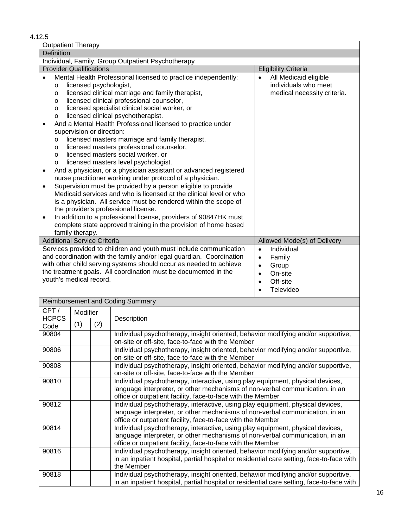# 4.12.5

| <b>Outpatient Therapy</b>                                                                                                                                                                                                                                                                                                                                                                                                                                                                                                                                                                                                                                                                                                                                                                                                                                                                                                                                                                                                                                                                                                                                                                                                                                                                                                                                      |                                                                                                                                                                                                                                                                                                                                                                                                                                                      |     |                                                                                                                                                                                              |                             |  |  |
|----------------------------------------------------------------------------------------------------------------------------------------------------------------------------------------------------------------------------------------------------------------------------------------------------------------------------------------------------------------------------------------------------------------------------------------------------------------------------------------------------------------------------------------------------------------------------------------------------------------------------------------------------------------------------------------------------------------------------------------------------------------------------------------------------------------------------------------------------------------------------------------------------------------------------------------------------------------------------------------------------------------------------------------------------------------------------------------------------------------------------------------------------------------------------------------------------------------------------------------------------------------------------------------------------------------------------------------------------------------|------------------------------------------------------------------------------------------------------------------------------------------------------------------------------------------------------------------------------------------------------------------------------------------------------------------------------------------------------------------------------------------------------------------------------------------------------|-----|----------------------------------------------------------------------------------------------------------------------------------------------------------------------------------------------|-----------------------------|--|--|
| <b>Definition</b>                                                                                                                                                                                                                                                                                                                                                                                                                                                                                                                                                                                                                                                                                                                                                                                                                                                                                                                                                                                                                                                                                                                                                                                                                                                                                                                                              |                                                                                                                                                                                                                                                                                                                                                                                                                                                      |     |                                                                                                                                                                                              |                             |  |  |
|                                                                                                                                                                                                                                                                                                                                                                                                                                                                                                                                                                                                                                                                                                                                                                                                                                                                                                                                                                                                                                                                                                                                                                                                                                                                                                                                                                |                                                                                                                                                                                                                                                                                                                                                                                                                                                      |     | Individual, Family, Group Outpatient Psychotherapy                                                                                                                                           |                             |  |  |
|                                                                                                                                                                                                                                                                                                                                                                                                                                                                                                                                                                                                                                                                                                                                                                                                                                                                                                                                                                                                                                                                                                                                                                                                                                                                                                                                                                |                                                                                                                                                                                                                                                                                                                                                                                                                                                      |     |                                                                                                                                                                                              | <b>Eligibility Criteria</b> |  |  |
| <b>Provider Qualifications</b><br>All Medicaid eligible<br>Mental Health Professional licensed to practice independently:<br>$\bullet$<br>individuals who meet<br>licensed psychologist,<br>O<br>licensed clinical marriage and family therapist,<br>medical necessity criteria.<br>O<br>licensed clinical professional counselor,<br>$\circ$<br>licensed specialist clinical social worker, or<br>$\circ$<br>licensed clinical psychotherapist.<br>$\circ$<br>And a Mental Health Professional licensed to practice under<br>$\bullet$<br>supervision or direction:<br>licensed masters marriage and family therapist,<br>$\circ$<br>licensed masters professional counselor,<br>$\circ$<br>licensed masters social worker, or<br>$\circ$<br>licensed masters level psychologist.<br>$\circ$<br>And a physician, or a physician assistant or advanced registered<br>$\bullet$<br>nurse practitioner working under protocol of a physician.<br>Supervision must be provided by a person eligible to provide<br>$\bullet$<br>Medicaid services and who is licensed at the clinical level or who<br>is a physician. All service must be rendered within the scope of<br>the provider's professional license.<br>In addition to a professional license, providers of 90847HK must<br>$\bullet$<br>complete state approved training in the provision of home based |                                                                                                                                                                                                                                                                                                                                                                                                                                                      |     |                                                                                                                                                                                              |                             |  |  |
|                                                                                                                                                                                                                                                                                                                                                                                                                                                                                                                                                                                                                                                                                                                                                                                                                                                                                                                                                                                                                                                                                                                                                                                                                                                                                                                                                                | family therapy.                                                                                                                                                                                                                                                                                                                                                                                                                                      |     |                                                                                                                                                                                              |                             |  |  |
| <b>Additional Service Criteria</b>                                                                                                                                                                                                                                                                                                                                                                                                                                                                                                                                                                                                                                                                                                                                                                                                                                                                                                                                                                                                                                                                                                                                                                                                                                                                                                                             |                                                                                                                                                                                                                                                                                                                                                                                                                                                      |     |                                                                                                                                                                                              | Allowed Mode(s) of Delivery |  |  |
|                                                                                                                                                                                                                                                                                                                                                                                                                                                                                                                                                                                                                                                                                                                                                                                                                                                                                                                                                                                                                                                                                                                                                                                                                                                                                                                                                                | Services provided to children and youth must include communication<br>Individual<br>$\bullet$<br>and coordination with the family and/or legal guardian. Coordination<br>Family<br>$\bullet$<br>with other child serving systems should occur as needed to achieve<br>Group<br>$\bullet$<br>the treatment goals. All coordination must be documented in the<br>On-site<br>$\bullet$<br>youth's medical record.<br>Off-site<br>$\bullet$<br>Televideo |     |                                                                                                                                                                                              |                             |  |  |
|                                                                                                                                                                                                                                                                                                                                                                                                                                                                                                                                                                                                                                                                                                                                                                                                                                                                                                                                                                                                                                                                                                                                                                                                                                                                                                                                                                |                                                                                                                                                                                                                                                                                                                                                                                                                                                      |     | Reimbursement and Coding Summary                                                                                                                                                             |                             |  |  |
| CPT/<br><b>HCPCS</b><br>Code                                                                                                                                                                                                                                                                                                                                                                                                                                                                                                                                                                                                                                                                                                                                                                                                                                                                                                                                                                                                                                                                                                                                                                                                                                                                                                                                   | Modifier<br>(1)                                                                                                                                                                                                                                                                                                                                                                                                                                      | (2) | Description                                                                                                                                                                                  |                             |  |  |
| 90804                                                                                                                                                                                                                                                                                                                                                                                                                                                                                                                                                                                                                                                                                                                                                                                                                                                                                                                                                                                                                                                                                                                                                                                                                                                                                                                                                          |                                                                                                                                                                                                                                                                                                                                                                                                                                                      |     | Individual psychotherapy, insight oriented, behavior modifying and/or supportive,                                                                                                            |                             |  |  |
|                                                                                                                                                                                                                                                                                                                                                                                                                                                                                                                                                                                                                                                                                                                                                                                                                                                                                                                                                                                                                                                                                                                                                                                                                                                                                                                                                                |                                                                                                                                                                                                                                                                                                                                                                                                                                                      |     | on-site or off-site, face-to-face with the Member                                                                                                                                            |                             |  |  |
| 90806                                                                                                                                                                                                                                                                                                                                                                                                                                                                                                                                                                                                                                                                                                                                                                                                                                                                                                                                                                                                                                                                                                                                                                                                                                                                                                                                                          |                                                                                                                                                                                                                                                                                                                                                                                                                                                      |     | Individual psychotherapy, insight oriented, behavior modifying and/or supportive,<br>on-site or off-site, face-to-face with the Member                                                       |                             |  |  |
| 90808                                                                                                                                                                                                                                                                                                                                                                                                                                                                                                                                                                                                                                                                                                                                                                                                                                                                                                                                                                                                                                                                                                                                                                                                                                                                                                                                                          |                                                                                                                                                                                                                                                                                                                                                                                                                                                      |     | Individual psychotherapy, insight oriented, behavior modifying and/or supportive,<br>on-site or off-site, face-to-face with the Member                                                       |                             |  |  |
|                                                                                                                                                                                                                                                                                                                                                                                                                                                                                                                                                                                                                                                                                                                                                                                                                                                                                                                                                                                                                                                                                                                                                                                                                                                                                                                                                                | Individual psychotherapy, interactive, using play equipment, physical devices,<br>90810<br>language interpreter, or other mechanisms of non-verbal communication, in an<br>office or outpatient facility, face-to-face with the Member                                                                                                                                                                                                               |     |                                                                                                                                                                                              |                             |  |  |
| 90812                                                                                                                                                                                                                                                                                                                                                                                                                                                                                                                                                                                                                                                                                                                                                                                                                                                                                                                                                                                                                                                                                                                                                                                                                                                                                                                                                          | Individual psychotherapy, interactive, using play equipment, physical devices,<br>language interpreter, or other mechanisms of non-verbal communication, in an<br>office or outpatient facility, face-to-face with the Member                                                                                                                                                                                                                        |     |                                                                                                                                                                                              |                             |  |  |
|                                                                                                                                                                                                                                                                                                                                                                                                                                                                                                                                                                                                                                                                                                                                                                                                                                                                                                                                                                                                                                                                                                                                                                                                                                                                                                                                                                | Individual psychotherapy, interactive, using play equipment, physical devices,<br>90814<br>language interpreter, or other mechanisms of non-verbal communication, in an<br>office or outpatient facility, face-to-face with the Member                                                                                                                                                                                                               |     |                                                                                                                                                                                              |                             |  |  |
| 90816                                                                                                                                                                                                                                                                                                                                                                                                                                                                                                                                                                                                                                                                                                                                                                                                                                                                                                                                                                                                                                                                                                                                                                                                                                                                                                                                                          |                                                                                                                                                                                                                                                                                                                                                                                                                                                      |     | Individual psychotherapy, insight oriented, behavior modifying and/or supportive,<br>in an inpatient hospital, partial hospital or residential care setting, face-to-face with<br>the Member |                             |  |  |
| 90818                                                                                                                                                                                                                                                                                                                                                                                                                                                                                                                                                                                                                                                                                                                                                                                                                                                                                                                                                                                                                                                                                                                                                                                                                                                                                                                                                          |                                                                                                                                                                                                                                                                                                                                                                                                                                                      |     | Individual psychotherapy, insight oriented, behavior modifying and/or supportive,<br>in an inpatient hospital, partial hospital or residential care setting, face-to-face with               |                             |  |  |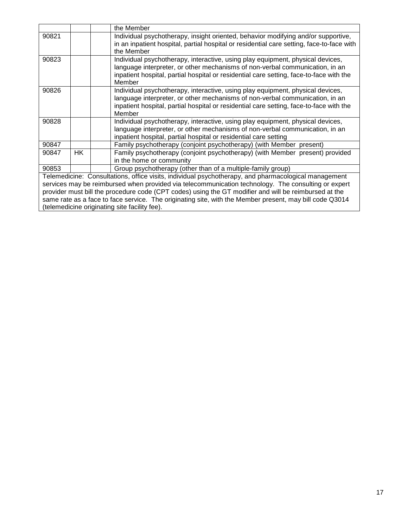|       |     | the Member                                                                                                                                                                     |
|-------|-----|--------------------------------------------------------------------------------------------------------------------------------------------------------------------------------|
| 90821 |     | Individual psychotherapy, insight oriented, behavior modifying and/or supportive,<br>in an inpatient hospital, partial hospital or residential care setting, face-to-face with |
|       |     | the Member                                                                                                                                                                     |
| 90823 |     | Individual psychotherapy, interactive, using play equipment, physical devices,                                                                                                 |
|       |     | language interpreter, or other mechanisms of non-verbal communication, in an<br>inpatient hospital, partial hospital or residential care setting, face-to-face with the        |
|       |     | Member                                                                                                                                                                         |
| 90826 |     | Individual psychotherapy, interactive, using play equipment, physical devices,                                                                                                 |
|       |     | language interpreter, or other mechanisms of non-verbal communication, in an<br>inpatient hospital, partial hospital or residential care setting, face-to-face with the        |
|       |     | Member                                                                                                                                                                         |
| 90828 |     | Individual psychotherapy, interactive, using play equipment, physical devices,                                                                                                 |
|       |     | language interpreter, or other mechanisms of non-verbal communication, in an                                                                                                   |
| 90847 |     | inpatient hospital, partial hospital or residential care setting                                                                                                               |
|       | HK. | Family psychotherapy (conjoint psychotherapy) (with Member present)                                                                                                            |
| 90847 |     | Family psychotherapy (conjoint psychotherapy) (with Member present) provided<br>in the home or community                                                                       |
| 90853 |     | Group psychotherapy (other than of a multiple-family group)                                                                                                                    |
|       |     | Telemedicine: Consultations, office visits, individual psychotherapy, and pharmacological management                                                                           |
|       |     | services may be reimbursed when provided via telecommunication technology. The consulting or expert                                                                            |
|       |     | provider must bill the procedure code (CPT codes) using the GT modifier and will be reimbursed at the                                                                          |
|       |     | same rate as a face to face service. The originating site, with the Member present, may bill code Q3014                                                                        |
|       |     | (telemedicine originating site facility fee).                                                                                                                                  |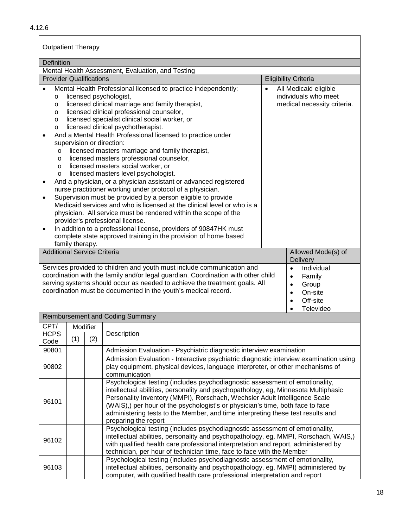| <b>Outpatient Therapy</b>                                                                                                                                                                                                                                                                                                                                                                                                                                                                                                                                                                                                                                                                                                                                                                                                                                                                                                                                                                                                                                                                                                                                                                                                                                                                                       |                                                                                                                                                                                                                                                                                                                                     |                                                                                                                                                 |  |  |  |  |  |
|-----------------------------------------------------------------------------------------------------------------------------------------------------------------------------------------------------------------------------------------------------------------------------------------------------------------------------------------------------------------------------------------------------------------------------------------------------------------------------------------------------------------------------------------------------------------------------------------------------------------------------------------------------------------------------------------------------------------------------------------------------------------------------------------------------------------------------------------------------------------------------------------------------------------------------------------------------------------------------------------------------------------------------------------------------------------------------------------------------------------------------------------------------------------------------------------------------------------------------------------------------------------------------------------------------------------|-------------------------------------------------------------------------------------------------------------------------------------------------------------------------------------------------------------------------------------------------------------------------------------------------------------------------------------|-------------------------------------------------------------------------------------------------------------------------------------------------|--|--|--|--|--|
| Definition                                                                                                                                                                                                                                                                                                                                                                                                                                                                                                                                                                                                                                                                                                                                                                                                                                                                                                                                                                                                                                                                                                                                                                                                                                                                                                      |                                                                                                                                                                                                                                                                                                                                     |                                                                                                                                                 |  |  |  |  |  |
|                                                                                                                                                                                                                                                                                                                                                                                                                                                                                                                                                                                                                                                                                                                                                                                                                                                                                                                                                                                                                                                                                                                                                                                                                                                                                                                 | Mental Health Assessment, Evaluation, and Testing                                                                                                                                                                                                                                                                                   |                                                                                                                                                 |  |  |  |  |  |
| <b>Provider Qualifications</b>                                                                                                                                                                                                                                                                                                                                                                                                                                                                                                                                                                                                                                                                                                                                                                                                                                                                                                                                                                                                                                                                                                                                                                                                                                                                                  |                                                                                                                                                                                                                                                                                                                                     | <b>Eligibility Criteria</b>                                                                                                                     |  |  |  |  |  |
| All Medicaid eligible<br>Mental Health Professional licensed to practice independently:<br>$\bullet$<br>individuals who meet<br>licensed psychologist,<br>$\circ$<br>licensed clinical marriage and family therapist,<br>medical necessity criteria.<br>O<br>licensed clinical professional counselor,<br>O<br>licensed specialist clinical social worker, or<br>$\circ$<br>licensed clinical psychotherapist.<br>$\circ$<br>And a Mental Health Professional licensed to practice under<br>$\bullet$<br>supervision or direction:<br>licensed masters marriage and family therapist,<br>O<br>licensed masters professional counselor,<br>$\circ$<br>licensed masters social worker, or<br>$\circ$<br>licensed masters level psychologist.<br>$\circ$<br>And a physician, or a physician assistant or advanced registered<br>nurse practitioner working under protocol of a physician.<br>Supervision must be provided by a person eligible to provide<br>Medicaid services and who is licensed at the clinical level or who is a<br>physician. All service must be rendered within the scope of the<br>provider's professional license.<br>In addition to a professional license, providers of 90847HK must<br>$\bullet$<br>complete state approved training in the provision of home based<br>family therapy. |                                                                                                                                                                                                                                                                                                                                     |                                                                                                                                                 |  |  |  |  |  |
| <b>Additional Service Criteria</b>                                                                                                                                                                                                                                                                                                                                                                                                                                                                                                                                                                                                                                                                                                                                                                                                                                                                                                                                                                                                                                                                                                                                                                                                                                                                              |                                                                                                                                                                                                                                                                                                                                     | Allowed Mode(s) of<br>Delivery                                                                                                                  |  |  |  |  |  |
|                                                                                                                                                                                                                                                                                                                                                                                                                                                                                                                                                                                                                                                                                                                                                                                                                                                                                                                                                                                                                                                                                                                                                                                                                                                                                                                 | Services provided to children and youth must include communication and<br>coordination with the family and/or legal guardian. Coordination with other child<br>serving systems should occur as needed to achieve the treatment goals. All<br>coordination must be documented in the youth's medical record.                         | Individual<br>$\bullet$<br>Family<br>$\bullet$<br>Group<br>$\bullet$<br>On-site<br>$\bullet$<br>Off-site<br>$\bullet$<br>Televideo<br>$\bullet$ |  |  |  |  |  |
|                                                                                                                                                                                                                                                                                                                                                                                                                                                                                                                                                                                                                                                                                                                                                                                                                                                                                                                                                                                                                                                                                                                                                                                                                                                                                                                 | <b>Reimbursement and Coding Summary</b>                                                                                                                                                                                                                                                                                             |                                                                                                                                                 |  |  |  |  |  |
| CPT/<br>Modifier<br><b>HCPS</b><br>(1)<br>Code                                                                                                                                                                                                                                                                                                                                                                                                                                                                                                                                                                                                                                                                                                                                                                                                                                                                                                                                                                                                                                                                                                                                                                                                                                                                  | Description<br>(2)                                                                                                                                                                                                                                                                                                                  |                                                                                                                                                 |  |  |  |  |  |
| 90801                                                                                                                                                                                                                                                                                                                                                                                                                                                                                                                                                                                                                                                                                                                                                                                                                                                                                                                                                                                                                                                                                                                                                                                                                                                                                                           | Admission Evaluation - Psychiatric diagnostic interview examination                                                                                                                                                                                                                                                                 |                                                                                                                                                 |  |  |  |  |  |
| 90802                                                                                                                                                                                                                                                                                                                                                                                                                                                                                                                                                                                                                                                                                                                                                                                                                                                                                                                                                                                                                                                                                                                                                                                                                                                                                                           | Admission Evaluation - Interactive psychiatric diagnostic interview examination using<br>play equipment, physical devices, language interpreter, or other mechanisms of<br>communication                                                                                                                                            |                                                                                                                                                 |  |  |  |  |  |
| Psychological testing (includes psychodiagnostic assessment of emotionality,<br>intellectual abilities, personality and psychopathology, eg, Minnesota Multiphasic<br>Personality Inventory (MMPI), Rorschach, Wechsler Adult Intelligence Scale<br>96101<br>(WAIS),) per hour of the psychologist's or physician's time, both face to face<br>administering tests to the Member, and time interpreting these test results and<br>preparing the report                                                                                                                                                                                                                                                                                                                                                                                                                                                                                                                                                                                                                                                                                                                                                                                                                                                          |                                                                                                                                                                                                                                                                                                                                     |                                                                                                                                                 |  |  |  |  |  |
| 96102                                                                                                                                                                                                                                                                                                                                                                                                                                                                                                                                                                                                                                                                                                                                                                                                                                                                                                                                                                                                                                                                                                                                                                                                                                                                                                           | Psychological testing (includes psychodiagnostic assessment of emotionality,<br>intellectual abilities, personality and psychopathology, eg, MMPI, Rorschach, WAIS,)<br>with qualified health care professional interpretation and report, administered by<br>technician, per hour of technician time, face to face with the Member |                                                                                                                                                 |  |  |  |  |  |
| 96103                                                                                                                                                                                                                                                                                                                                                                                                                                                                                                                                                                                                                                                                                                                                                                                                                                                                                                                                                                                                                                                                                                                                                                                                                                                                                                           | Psychological testing (includes psychodiagnostic assessment of emotionality,<br>intellectual abilities, personality and psychopathology, eg, MMPI) administered by<br>computer, with qualified health care professional interpretation and report                                                                                   |                                                                                                                                                 |  |  |  |  |  |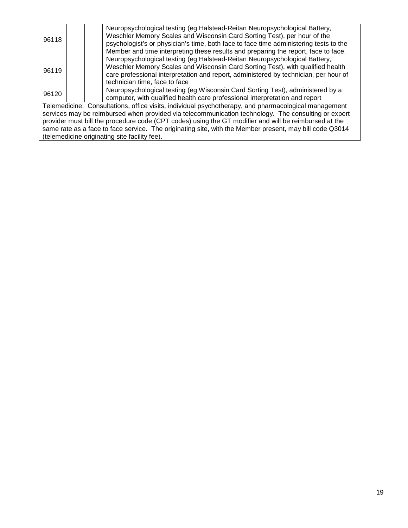| 96118                                                                                                 |                                                                                                     |  | Neuropsychological testing (eg Halstead-Reitan Neuropsychological Battery,<br>Weschler Memory Scales and Wisconsin Card Sorting Test), per hour of the<br>psychologist's or physician's time, both face to face time administering tests to the<br>Member and time interpreting these results and preparing the report, face to face. |  |  |
|-------------------------------------------------------------------------------------------------------|-----------------------------------------------------------------------------------------------------|--|---------------------------------------------------------------------------------------------------------------------------------------------------------------------------------------------------------------------------------------------------------------------------------------------------------------------------------------|--|--|
| 96119                                                                                                 |                                                                                                     |  | Neuropsychological testing (eg Halstead-Reitan Neuropsychological Battery,<br>Weschler Memory Scales and Wisconsin Card Sorting Test), with qualified health<br>care professional interpretation and report, administered by technician, per hour of<br>technician time, face to face                                                 |  |  |
| 96120                                                                                                 |                                                                                                     |  | Neuropsychological testing (eg Wisconsin Card Sorting Test), administered by a<br>computer, with qualified health care professional interpretation and report                                                                                                                                                                         |  |  |
|                                                                                                       |                                                                                                     |  | Telemedicine: Consultations, office visits, individual psychotherapy, and pharmacological management                                                                                                                                                                                                                                  |  |  |
|                                                                                                       | services may be reimbursed when provided via telecommunication technology. The consulting or expert |  |                                                                                                                                                                                                                                                                                                                                       |  |  |
| provider must bill the procedure code (CPT codes) using the GT modifier and will be reimbursed at the |                                                                                                     |  |                                                                                                                                                                                                                                                                                                                                       |  |  |
|                                                                                                       |                                                                                                     |  | same rate as a face to face service. The originating site, with the Member present, may bill code Q3014                                                                                                                                                                                                                               |  |  |
|                                                                                                       |                                                                                                     |  | (telemedicine originating site facility fee).                                                                                                                                                                                                                                                                                         |  |  |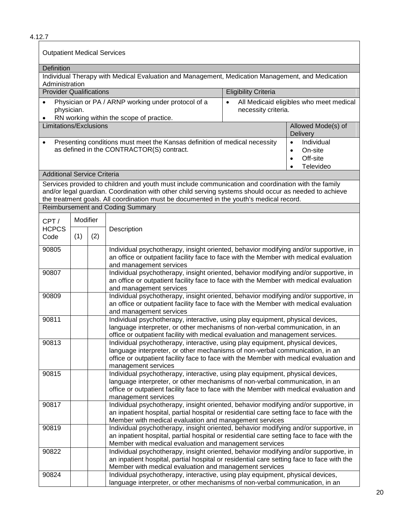|                                    | <b>Outpatient Medical Services</b>                                                                                                                                                                                                                                                                                                                                |     |                                                                                                                                                                                                                                                                                                          |                                  |                                                                                       |  |
|------------------------------------|-------------------------------------------------------------------------------------------------------------------------------------------------------------------------------------------------------------------------------------------------------------------------------------------------------------------------------------------------------------------|-----|----------------------------------------------------------------------------------------------------------------------------------------------------------------------------------------------------------------------------------------------------------------------------------------------------------|----------------------------------|---------------------------------------------------------------------------------------|--|
| Definition                         |                                                                                                                                                                                                                                                                                                                                                                   |     |                                                                                                                                                                                                                                                                                                          |                                  |                                                                                       |  |
| Administration                     |                                                                                                                                                                                                                                                                                                                                                                   |     | Individual Therapy with Medical Evaluation and Management, Medication Management, and Medication                                                                                                                                                                                                         |                                  |                                                                                       |  |
| <b>Provider Qualifications</b>     |                                                                                                                                                                                                                                                                                                                                                                   |     |                                                                                                                                                                                                                                                                                                          | <b>Eligibility Criteria</b>      |                                                                                       |  |
| $\bullet$<br>physician.            |                                                                                                                                                                                                                                                                                                                                                                   |     | Physician or PA / ARNP working under protocol of a<br>RN working within the scope of practice.                                                                                                                                                                                                           | $\bullet$<br>necessity criteria. | All Medicaid eligibles who meet medical                                               |  |
| Limitations/Exclusions             |                                                                                                                                                                                                                                                                                                                                                                   |     |                                                                                                                                                                                                                                                                                                          |                                  | Allowed Mode(s) of<br><b>Delivery</b>                                                 |  |
| $\bullet$                          |                                                                                                                                                                                                                                                                                                                                                                   |     | Presenting conditions must meet the Kansas definition of medical necessity<br>as defined in the CONTRACTOR(S) contract.                                                                                                                                                                                  |                                  | $\bullet$<br>Individual<br>On-site<br>$\bullet$<br>Off-site<br>$\bullet$<br>Televideo |  |
| <b>Additional Service Criteria</b> |                                                                                                                                                                                                                                                                                                                                                                   |     |                                                                                                                                                                                                                                                                                                          |                                  |                                                                                       |  |
|                                    |                                                                                                                                                                                                                                                                                                                                                                   |     | Services provided to children and youth must include communication and coordination with the family<br>and/or legal guardian. Coordination with other child serving systems should occur as needed to achieve<br>the treatment goals. All coordination must be documented in the youth's medical record. |                                  |                                                                                       |  |
|                                    |                                                                                                                                                                                                                                                                                                                                                                   |     | <b>Reimbursement and Coding Summary</b>                                                                                                                                                                                                                                                                  |                                  |                                                                                       |  |
| CPT/<br><b>HCPCS</b>               | <b>Modifier</b>                                                                                                                                                                                                                                                                                                                                                   |     | Description                                                                                                                                                                                                                                                                                              |                                  |                                                                                       |  |
| Code                               | (1)                                                                                                                                                                                                                                                                                                                                                               | (2) |                                                                                                                                                                                                                                                                                                          |                                  |                                                                                       |  |
| 90805                              |                                                                                                                                                                                                                                                                                                                                                                   |     | Individual psychotherapy, insight oriented, behavior modifying and/or supportive, in<br>an office or outpatient facility face to face with the Member with medical evaluation<br>and management services                                                                                                 |                                  |                                                                                       |  |
| 90807                              |                                                                                                                                                                                                                                                                                                                                                                   |     | Individual psychotherapy, insight oriented, behavior modifying and/or supportive, in<br>an office or outpatient facility face to face with the Member with medical evaluation<br>and management services                                                                                                 |                                  |                                                                                       |  |
| 90809                              |                                                                                                                                                                                                                                                                                                                                                                   |     | Individual psychotherapy, insight oriented, behavior modifying and/or supportive, in<br>an office or outpatient facility face to face with the Member with medical evaluation<br>and management services                                                                                                 |                                  |                                                                                       |  |
| 90811                              |                                                                                                                                                                                                                                                                                                                                                                   |     | Individual psychotherapy, interactive, using play equipment, physical devices,<br>language interpreter, or other mechanisms of non-verbal communication, in an                                                                                                                                           |                                  |                                                                                       |  |
| 90813                              | office or outpatient facility with medical evaluation and management services.<br>Individual psychotherapy, interactive, using play equipment, physical devices,<br>language interpreter, or other mechanisms of non-verbal communication, in an<br>office or outpatient facility face to face with the Member with medical evaluation and<br>management services |     |                                                                                                                                                                                                                                                                                                          |                                  |                                                                                       |  |
| 90815                              | Individual psychotherapy, interactive, using play equipment, physical devices,<br>language interpreter, or other mechanisms of non-verbal communication, in an<br>office or outpatient facility face to face with the Member with medical evaluation and<br>management services                                                                                   |     |                                                                                                                                                                                                                                                                                                          |                                  |                                                                                       |  |
| 90817                              |                                                                                                                                                                                                                                                                                                                                                                   |     | Individual psychotherapy, insight oriented, behavior modifying and/or supportive, in<br>an inpatient hospital, partial hospital or residential care setting face to face with the<br>Member with medical evaluation and management services                                                              |                                  |                                                                                       |  |
| 90819                              | Individual psychotherapy, insight oriented, behavior modifying and/or supportive, in<br>an inpatient hospital, partial hospital or residential care setting face to face with the<br>Member with medical evaluation and management services                                                                                                                       |     |                                                                                                                                                                                                                                                                                                          |                                  |                                                                                       |  |
| 90822                              |                                                                                                                                                                                                                                                                                                                                                                   |     | Individual psychotherapy, insight oriented, behavior modifying and/or supportive, in<br>an inpatient hospital, partial hospital or residential care setting face to face with the<br>Member with medical evaluation and management services                                                              |                                  |                                                                                       |  |
| 90824                              |                                                                                                                                                                                                                                                                                                                                                                   |     | Individual psychotherapy, interactive, using play equipment, physical devices,<br>language interpreter, or other mechanisms of non-verbal communication, in an                                                                                                                                           |                                  |                                                                                       |  |

4.12.7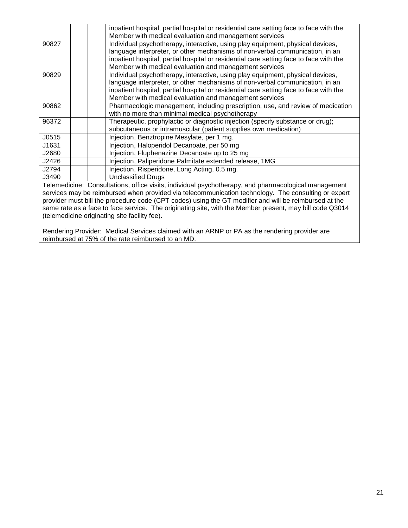|       | inpatient hospital, partial hospital or residential care setting face to face with the                                                                                                                                                                                                                               |
|-------|----------------------------------------------------------------------------------------------------------------------------------------------------------------------------------------------------------------------------------------------------------------------------------------------------------------------|
|       | Member with medical evaluation and management services                                                                                                                                                                                                                                                               |
| 90827 | Individual psychotherapy, interactive, using play equipment, physical devices,<br>language interpreter, or other mechanisms of non-verbal communication, in an<br>inpatient hospital, partial hospital or residential care setting face to face with the<br>Member with medical evaluation and management services   |
| 90829 | Individual psychotherapy, interactive, using play equipment, physical devices,<br>language interpreter, or other mechanisms of non-verbal communication, in an<br>inpatient hospital, partial hospital or residential care setting face to face with the<br>Member with medical evaluation and management services   |
| 90862 | Pharmacologic management, including prescription, use, and review of medication<br>with no more than minimal medical psychotherapy                                                                                                                                                                                   |
| 96372 | Therapeutic, prophylactic or diagnostic injection (specify substance or drug);<br>subcutaneous or intramuscular (patient supplies own medication)                                                                                                                                                                    |
| J0515 | Injection, Benztropine Mesylate, per 1 mg.                                                                                                                                                                                                                                                                           |
| J1631 | Injection, Haloperidol Decanoate, per 50 mg                                                                                                                                                                                                                                                                          |
| J2680 | Injection, Fluphenazine Decanoate up to 25 mg                                                                                                                                                                                                                                                                        |
| J2426 | Injection, Paliperidone Palmitate extended release, 1MG                                                                                                                                                                                                                                                              |
| J2794 | Injection, Risperidone, Long Acting, 0.5 mg.                                                                                                                                                                                                                                                                         |
| J3490 | <b>Unclassified Drugs</b>                                                                                                                                                                                                                                                                                            |
|       | Telemedicine: Consultations, office visits, individual psychotherapy, and pharmacological management<br>services may be reimbursed when provided via telecommunication technology. The consulting or expert<br>provider must bill the procedure code (CPT codes) using the CT modifier and will be reimbureed at the |

provider must bill the procedure code (CPT codes) using the GT modifier and will be reimbursed at the same rate as a face to face service. The originating site, with the Member present, may bill code Q3014 (telemedicine originating site facility fee).

Rendering Provider: Medical Services claimed with an ARNP or PA as the rendering provider are reimbursed at 75% of the rate reimbursed to an MD.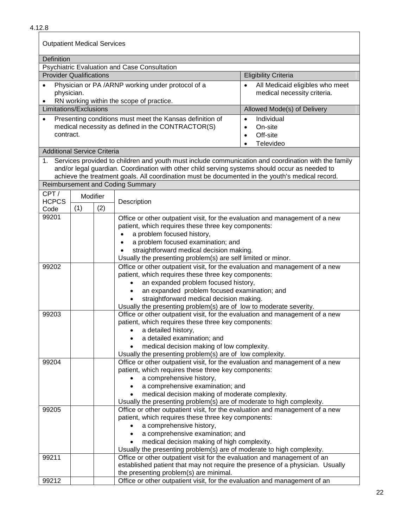| <b>Outpatient Medical Services</b>           |          |                                                     |                                                                                                                                                                                                                                                                                                          |                                                                                                       |  |  |  |  |  |  |
|----------------------------------------------|----------|-----------------------------------------------------|----------------------------------------------------------------------------------------------------------------------------------------------------------------------------------------------------------------------------------------------------------------------------------------------------------|-------------------------------------------------------------------------------------------------------|--|--|--|--|--|--|
| <b>Definition</b>                            |          |                                                     |                                                                                                                                                                                                                                                                                                          |                                                                                                       |  |  |  |  |  |  |
| Psychiatric Evaluation and Case Consultation |          |                                                     |                                                                                                                                                                                                                                                                                                          |                                                                                                       |  |  |  |  |  |  |
| <b>Provider Qualifications</b>               |          |                                                     |                                                                                                                                                                                                                                                                                                          | <b>Eligibility Criteria</b>                                                                           |  |  |  |  |  |  |
| $\bullet$<br>physician.                      |          |                                                     | Physician or PA /ARNP working under protocol of a<br>RN working within the scope of practice.                                                                                                                                                                                                            | All Medicaid eligibles who meet<br>medical necessity criteria.                                        |  |  |  |  |  |  |
| Limitations/Exclusions                       |          |                                                     |                                                                                                                                                                                                                                                                                                          | Allowed Mode(s) of Delivery                                                                           |  |  |  |  |  |  |
|                                              |          |                                                     | Presenting conditions must meet the Kansas definition of                                                                                                                                                                                                                                                 | Individual<br>$\bullet$                                                                               |  |  |  |  |  |  |
|                                              |          |                                                     | medical necessity as defined in the CONTRACTOR(S)                                                                                                                                                                                                                                                        | On-site<br>$\bullet$                                                                                  |  |  |  |  |  |  |
| contract.                                    |          |                                                     |                                                                                                                                                                                                                                                                                                          | Off-site<br>$\bullet$                                                                                 |  |  |  |  |  |  |
|                                              |          |                                                     |                                                                                                                                                                                                                                                                                                          | Televideo<br>$\bullet$                                                                                |  |  |  |  |  |  |
| <b>Additional Service Criteria</b>           |          |                                                     |                                                                                                                                                                                                                                                                                                          |                                                                                                       |  |  |  |  |  |  |
| 1.                                           |          |                                                     | Services provided to children and youth must include communication and coordination with the family<br>and/or legal guardian. Coordination with other child serving systems should occur as needed to<br>achieve the treatment goals. All coordination must be documented in the youth's medical record. |                                                                                                       |  |  |  |  |  |  |
|                                              |          |                                                     | <b>Reimbursement and Coding Summary</b>                                                                                                                                                                                                                                                                  |                                                                                                       |  |  |  |  |  |  |
| CPT/                                         | Modifier |                                                     |                                                                                                                                                                                                                                                                                                          |                                                                                                       |  |  |  |  |  |  |
| <b>HCPCS</b><br>Code                         | (1)      | (2)                                                 | Description                                                                                                                                                                                                                                                                                              |                                                                                                       |  |  |  |  |  |  |
| 99201                                        |          |                                                     | Office or other outpatient visit, for the evaluation and management of a new                                                                                                                                                                                                                             |                                                                                                       |  |  |  |  |  |  |
|                                              |          |                                                     | patient, which requires these three key components:                                                                                                                                                                                                                                                      |                                                                                                       |  |  |  |  |  |  |
|                                              |          |                                                     | a problem focused history,<br>$\bullet$                                                                                                                                                                                                                                                                  |                                                                                                       |  |  |  |  |  |  |
|                                              |          |                                                     | a problem focused examination; and<br>$\bullet$                                                                                                                                                                                                                                                          |                                                                                                       |  |  |  |  |  |  |
|                                              |          |                                                     | straightforward medical decision making.                                                                                                                                                                                                                                                                 |                                                                                                       |  |  |  |  |  |  |
|                                              |          |                                                     |                                                                                                                                                                                                                                                                                                          | Usually the presenting problem(s) are self limited or minor.                                          |  |  |  |  |  |  |
| 99202                                        |          |                                                     | Office or other outpatient visit, for the evaluation and management of a new                                                                                                                                                                                                                             |                                                                                                       |  |  |  |  |  |  |
|                                              |          |                                                     | patient, which requires these three key components:                                                                                                                                                                                                                                                      |                                                                                                       |  |  |  |  |  |  |
|                                              |          |                                                     |                                                                                                                                                                                                                                                                                                          | an expanded problem focused history,                                                                  |  |  |  |  |  |  |
|                                              |          |                                                     |                                                                                                                                                                                                                                                                                                          | an expanded problem focused examination; and<br>$\bullet$<br>straightforward medical decision making. |  |  |  |  |  |  |
|                                              |          |                                                     | Usually the presenting problem(s) are of low to moderate severity.                                                                                                                                                                                                                                       |                                                                                                       |  |  |  |  |  |  |
| 99203                                        |          |                                                     | Office or other outpatient visit, for the evaluation and management of a new                                                                                                                                                                                                                             |                                                                                                       |  |  |  |  |  |  |
|                                              |          |                                                     | patient, which requires these three key components:                                                                                                                                                                                                                                                      |                                                                                                       |  |  |  |  |  |  |
|                                              |          |                                                     | • a detailed history,                                                                                                                                                                                                                                                                                    |                                                                                                       |  |  |  |  |  |  |
|                                              |          | a detailed examination; and                         |                                                                                                                                                                                                                                                                                                          |                                                                                                       |  |  |  |  |  |  |
|                                              |          |                                                     | medical decision making of low complexity.<br>Usually the presenting problem(s) are of low complexity.                                                                                                                                                                                                   |                                                                                                       |  |  |  |  |  |  |
| 99204                                        |          |                                                     | Office or other outpatient visit, for the evaluation and management of a new                                                                                                                                                                                                                             |                                                                                                       |  |  |  |  |  |  |
|                                              |          | patient, which requires these three key components: |                                                                                                                                                                                                                                                                                                          |                                                                                                       |  |  |  |  |  |  |
|                                              |          |                                                     | a comprehensive history,                                                                                                                                                                                                                                                                                 |                                                                                                       |  |  |  |  |  |  |
|                                              |          |                                                     | a comprehensive examination; and<br>$\bullet$                                                                                                                                                                                                                                                            |                                                                                                       |  |  |  |  |  |  |
|                                              |          |                                                     | medical decision making of moderate complexity.                                                                                                                                                                                                                                                          |                                                                                                       |  |  |  |  |  |  |
|                                              |          |                                                     | Usually the presenting problem(s) are of moderate to high complexity.                                                                                                                                                                                                                                    |                                                                                                       |  |  |  |  |  |  |
| 99205                                        |          |                                                     | Office or other outpatient visit, for the evaluation and management of a new<br>patient, which requires these three key components:                                                                                                                                                                      |                                                                                                       |  |  |  |  |  |  |
|                                              |          |                                                     | a comprehensive history,                                                                                                                                                                                                                                                                                 |                                                                                                       |  |  |  |  |  |  |
|                                              |          |                                                     | a comprehensive examination; and                                                                                                                                                                                                                                                                         |                                                                                                       |  |  |  |  |  |  |
|                                              |          |                                                     | medical decision making of high complexity.                                                                                                                                                                                                                                                              |                                                                                                       |  |  |  |  |  |  |
|                                              |          |                                                     | Usually the presenting problem(s) are of moderate to high complexity.                                                                                                                                                                                                                                    |                                                                                                       |  |  |  |  |  |  |
| 99211                                        |          |                                                     | Office or other outpatient visit for the evaluation and management of an                                                                                                                                                                                                                                 |                                                                                                       |  |  |  |  |  |  |
|                                              |          |                                                     | established patient that may not require the presence of a physician. Usually                                                                                                                                                                                                                            |                                                                                                       |  |  |  |  |  |  |
| 99212                                        |          |                                                     | the presenting problem(s) are minimal.<br>Office or other outpatient visit, for the evaluation and management of an                                                                                                                                                                                      |                                                                                                       |  |  |  |  |  |  |
|                                              |          |                                                     |                                                                                                                                                                                                                                                                                                          |                                                                                                       |  |  |  |  |  |  |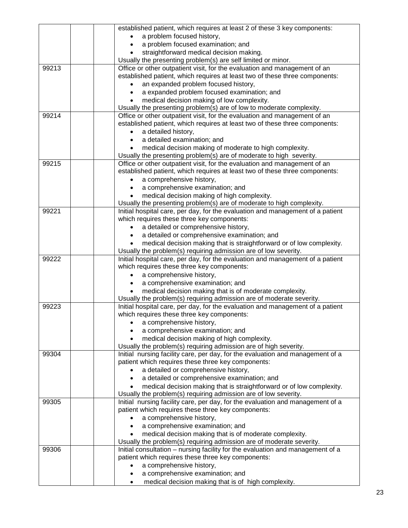|       | established patient, which requires at least 2 of these 3 key components:                                                                              |
|-------|--------------------------------------------------------------------------------------------------------------------------------------------------------|
|       | a problem focused history,                                                                                                                             |
|       | a problem focused examination; and<br>$\bullet$                                                                                                        |
|       | straightforward medical decision making.                                                                                                               |
|       | Usually the presenting problem(s) are self limited or minor.                                                                                           |
| 99213 | Office or other outpatient visit, for the evaluation and management of an                                                                              |
|       | established patient, which requires at least two of these three components:                                                                            |
|       | an expanded problem focused history,                                                                                                                   |
|       | a expanded problem focused examination; and<br>$\bullet$                                                                                               |
|       | medical decision making of low complexity.                                                                                                             |
|       | Usually the presenting problem(s) are of low to moderate complexity.                                                                                   |
| 99214 | Office or other outpatient visit, for the evaluation and management of an                                                                              |
|       | established patient, which requires at least two of these three components:                                                                            |
|       | a detailed history,                                                                                                                                    |
|       | a detailed examination; and                                                                                                                            |
|       | medical decision making of moderate to high complexity.                                                                                                |
|       | Usually the presenting problem(s) are of moderate to high severity.                                                                                    |
| 99215 | Office or other outpatient visit, for the evaluation and management of an                                                                              |
|       | established patient, which requires at least two of these three components:                                                                            |
|       | a comprehensive history,                                                                                                                               |
|       | a comprehensive examination; and                                                                                                                       |
|       | medical decision making of high complexity.                                                                                                            |
|       | Usually the presenting problem(s) are of moderate to high complexity.                                                                                  |
| 99221 | Initial hospital care, per day, for the evaluation and management of a patient                                                                         |
|       | which requires these three key components:                                                                                                             |
|       | a detailed or comprehensive history,                                                                                                                   |
|       | a detailed or comprehensive examination; and                                                                                                           |
|       | medical decision making that is straightforward or of low complexity.                                                                                  |
|       | Usually the problem(s) requiring admission are of low severity.                                                                                        |
| 99222 | Initial hospital care, per day, for the evaluation and management of a patient                                                                         |
|       | which requires these three key components:                                                                                                             |
|       | a comprehensive history,                                                                                                                               |
|       | a comprehensive examination; and                                                                                                                       |
|       | medical decision making that is of moderate complexity.                                                                                                |
| 99223 | Usually the problem(s) requiring admission are of moderate severity.<br>Initial hospital care, per day, for the evaluation and management of a patient |
|       | which requires these three key components:                                                                                                             |
|       | • a comprehensive history,                                                                                                                             |
|       | a comprehensive examination; and                                                                                                                       |
|       | medical decision making of high complexity.                                                                                                            |
|       | Usually the problem(s) requiring admission are of high severity.                                                                                       |
| 99304 | Initial nursing facility care, per day, for the evaluation and management of a                                                                         |
|       | patient which requires these three key components:                                                                                                     |
|       | a detailed or comprehensive history,                                                                                                                   |
|       | a detailed or comprehensive examination; and                                                                                                           |
|       | medical decision making that is straightforward or of low complexity.                                                                                  |
|       | Usually the problem(s) requiring admission are of low severity.                                                                                        |
| 99305 | Initial nursing facility care, per day, for the evaluation and management of a                                                                         |
|       | patient which requires these three key components:                                                                                                     |
|       | a comprehensive history,                                                                                                                               |
|       | a comprehensive examination; and<br>$\bullet$                                                                                                          |
|       | medical decision making that is of moderate complexity.                                                                                                |
|       | Usually the problem(s) requiring admission are of moderate severity.                                                                                   |
| 99306 | Initial consultation - nursing facility for the evaluation and management of a                                                                         |
|       | patient which requires these three key components:                                                                                                     |
|       | a comprehensive history,                                                                                                                               |
|       | a comprehensive examination; and                                                                                                                       |
|       | medical decision making that is of high complexity.<br>$\bullet$                                                                                       |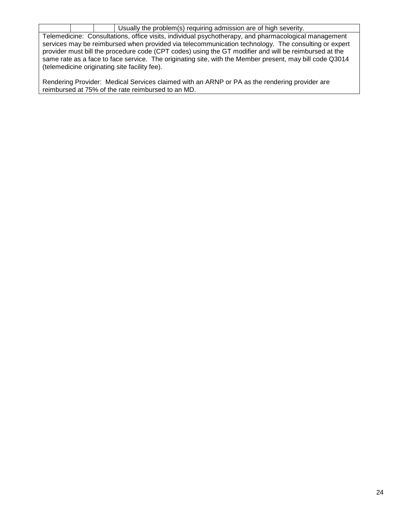|                                                                                                       |  | Usually the problem(s) requiring admission are of high severity.                                        |  |  |  |  |
|-------------------------------------------------------------------------------------------------------|--|---------------------------------------------------------------------------------------------------------|--|--|--|--|
| Telemedicine: Consultations, office visits, individual psychotherapy, and pharmacological management  |  |                                                                                                         |  |  |  |  |
| services may be reimbursed when provided via telecommunication technology. The consulting or expert   |  |                                                                                                         |  |  |  |  |
| provider must bill the procedure code (CPT codes) using the GT modifier and will be reimbursed at the |  |                                                                                                         |  |  |  |  |
|                                                                                                       |  | same rate as a face to face service. The originating site, with the Member present, may bill code Q3014 |  |  |  |  |
|                                                                                                       |  | (telemedicine originating site facility fee).                                                           |  |  |  |  |

Rendering Provider: Medical Services claimed with an ARNP or PA as the rendering provider are reimbursed at 75% of the rate reimbursed to an MD.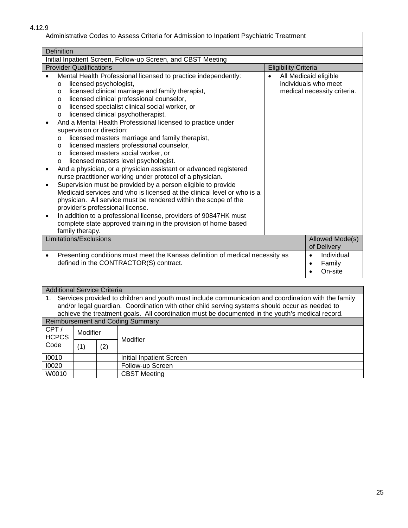4.12.9

| Administrative Codes to Assess Criteria for Admission to Inpatient Psychiatric Treatment                                                                                                                                                                                                                                                                                                    |                                                                                           |  |  |  |  |  |
|---------------------------------------------------------------------------------------------------------------------------------------------------------------------------------------------------------------------------------------------------------------------------------------------------------------------------------------------------------------------------------------------|-------------------------------------------------------------------------------------------|--|--|--|--|--|
| <b>Definition</b>                                                                                                                                                                                                                                                                                                                                                                           |                                                                                           |  |  |  |  |  |
| Initial Inpatient Screen, Follow-up Screen, and CBST Meeting                                                                                                                                                                                                                                                                                                                                |                                                                                           |  |  |  |  |  |
| <b>Provider Qualifications</b>                                                                                                                                                                                                                                                                                                                                                              | <b>Eligibility Criteria</b>                                                               |  |  |  |  |  |
| Mental Health Professional licensed to practice independently:<br>licensed psychologist,<br>O<br>licensed clinical marriage and family therapist,<br>O<br>licensed clinical professional counselor,<br>$\circ$<br>licensed specialist clinical social worker, or<br>$\circ$<br>licensed clinical psychotherapist.<br>$\circ$<br>And a Mental Health Professional licensed to practice under | All Medicaid eligible<br>$\bullet$<br>individuals who meet<br>medical necessity criteria. |  |  |  |  |  |
| supervision or direction:<br>licensed masters marriage and family therapist,<br>O<br>licensed masters professional counselor,<br>$\circ$<br>licensed masters social worker, or<br>$\Omega$<br>licensed masters level psychologist.<br>O<br>And a physician, or a physician assistant or advanced registered<br>$\bullet$                                                                    |                                                                                           |  |  |  |  |  |
| nurse practitioner working under protocol of a physician.<br>Supervision must be provided by a person eligible to provide<br>$\bullet$<br>Medicaid services and who is licensed at the clinical level or who is a<br>physician. All service must be rendered within the scope of the<br>provider's professional license.                                                                    |                                                                                           |  |  |  |  |  |
| In addition to a professional license, providers of 90847HK must<br>$\bullet$<br>complete state approved training in the provision of home based<br>family therapy.                                                                                                                                                                                                                         |                                                                                           |  |  |  |  |  |
| Limitations/Exclusions                                                                                                                                                                                                                                                                                                                                                                      | Allowed Mode(s)<br>of Delivery                                                            |  |  |  |  |  |
| Presenting conditions must meet the Kansas definition of medical necessity as<br>$\bullet$<br>defined in the CONTRACTOR(S) contract.                                                                                                                                                                                                                                                        | Individual<br>$\bullet$<br>Family<br>$\bullet$<br>On-site                                 |  |  |  |  |  |

| <b>Additional Service Criteria</b> |          |     |                                                                                                     |  |  |  |  |
|------------------------------------|----------|-----|-----------------------------------------------------------------------------------------------------|--|--|--|--|
|                                    |          |     | Services provided to children and youth must include communication and coordination with the family |  |  |  |  |
|                                    |          |     | and/or legal guardian. Coordination with other child serving systems should occur as needed to      |  |  |  |  |
|                                    |          |     | achieve the treatment goals. All coordination must be documented in the youth's medical record.     |  |  |  |  |
|                                    |          |     | <b>Reimbursement and Coding Summary</b>                                                             |  |  |  |  |
| CPT/                               | Modifier |     |                                                                                                     |  |  |  |  |
| <b>HCPCS</b>                       |          |     | Modifier                                                                                            |  |  |  |  |
| Code                               | (1)      | (2) |                                                                                                     |  |  |  |  |
|                                    |          |     |                                                                                                     |  |  |  |  |
| 10010                              |          |     | <b>Initial Inpatient Screen</b>                                                                     |  |  |  |  |
| 10020                              |          |     | Follow-up Screen                                                                                    |  |  |  |  |
| W0010                              |          |     | <b>CBST Meeting</b>                                                                                 |  |  |  |  |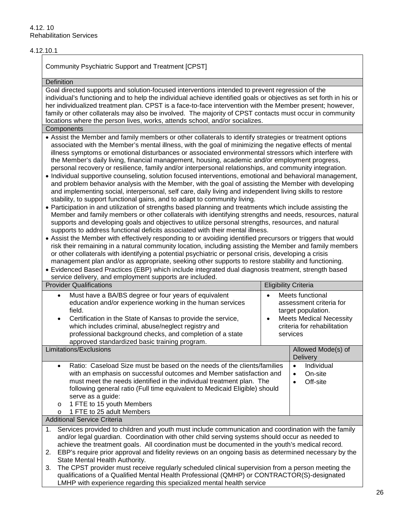## 4.12.10.1

Community Psychiatric Support and Treatment [CPST]

#### **Definition**

Goal directed supports and solution-focused interventions intended to prevent regression of the individual's functioning and to help the individual achieve identified goals or objectives as set forth in his or her individualized treatment plan. CPST is a face-to-face intervention with the Member present; however, family or other collaterals may also be involved. The majority of CPST contacts must occur in community locations where the person lives, works, attends school, and/or socializes.

### **Components**

- Assist the Member and family members or other collaterals to identify strategies or treatment options associated with the Member's mental illness, with the goal of minimizing the negative effects of mental illness symptoms or emotional disturbances or associated environmental stressors which interfere with the Member's daily living, financial management, housing, academic and/or employment progress, personal recovery or resilience, family and/or interpersonal relationships, and community integration.
- Individual supportive counseling, solution focused interventions, emotional and behavioral management, and problem behavior analysis with the Member, with the goal of assisting the Member with developing and implementing social, interpersonal, self care, daily living and independent living skills to restore stability, to support functional gains, and to adapt to community living.
- Participation in and utilization of strengths based planning and treatments which include assisting the Member and family members or other collaterals with identifying strengths and needs, resources, natural supports and developing goals and objectives to utilize personal strengths, resources, and natural supports to address functional deficits associated with their mental illness.
- Assist the Member with effectively responding to or avoiding identified precursors or triggers that would risk their remaining in a natural community location, including assisting the Member and family members or other collaterals with identifying a potential psychiatric or personal crisis, developing a crisis management plan and/or as appropriate, seeking other supports to restore stability and functioning.
- Evidenced Based Practices (EBP) which include integrated dual diagnosis treatment, strength based service delivery, and employment supports are included.

| <b>Provider Qualifications</b>                                                                                                                                                                                                                                                                                                                                                                                          | <b>Eligibility Criteria</b>                                                                                                                    |  |  |  |  |  |  |
|-------------------------------------------------------------------------------------------------------------------------------------------------------------------------------------------------------------------------------------------------------------------------------------------------------------------------------------------------------------------------------------------------------------------------|------------------------------------------------------------------------------------------------------------------------------------------------|--|--|--|--|--|--|
| Must have a BA/BS degree or four years of equivalent<br>$\bullet$<br>education and/or experience working in the human services<br>field.<br>Certification in the State of Kansas to provide the service,<br>$\bullet$<br>which includes criminal, abuse/neglect registry and<br>professional background checks, and completion of a state<br>approved standardized basic training program.                              | Meets functional<br>assessment criteria for<br>target population.<br><b>Meets Medical Necessity</b><br>criteria for rehabilitation<br>services |  |  |  |  |  |  |
| <b>Limitations/Exclusions</b>                                                                                                                                                                                                                                                                                                                                                                                           | Allowed Mode(s) of<br><b>Delivery</b>                                                                                                          |  |  |  |  |  |  |
| Ratio: Caseload Size must be based on the needs of the clients/families<br>$\bullet$<br>with an emphasis on successful outcomes and Member satisfaction and<br>must meet the needs identified in the individual treatment plan. The<br>following general ratio (Full time equivalent to Medicaid Eligible) should<br>serve as a guide:<br>1 FTE to 15 youth Members<br>$\circ$<br>1 FTE to 25 adult Members<br>$\Omega$ | Individual<br>$\bullet$<br>On-site<br>$\bullet$<br>Off-site                                                                                    |  |  |  |  |  |  |
| <b>Additional Service Criteria</b>                                                                                                                                                                                                                                                                                                                                                                                      |                                                                                                                                                |  |  |  |  |  |  |
| Services provided to children and youth must include communication and coordination with the family<br>$1_{\cdot}$<br>and/or legal guardian. Coordination with other child serving systems should occur as needed to<br>achieve the treatment goals. All coordination must be documented in the youth's medical record.                                                                                                 |                                                                                                                                                |  |  |  |  |  |  |
| EBP's require prior approval and fidelity reviews on an ongoing basis as determined necessary by the<br>2.<br>State Mental Health Authority.                                                                                                                                                                                                                                                                            |                                                                                                                                                |  |  |  |  |  |  |
| The CPST provider must receive regularly scheduled clinical supervision from a person meeting the<br>3.<br>qualifications of a Qualified Mental Health Professional (QMHP) or CONTRACTOR(S)-designated<br>LMHP with experience regarding this specialized mental health service                                                                                                                                         |                                                                                                                                                |  |  |  |  |  |  |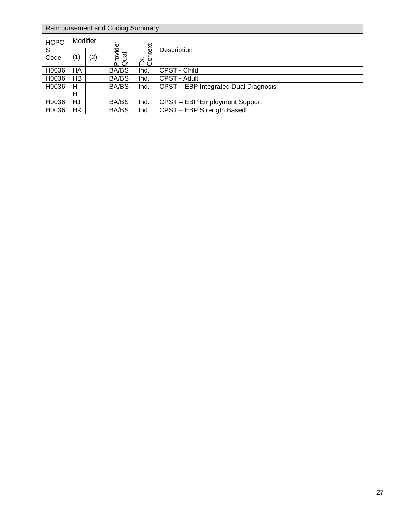|                         | <b>Reimbursement and Coding Summary</b> |     |                   |                |                                      |  |  |  |  |
|-------------------------|-----------------------------------------|-----|-------------------|----------------|--------------------------------------|--|--|--|--|
| Modifier<br><b>HCPC</b> |                                         |     |                   |                |                                      |  |  |  |  |
| S<br>Code               | (1)                                     | (2) | Provider<br>Qual. | Tx.<br>Context | Description                          |  |  |  |  |
| H0036                   | НA                                      |     | BA/BS             | Ind.           | CPST - Child                         |  |  |  |  |
| H0036                   | HB                                      |     | <b>BA/BS</b>      | Ind.           | CPST - Adult                         |  |  |  |  |
| H0036                   | н                                       |     | <b>BA/BS</b>      | Ind.           | CPST - EBP Integrated Dual Diagnosis |  |  |  |  |
|                         | н                                       |     |                   |                |                                      |  |  |  |  |
| H0036                   | HJ                                      |     | <b>BA/BS</b>      | Ind.           | CPST - EBP Employment Support        |  |  |  |  |
| H0036                   | HK                                      |     | <b>BA/BS</b>      | Ind.           | CPST - EBP Strength Based            |  |  |  |  |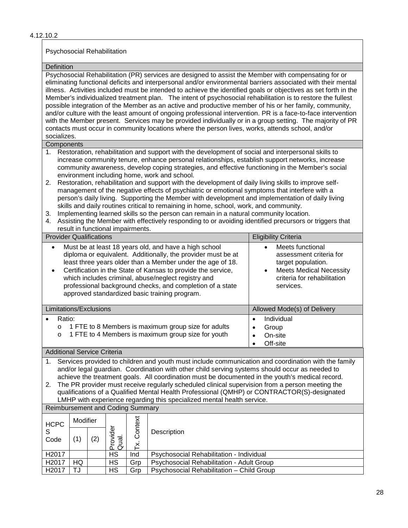## 4.12.10.2

### Psychosocial Rehabilitation

### **Definition**

Psychosocial Rehabilitation (PR) services are designed to assist the Member with compensating for or eliminating functional deficits and interpersonal and/or environmental barriers associated with their mental illness. Activities included must be intended to achieve the identified goals or objectives as set forth in the Member's individualized treatment plan. The intent of psychosocial rehabilitation is to restore the fullest possible integration of the Member as an active and productive member of his or her family, community, and/or culture with the least amount of ongoing professional intervention. PR is a face-to-face intervention with the Member present. Services may be provided individually or in a group setting. The majority of PR contacts must occur in community locations where the person lives, works, attends school, and/or socializes.

#### **Components**

- 1. Restoration, rehabilitation and support with the development of social and interpersonal skills to increase community tenure, enhance personal relationships, establish support networks, increase community awareness, develop coping strategies, and effective functioning in the Member's social environment including home, work and school.
- 2. Restoration, rehabilitation and support with the development of daily living skills to improve selfmanagement of the negative effects of psychiatric or emotional symptoms that interfere with a person's daily living. Supporting the Member with development and implementation of daily living skills and daily routines critical to remaining in home, school, work, and community.
- 3. Implementing learned skills so the person can remain in a natural community location.
- 4. Assisting the Member with effectively responding to or avoiding identified precursors or triggers that result in functional impairments.

| <b>Provider Qualifications</b>                                                                                                                                                                                                                                                                                                                                                                                                             | <b>Eligibility Criteria</b>                                                                                                                                  |
|--------------------------------------------------------------------------------------------------------------------------------------------------------------------------------------------------------------------------------------------------------------------------------------------------------------------------------------------------------------------------------------------------------------------------------------------|--------------------------------------------------------------------------------------------------------------------------------------------------------------|
| Must be at least 18 years old, and have a high school<br>$\bullet$<br>diploma or equivalent. Additionally, the provider must be at<br>least three years older than a Member under the age of 18.<br>Certification in the State of Kansas to provide the service,<br>٠<br>which includes criminal, abuse/neglect registry and<br>professional background checks, and completion of a state<br>approved standardized basic training program. | Meets functional<br>assessment criteria for<br>target population.<br><b>Meets Medical Necessity</b><br>$\bullet$<br>criteria for rehabilitation<br>services. |
| Limitations/Exclusions                                                                                                                                                                                                                                                                                                                                                                                                                     | Allowed Mode(s) of Delivery                                                                                                                                  |
| Ratio:<br>1 FTE to 8 Members is maximum group size for adults<br>$\circ$<br>1 FTE to 4 Members is maximum group size for youth<br>$\circ$                                                                                                                                                                                                                                                                                                  | Individual<br>٠<br>Group<br>٠<br>On-site<br>Off-site                                                                                                         |

### Additional Service Criteria

1. Services provided to children and youth must include communication and coordination with the family and/or legal guardian. Coordination with other child serving systems should occur as needed to achieve the treatment goals. All coordination must be documented in the youth's medical record.

2. The PR provider must receive regularly scheduled clinical supervision from a person meeting the qualifications of a Qualified Mental Health Professional (QMHP) or CONTRACTOR(S)-designated LMHP with experience regarding this specialized mental health service.

# Reimbursement and Coding Summary

| <b>HCPC</b> | Modifier |     |                                                     | Context<br>× |                                           |
|-------------|----------|-----|-----------------------------------------------------|--------------|-------------------------------------------|
| Code        | ั1)      | (2) | jabi<br>$\overline{\mathfrak{G}}$<br>$\bar{O}$<br>൨ |              |                                           |
| H2017       |          |     | НS                                                  | Ind          | Psychosocial Rehabilitation - Individual  |
| H2017       | HQ       |     | НS                                                  | Grp          | Psychosocial Rehabilitation - Adult Group |
| H2017       | TJ       |     | НS                                                  | Grp          | Psychosocial Rehabilitation - Child Group |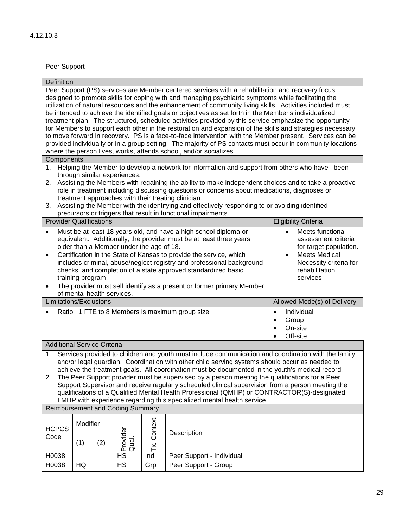## Peer Support

#### **Definition**

Peer Support (PS) services are Member centered services with a rehabilitation and recovery focus designed to promote skills for coping with and managing psychiatric symptoms while facilitating the utilization of natural resources and the enhancement of community living skills. Activities included must be intended to achieve the identified goals or objectives as set forth in the Member's individualized treatment plan. The structured, scheduled activities provided by this service emphasize the opportunity for Members to support each other in the restoration and expansion of the skills and strategies necessary to move forward in recovery. PS is a face-to-face intervention with the Member present. Services can be provided individually or in a group setting. The majority of PS contacts must occur in community locations where the person lives, works, attends school, and/or socializes.

#### **Components**

- 1. Helping the Member to develop a network for information and support from others who have been through similar experiences.
- 2. Assisting the Members with regaining the ability to make independent choices and to take a proactive role in treatment including discussing questions or concerns about medications, diagnoses or treatment approaches with their treating clinician.
- 3. Assisting the Member with the identifying and effectively responding to or avoiding identified precursors or triggers that result in functional impairments.

| <b>Provider Qualifications</b>                                                                                                                                                                                                                                                                                                                        | <b>Eligibility Criteria</b>                                                    |
|-------------------------------------------------------------------------------------------------------------------------------------------------------------------------------------------------------------------------------------------------------------------------------------------------------------------------------------------------------|--------------------------------------------------------------------------------|
| Must be at least 18 years old, and have a high school diploma or<br>equivalent. Additionally, the provider must be at least three years<br>older than a Member under the age of 18.                                                                                                                                                                   | Meets functional<br>$\bullet$<br>assessment criteria<br>for target population. |
| Certification in the State of Kansas to provide the service, which<br>$\bullet$<br>includes criminal, abuse/neglect registry and professional background<br>checks, and completion of a state approved standardized basic<br>training program.<br>The provider must self identify as a present or former primary Member<br>of mental health services. | Meets Medical<br>Necessity criteria for<br>rehabilitation<br>services          |
| Limitations/Exclusions                                                                                                                                                                                                                                                                                                                                | Allowed Mode(s) of Delivery                                                    |
| Ratio: 1 FTE to 8 Members is maximum group size                                                                                                                                                                                                                                                                                                       | Individual<br>٠<br>Group<br>٠<br>On-site<br>$\bullet$<br>Off-site              |

# Additional Service Criteria

1. Services provided to children and youth must include communication and coordination with the family and/or legal guardian. Coordination with other child serving systems should occur as needed to achieve the treatment goals. All coordination must be documented in the youth's medical record.

2. The Peer Support provider must be supervised by a person meeting the qualifications for a Peer Support Supervisor and receive regularly scheduled clinical supervision from a person meeting the qualifications of a Qualified Mental Health Professional (QMHP) or CONTRACTOR(S)-designated LMHP with experience regarding this specialized mental health service.

|                      | <b>Reimbursement and Coding Summary</b> |     |                                     |        |                           |  |  |  |  |
|----------------------|-----------------------------------------|-----|-------------------------------------|--------|---------------------------|--|--|--|--|
| <b>HCPCS</b><br>Code | Modifier                                |     | ه                                   | ontext | Description               |  |  |  |  |
|                      | (1)                                     | (2) | ℧<br>$\bar{\mathbb{Q}}$<br>Ó<br>മേദ |        | ပ<br>×                    |  |  |  |  |
| H0038                |                                         |     | НS                                  | Ind    | Peer Support - Individual |  |  |  |  |
| H0038                | HQ                                      |     | HS                                  | Grp    | Peer Support - Group      |  |  |  |  |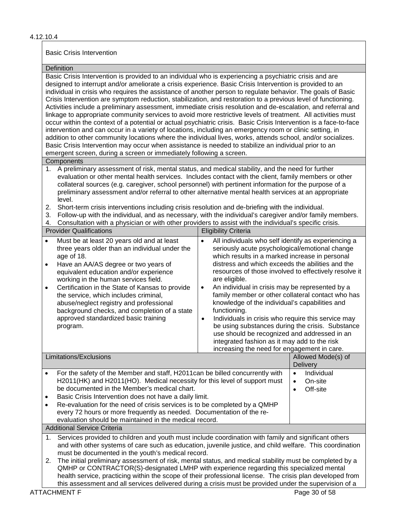#### 4.12.10.4

#### Basic Crisis Intervention

#### Definition

Basic Crisis Intervention is provided to an individual who is experiencing a psychiatric crisis and are designed to interrupt and/or ameliorate a crisis experience. Basic Crisis Intervention is provided to an individual in crisis who requires the assistance of another person to regulate behavior. The goals of Basic Crisis Intervention are symptom reduction, stabilization, and restoration to a previous level of functioning. Activities include a preliminary assessment, immediate crisis resolution and de-escalation, and referral and linkage to appropriate community services to avoid more restrictive levels of treatment. All activities must occur within the context of a potential or actual psychiatric crisis. Basic Crisis Intervention is a face-to-face intervention and can occur in a variety of locations, including an emergency room or clinic setting, in addition to other community locations where the individual lives, works, attends school, and/or socializes. Basic Crisis Intervention may occur when assistance is needed to stabilize an individual prior to an emergent screen, during a screen or immediately following a screen.

## **Components**

- 1. A preliminary assessment of risk, mental status, and medical stability, and the need for further evaluation or other mental health services. Includes contact with the client, family members or other collateral sources (e.g. caregiver, school personnel) with pertinent information for the purpose of a preliminary assessment and/or referral to other alternative mental health services at an appropriate level.
- 2. Short-term crisis interventions including crisis resolution and de-briefing with the individual.
- 3. Follow-up with the individual, and as necessary, with the individual's caregiver and/or family members.
- 4. Consultation with a physician or with other providers to assist with the individual's specific crisis.

| <b>Provider Qualifications</b>                                                                                                                                                                                                                                                                                                                                                                                                                                                                                                                      | <b>Eligibility Criteria</b>                                                                                                                                                                                                                                                                                                                                                                                                                                                                                                                                                                                                                                                                                                                                     |                                |  |  |  |  |  |
|-----------------------------------------------------------------------------------------------------------------------------------------------------------------------------------------------------------------------------------------------------------------------------------------------------------------------------------------------------------------------------------------------------------------------------------------------------------------------------------------------------------------------------------------------------|-----------------------------------------------------------------------------------------------------------------------------------------------------------------------------------------------------------------------------------------------------------------------------------------------------------------------------------------------------------------------------------------------------------------------------------------------------------------------------------------------------------------------------------------------------------------------------------------------------------------------------------------------------------------------------------------------------------------------------------------------------------------|--------------------------------|--|--|--|--|--|
| Must be at least 20 years old and at least<br>$\bullet$<br>three years older than an individual under the<br>age of 18.<br>Have an AA/AS degree or two years of<br>$\bullet$<br>equivalent education and/or experience<br>working in the human services field.<br>Certification in the State of Kansas to provide<br>$\bullet$<br>the service, which includes criminal,<br>abuse/neglect registry and professional<br>background checks, and completion of a state<br>approved standardized basic training<br>program.                              | All individuals who self identify as experiencing a<br>$\bullet$<br>seriously acute psychological/emotional change<br>which results in a marked increase in personal<br>distress and which exceeds the abilities and the<br>resources of those involved to effectively resolve it<br>are eligible.<br>An individual in crisis may be represented by a<br>$\bullet$<br>family member or other collateral contact who has<br>knowledge of the individual's capabilities and<br>functioning.<br>Individuals in crisis who require this service may<br>$\bullet$<br>be using substances during the crisis. Substance<br>use should be recognized and addressed in an<br>integrated fashion as it may add to the risk<br>increasing the need for engagement in care. |                                |  |  |  |  |  |
| Limitations/Exclusions                                                                                                                                                                                                                                                                                                                                                                                                                                                                                                                              |                                                                                                                                                                                                                                                                                                                                                                                                                                                                                                                                                                                                                                                                                                                                                                 | Allowed Mode(s) of<br>Delivery |  |  |  |  |  |
| For the safety of the Member and staff, H2011can be billed concurrently with<br>Individual<br>$\bullet$<br>H2011(HK) and H2011(HO). Medical necessity for this level of support must<br>On-site<br>$\bullet$<br>be documented in the Member's medical chart.<br>Off-site<br>Basic Crisis Intervention does not have a daily limit.<br>Re-evaluation for the need of crisis services is to be completed by a QMHP<br>every 72 hours or more frequently as needed. Documentation of the re-<br>evaluation should be maintained in the medical record. |                                                                                                                                                                                                                                                                                                                                                                                                                                                                                                                                                                                                                                                                                                                                                                 |                                |  |  |  |  |  |
| <b>Additional Service Criteria</b>                                                                                                                                                                                                                                                                                                                                                                                                                                                                                                                  |                                                                                                                                                                                                                                                                                                                                                                                                                                                                                                                                                                                                                                                                                                                                                                 |                                |  |  |  |  |  |
| Services provided to children and youth must include coordination with family and significant others<br>1.<br>and with other systems of care such as education, juvenile justice, and child welfare. This coordination<br>must be documented in the youth's medical record.                                                                                                                                                                                                                                                                         |                                                                                                                                                                                                                                                                                                                                                                                                                                                                                                                                                                                                                                                                                                                                                                 |                                |  |  |  |  |  |
| The initial preliminary assessment of risk, mental status, and medical stability must be completed by a<br>2.<br>QMHP or CONTRACTOR(S)-designated LMHP with experience regarding this specialized mental<br>health service, practicing within the scope of their professional license. The crisis plan developed from<br>this assessment and all services delivered during a crisis must be provided under the supervision of a                                                                                                                     |                                                                                                                                                                                                                                                                                                                                                                                                                                                                                                                                                                                                                                                                                                                                                                 |                                |  |  |  |  |  |
| <b>ATTACHMENT F</b>                                                                                                                                                                                                                                                                                                                                                                                                                                                                                                                                 |                                                                                                                                                                                                                                                                                                                                                                                                                                                                                                                                                                                                                                                                                                                                                                 | Page 30 of 58                  |  |  |  |  |  |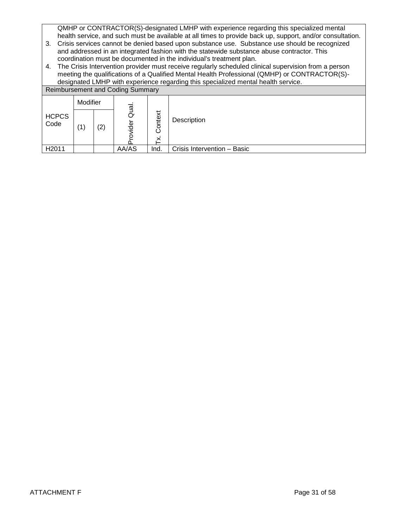QMHP or CONTRACTOR(S)-designated LMHP with experience regarding this specialized mental health service, and such must be available at all times to provide back up, support, and/or consultation.

- 3. Crisis services cannot be denied based upon substance use. Substance use should be recognized and addressed in an integrated fashion with the statewide substance abuse contractor. This coordination must be documented in the individual's treatment plan.
- 4. The Crisis Intervention provider must receive regularly scheduled clinical supervision from a person meeting the qualifications of a Qualified Mental Health Professional (QMHP) or CONTRACTOR(S) designated LMHP with experience regarding this specialized mental health service.

|                      |          |     |                                         |              | accignated Emil in their experience regarding this opecialized montan nearly corricon |
|----------------------|----------|-----|-----------------------------------------|--------------|---------------------------------------------------------------------------------------|
|                      |          |     | <b>Reimbursement and Coding Summary</b> |              |                                                                                       |
|                      | Modifier |     |                                         |              |                                                                                       |
| <b>HCPCS</b><br>Code | (1)      | (2) | Qual<br>O<br>ider                       | Context<br>× | Description                                                                           |
| H <sub>2011</sub>    |          |     | AA/AS                                   | Ind.         | Crisis Intervention - Basic                                                           |
|                      |          |     |                                         |              |                                                                                       |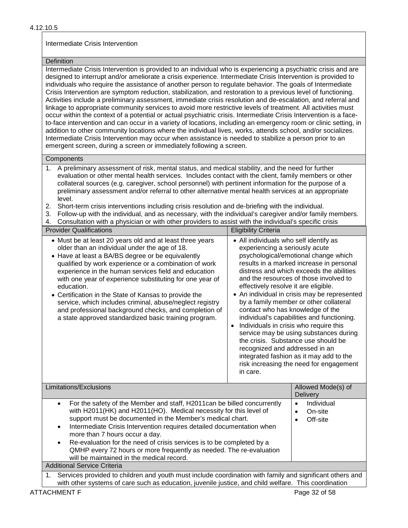# Intermediate Crisis Intervention

#### **Definition**

Intermediate Crisis Intervention is provided to an individual who is experiencing a psychiatric crisis and are designed to interrupt and/or ameliorate a crisis experience. Intermediate Crisis Intervention is provided to individuals who require the assistance of another person to regulate behavior. The goals of Intermediate Crisis Intervention are symptom reduction, stabilization, and restoration to a previous level of functioning. Activities include a preliminary assessment, immediate crisis resolution and de-escalation, and referral and linkage to appropriate community services to avoid more restrictive levels of treatment. All activities must occur within the context of a potential or actual psychiatric crisis. Intermediate Crisis Intervention is a faceto-face intervention and can occur in a variety of locations, including an emergency room or clinic setting, in addition to other community locations where the individual lives, works, attends school, and/or socializes. Intermediate Crisis Intervention may occur when assistance is needed to stabilize a person prior to an emergent screen, during a screen or immediately following a screen.

### **Components**

- 1. A preliminary assessment of risk, mental status, and medical stability, and the need for further evaluation or other mental health services. Includes contact with the client, family members or other collateral sources (e.g. caregiver, school personnel) with pertinent information for the purpose of a preliminary assessment and/or referral to other alternative mental health services at an appropriate level.
- 2. Short-term crisis interventions including crisis resolution and de-briefing with the individual.
- 3. Follow-up with the individual, and as necessary, with the individual's caregiver and/or family members.
- 4. Consultation with a physician or with other providers to assist with the individual's specific crisis

| <b>Provider Qualifications</b>                                                                                                                                                                                                                                                                                                                                                                                                                                                                                                                                                                   | <b>Eligibility Criteria</b>                                                                                                                                                                        |                                                                                                                                                                                                                                                                                                                                                                                                                                                                                                                                 |
|--------------------------------------------------------------------------------------------------------------------------------------------------------------------------------------------------------------------------------------------------------------------------------------------------------------------------------------------------------------------------------------------------------------------------------------------------------------------------------------------------------------------------------------------------------------------------------------------------|----------------------------------------------------------------------------------------------------------------------------------------------------------------------------------------------------|---------------------------------------------------------------------------------------------------------------------------------------------------------------------------------------------------------------------------------------------------------------------------------------------------------------------------------------------------------------------------------------------------------------------------------------------------------------------------------------------------------------------------------|
| • Must be at least 20 years old and at least three years<br>older than an individual under the age of 18.<br>• Have at least a BA/BS degree or be equivalently<br>qualified by work experience or a combination of work<br>experience in the human services field and education<br>with one year of experience substituting for one year of<br>education.<br>• Certification in the State of Kansas to provide the<br>service, which includes criminal, abuse/neglect registry<br>and professional background checks, and completion of<br>a state approved standardized basic training program. | • All individuals who self identify as<br>experiencing a seriously acute<br>effectively resolve it are eligible.<br>contact who has knowledge of the<br>recognized and addressed in an<br>in care. | psychological/emotional change which<br>results in a marked increase in personal<br>distress and which exceeds the abilities<br>and the resources of those involved to<br>• An individual in crisis may be represented<br>by a family member or other collateral<br>individual's capabilities and functioning.<br>Individuals in crisis who require this<br>service may be using substances during<br>the crisis. Substance use should be<br>integrated fashion as it may add to the<br>risk increasing the need for engagement |
| Limitations/Exclusions                                                                                                                                                                                                                                                                                                                                                                                                                                                                                                                                                                           |                                                                                                                                                                                                    | Allowed Mode(s) of<br><b>Delivery</b>                                                                                                                                                                                                                                                                                                                                                                                                                                                                                           |
|                                                                                                                                                                                                                                                                                                                                                                                                                                                                                                                                                                                                  |                                                                                                                                                                                                    |                                                                                                                                                                                                                                                                                                                                                                                                                                                                                                                                 |

|                                                                                                                                                                                                                                                                                                                                                                                                                                                                                                                   | <b>Delivery</b>                             |
|-------------------------------------------------------------------------------------------------------------------------------------------------------------------------------------------------------------------------------------------------------------------------------------------------------------------------------------------------------------------------------------------------------------------------------------------------------------------------------------------------------------------|---------------------------------------------|
| For the safety of the Member and staff, H2011can be billed concurrently<br>with H2011(HK) and H2011(HO). Medical necessity for this level of<br>support must be documented in the Member's medical chart.<br>Intermediate Crisis Intervention requires detailed documentation when<br>more than 7 hours occur a day.<br>Re-evaluation for the need of crisis services is to be completed by a<br>QMHP every 72 hours or more frequently as needed. The re-evaluation<br>will be maintained in the medical record. | Individual<br>٠<br>On-site<br>Off-site<br>٠ |
| <b>Additional Service Criteria</b>                                                                                                                                                                                                                                                                                                                                                                                                                                                                                |                                             |
| Services provided to children and youth must include coordination with family and significant others and                                                                                                                                                                                                                                                                                                                                                                                                          |                                             |

with other systems of care such as education, juvenile justice, and child welfare. This coordination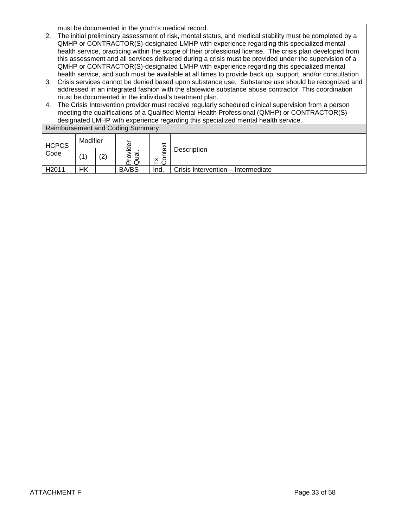must be documented in the youth's medical record.

- 2. The initial preliminary assessment of risk, mental status, and medical stability must be completed by a QMHP or CONTRACTOR(S)-designated LMHP with experience regarding this specialized mental health service, practicing within the scope of their professional license. The crisis plan developed from this assessment and all services delivered during a crisis must be provided under the supervision of a QMHP or CONTRACTOR(S)-designated LMHP with experience regarding this specialized mental health service, and such must be available at all times to provide back up, support, and/or consultation.
- 3. Crisis services cannot be denied based upon substance use. Substance use should be recognized and addressed in an integrated fashion with the statewide substance abuse contractor. This coordination must be documented in the individual's treatment plan.
- 4. The Crisis Intervention provider must receive regularly scheduled clinical supervision from a person meeting the qualifications of a Qualified Mental Health Professional (QMHP) or CONTRACTOR(S) designated LMHP with experience regarding this specialized mental health service.

Reimbursement and Coding Summary

| <b>HCPCS</b> | Modifier |     | Φ            | itext  |                                    |
|--------------|----------|-----|--------------|--------|------------------------------------|
| Code         |          | (2) | ਹ<br>σ<br>o  | ō<br>v | Description                        |
| H2011        | HK       |     | <b>BA/BS</b> | Ind.   | Crisis Intervention - Intermediate |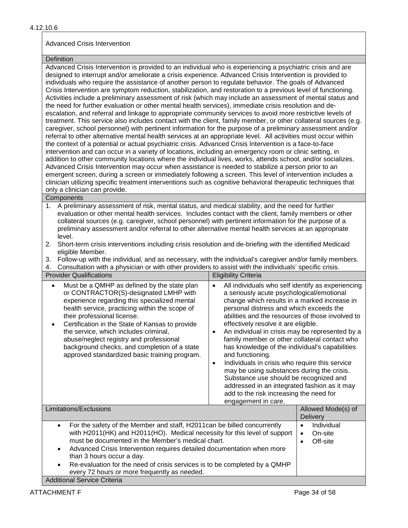# Advanced Crisis Intervention

#### **Definition**

Advanced Crisis Intervention is provided to an individual who is experiencing a psychiatric crisis and are designed to interrupt and/or ameliorate a crisis experience. Advanced Crisis Intervention is provided to individuals who require the assistance of another person to regulate behavior. The goals of Advanced Crisis Intervention are symptom reduction, stabilization, and restoration to a previous level of functioning. Activities include a preliminary assessment of risk (which may include an assessment of mental status and the need for further evaluation or other mental health services), immediate crisis resolution and deescalation, and referral and linkage to appropriate community services to avoid more restrictive levels of treatment. This service also includes contact with the client, family member, or other collateral sources (e.g. caregiver, school personnel) with pertinent information for the purpose of a preliminary assessment and/or referral to other alternative mental health services at an appropriate level. All activities must occur within the context of a potential or actual psychiatric crisis. Advanced Crisis Intervention is a face-to-face intervention and can occur in a variety of locations, including an emergency room or clinic setting, in addition to other community locations where the individual lives, works, attends school, and/or socializes. Advanced Crisis Intervention may occur when assistance is needed to stabilize a person prior to an emergent screen, during a screen or immediately following a screen. This level of intervention includes a clinician utilizing specific treatment interventions such as cognitive behavioral therapeutic techniques that only a clinician can provide.

# **Components**

- 1. A preliminary assessment of risk, mental status, and medical stability, and the need for further evaluation or other mental health services. Includes contact with the client, family members or other collateral sources (e.g. caregiver, school personnel) with pertinent information for the purpose of a preliminary assessment and/or referral to other alternative mental health services at an appropriate level.
- 2. Short-term crisis interventions including crisis resolution and de-briefing with the identified Medicaid eligible Member.
- 3. Follow-up with the individual, and as necessary, with the individual's caregiver and/or family members.

4. Consultation with a physician or with other providers to assist with the individuals' specific crisis.

| <b>Provider Qualifications</b>                                                                                                                                                                                                                                                                                                                                                                                                                                     | <b>Eligibility Criteria</b>                                                                                                                                                                                                                                                                                                                                                                                                                                                                                                                                                                                                                                                                                                                   |                                              |
|--------------------------------------------------------------------------------------------------------------------------------------------------------------------------------------------------------------------------------------------------------------------------------------------------------------------------------------------------------------------------------------------------------------------------------------------------------------------|-----------------------------------------------------------------------------------------------------------------------------------------------------------------------------------------------------------------------------------------------------------------------------------------------------------------------------------------------------------------------------------------------------------------------------------------------------------------------------------------------------------------------------------------------------------------------------------------------------------------------------------------------------------------------------------------------------------------------------------------------|----------------------------------------------|
| Must be a QMHP as defined by the state plan<br>٠<br>or CONTRACTOR(S)-designated LMHP with<br>experience regarding this specialized mental<br>health service, practicing within the scope of<br>their professional license.<br>Certification in the State of Kansas to provide<br>the service, which includes criminal,<br>abuse/neglect registry and professional<br>background checks, and completion of a state<br>approved standardized basic training program. | All individuals who self identify as experiencing<br>$\bullet$<br>a seriously acute psychological/emotional<br>change which results in a marked increase in<br>personal distress and which exceeds the<br>abilities and the resources of those involved to<br>effectively resolve it are eligible.<br>An individual in crisis may be represented by a<br>family member or other collateral contact who<br>has knowledge of the individual's capabilities<br>and functioning.<br>Individuals in crisis who require this service<br>٠<br>may be using substances during the crisis.<br>Substance use should be recognized and<br>addressed in an integrated fashion as it may<br>add to the risk increasing the need for<br>engagement in care. |                                              |
| Limitationa (Evaluaiona                                                                                                                                                                                                                                                                                                                                                                                                                                            |                                                                                                                                                                                                                                                                                                                                                                                                                                                                                                                                                                                                                                                                                                                                               | $\Lambda$ llowad $\Lambda$ dede $(\circ)$ of |

| Limitations/Exclusions                                                                                                                                                                                                                                                                                                                                                                                                                                      | Allowed Mode(s) of<br><b>Delivery</b> |
|-------------------------------------------------------------------------------------------------------------------------------------------------------------------------------------------------------------------------------------------------------------------------------------------------------------------------------------------------------------------------------------------------------------------------------------------------------------|---------------------------------------|
| For the safety of the Member and staff, H2011can be billed concurrently<br>with H2011(HK) and H2011(HO). Medical necessity for this level of support<br>must be documented in the Member's medical chart.<br>Advanced Crisis Intervention requires detailed documentation when more<br>than 3 hours occur a day.<br>Re-evaluation for the need of crisis services is to be completed by a QMHP<br>$\bullet$<br>every 72 hours or more frequently as needed. | Individual<br>On-site<br>Off-site     |
| <b>Additional Service Criteria</b>                                                                                                                                                                                                                                                                                                                                                                                                                          |                                       |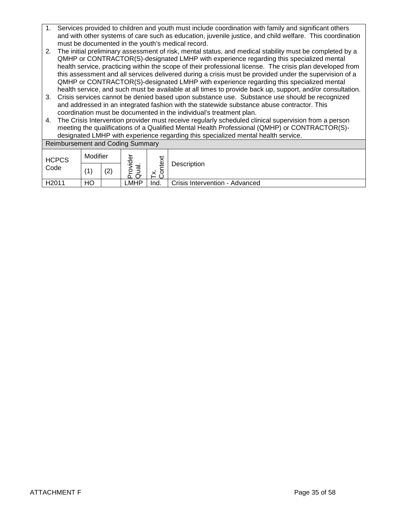- 1. Services provided to children and youth must include coordination with family and significant others and with other systems of care such as education, juvenile justice, and child welfare. This coordination must be documented in the youth's medical record.
- 2. The initial preliminary assessment of risk, mental status, and medical stability must be completed by a QMHP or CONTRACTOR(S)-designated LMHP with experience regarding this specialized mental health service, practicing within the scope of their professional license. The crisis plan developed from this assessment and all services delivered during a crisis must be provided under the supervision of a QMHP or CONTRACTOR(S)-designated LMHP with experience regarding this specialized mental health service, and such must be available at all times to provide back up, support, and/or consultation.
- 3. Crisis services cannot be denied based upon substance use. Substance use should be recognized and addressed in an integrated fashion with the statewide substance abuse contractor. This coordination must be documented in the individual's treatment plan.
- 4. The Crisis Intervention provider must receive regularly scheduled clinical supervision from a person meeting the qualifications of a Qualified Mental Health Professional (QMHP) or CONTRACTOR(S) designated LMHP with experience regarding this specialized mental health service.

| <b>Reimbursement and Coding Summary</b> |          |     |                    |      |                                |  |
|-----------------------------------------|----------|-----|--------------------|------|--------------------------------|--|
| <b>HCPCS</b>                            | Modifier |     | Φ<br>ठ             | ڤ    |                                |  |
| Code                                    | ′1       | (2) | <u>ত</u><br>o<br>൨ | ×    | Description                    |  |
| H <sub>2011</sub>                       | HO       |     | ∟MHP               | Ind. | Crisis Intervention - Advanced |  |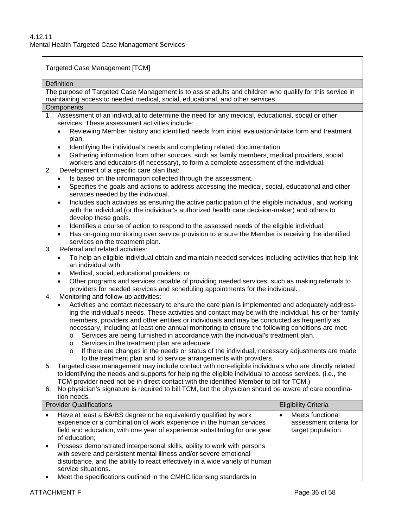Targeted Case Management [TCM]

|           | Definition                                                                                                                                                                                                              |                                               |  |  |  |  |  |  |  |
|-----------|-------------------------------------------------------------------------------------------------------------------------------------------------------------------------------------------------------------------------|-----------------------------------------------|--|--|--|--|--|--|--|
|           | The purpose of Targeted Case Management is to assist adults and children who qualify for this service in                                                                                                                |                                               |  |  |  |  |  |  |  |
|           | maintaining access to needed medical, social, educational, and other services.<br>Components                                                                                                                            |                                               |  |  |  |  |  |  |  |
|           | 1. Assessment of an individual to determine the need for any medical, educational, social or other                                                                                                                      |                                               |  |  |  |  |  |  |  |
|           | services. These assessment activities include:                                                                                                                                                                          |                                               |  |  |  |  |  |  |  |
|           | Reviewing Member history and identified needs from initial evaluation/intake form and treatment                                                                                                                         |                                               |  |  |  |  |  |  |  |
|           | plan.                                                                                                                                                                                                                   |                                               |  |  |  |  |  |  |  |
|           | Identifying the individual's needs and completing related documentation.<br>$\bullet$                                                                                                                                   |                                               |  |  |  |  |  |  |  |
|           | Gathering information from other sources, such as family members, medical providers, social<br>$\bullet$                                                                                                                |                                               |  |  |  |  |  |  |  |
| 2.        | workers and educators (if necessary), to form a complete assessment of the individual.<br>Development of a specific care plan that:                                                                                     |                                               |  |  |  |  |  |  |  |
|           | Is based on the information collected through the assessment.                                                                                                                                                           |                                               |  |  |  |  |  |  |  |
|           | Specifies the goals and actions to address accessing the medical, social, educational and other<br>$\bullet$                                                                                                            |                                               |  |  |  |  |  |  |  |
|           | services needed by the individual.                                                                                                                                                                                      |                                               |  |  |  |  |  |  |  |
|           | Includes such activities as ensuring the active participation of the eligible individual, and working<br>$\bullet$                                                                                                      |                                               |  |  |  |  |  |  |  |
|           | with the individual (or the individual's authorized health care decision-maker) and others to                                                                                                                           |                                               |  |  |  |  |  |  |  |
|           | develop these goals.                                                                                                                                                                                                    |                                               |  |  |  |  |  |  |  |
|           | Identifies a course of action to respond to the assessed needs of the eligible individual.<br>$\bullet$<br>Has on-going monitoring over service provision to ensure the Member is receiving the identified<br>$\bullet$ |                                               |  |  |  |  |  |  |  |
|           | services on the treatment plan.                                                                                                                                                                                         |                                               |  |  |  |  |  |  |  |
| 3.        | Referral and related activities:                                                                                                                                                                                        |                                               |  |  |  |  |  |  |  |
|           | To help an eligible individual obtain and maintain needed services including activities that help link                                                                                                                  |                                               |  |  |  |  |  |  |  |
|           | an individual with:                                                                                                                                                                                                     |                                               |  |  |  |  |  |  |  |
|           | Medical, social, educational providers; or<br>$\bullet$                                                                                                                                                                 |                                               |  |  |  |  |  |  |  |
|           | Other programs and services capable of providing needed services, such as making referrals to<br>$\bullet$                                                                                                              |                                               |  |  |  |  |  |  |  |
| 4.        | providers for needed services and scheduling appointments for the individual.<br>Monitoring and follow-up activities:                                                                                                   |                                               |  |  |  |  |  |  |  |
|           | Activities and contact necessary to ensure the care plan is implemented and adequately address-<br>$\bullet$                                                                                                            |                                               |  |  |  |  |  |  |  |
|           | ing the individual's needs. These activities and contact may be with the individual, his or her family                                                                                                                  |                                               |  |  |  |  |  |  |  |
|           | members, providers and other entities or individuals and may be conducted as frequently as                                                                                                                              |                                               |  |  |  |  |  |  |  |
|           | necessary, including at least one annual monitoring to ensure the following conditions are met:                                                                                                                         |                                               |  |  |  |  |  |  |  |
|           | Services are being furnished in accordance with the individual's treatment plan.<br>O                                                                                                                                   |                                               |  |  |  |  |  |  |  |
|           | Services in the treatment plan are adequate<br>$\circ$                                                                                                                                                                  |                                               |  |  |  |  |  |  |  |
|           | If there are changes in the needs or status of the individual, necessary adjustments are made<br>$\circ$<br>to the treatment plan and to service arrangements with providers.                                           |                                               |  |  |  |  |  |  |  |
| 5.        | Targeted case management may include contact with non-eligible individuals who are directly related                                                                                                                     |                                               |  |  |  |  |  |  |  |
|           | to identifying the needs and supports for helping the eligible individual to access services. (i.e., the                                                                                                                |                                               |  |  |  |  |  |  |  |
|           | TCM provider need not be in direct contact with the identified Member to bill for TCM.)                                                                                                                                 |                                               |  |  |  |  |  |  |  |
| 6.        | No physician's signature is required to bill TCM, but the physician should be aware of care coordina-                                                                                                                   |                                               |  |  |  |  |  |  |  |
|           | tion needs.<br><b>Provider Qualifications</b>                                                                                                                                                                           |                                               |  |  |  |  |  |  |  |
|           |                                                                                                                                                                                                                         | <b>Eligibility Criteria</b>                   |  |  |  |  |  |  |  |
| $\bullet$ | Have at least a BA/BS degree or be equivalently qualified by work                                                                                                                                                       | Meets functional                              |  |  |  |  |  |  |  |
|           | experience or a combination of work experience in the human services<br>field and education, with one year of experience substituting for one year                                                                      | assessment criteria for<br>target population. |  |  |  |  |  |  |  |
|           | of education;                                                                                                                                                                                                           |                                               |  |  |  |  |  |  |  |
| ٠         | Possess demonstrated interpersonal skills, ability to work with persons                                                                                                                                                 |                                               |  |  |  |  |  |  |  |
|           | with severe and persistent mental illness and/or severe emotional                                                                                                                                                       |                                               |  |  |  |  |  |  |  |
|           | disturbance, and the ability to react effectively in a wide variety of human                                                                                                                                            |                                               |  |  |  |  |  |  |  |
|           | service situations.                                                                                                                                                                                                     |                                               |  |  |  |  |  |  |  |

• Meet the specifications outlined in the CMHC licensing standards in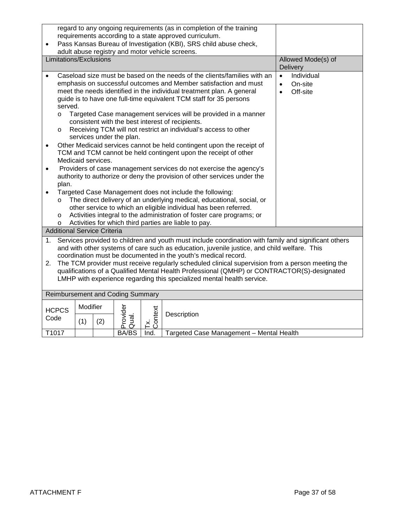|           | regard to any ongoing requirements (as in completion of the training<br>requirements according to a state approved curriculum.                                                                        |          |                    |                                  |                |                                                                                                                                             |                         |  |  |  |
|-----------|-------------------------------------------------------------------------------------------------------------------------------------------------------------------------------------------------------|----------|--------------------|----------------------------------|----------------|---------------------------------------------------------------------------------------------------------------------------------------------|-------------------------|--|--|--|
| $\bullet$ |                                                                                                                                                                                                       |          |                    |                                  |                | Pass Kansas Bureau of Investigation (KBI), SRS child abuse check,                                                                           |                         |  |  |  |
|           | adult abuse registry and motor vehicle screens.                                                                                                                                                       |          |                    |                                  |                |                                                                                                                                             |                         |  |  |  |
|           | Limitations/Exclusions                                                                                                                                                                                |          | Allowed Mode(s) of |                                  |                |                                                                                                                                             |                         |  |  |  |
|           |                                                                                                                                                                                                       |          |                    |                                  |                |                                                                                                                                             | Delivery                |  |  |  |
|           |                                                                                                                                                                                                       |          |                    |                                  |                | Caseload size must be based on the needs of the clients/families with an                                                                    | Individual<br>$\bullet$ |  |  |  |
|           |                                                                                                                                                                                                       |          |                    |                                  |                | emphasis on successful outcomes and Member satisfaction and must                                                                            | On-site<br>$\bullet$    |  |  |  |
|           |                                                                                                                                                                                                       |          |                    |                                  |                | meet the needs identified in the individual treatment plan. A general<br>guide is to have one full-time equivalent TCM staff for 35 persons | Off-site<br>$\bullet$   |  |  |  |
|           | served.                                                                                                                                                                                               |          |                    |                                  |                |                                                                                                                                             |                         |  |  |  |
|           | $\circ$                                                                                                                                                                                               |          |                    |                                  |                | Targeted Case management services will be provided in a manner                                                                              |                         |  |  |  |
|           |                                                                                                                                                                                                       |          |                    |                                  |                | consistent with the best interest of recipients.                                                                                            |                         |  |  |  |
|           | $\circ$                                                                                                                                                                                               |          |                    |                                  |                | Receiving TCM will not restrict an individual's access to other                                                                             |                         |  |  |  |
|           |                                                                                                                                                                                                       |          |                    | services under the plan.         |                |                                                                                                                                             |                         |  |  |  |
| $\bullet$ |                                                                                                                                                                                                       |          |                    |                                  |                | Other Medicaid services cannot be held contingent upon the receipt of<br>TCM and TCM cannot be held contingent upon the receipt of other    |                         |  |  |  |
|           |                                                                                                                                                                                                       |          | Medicaid services. |                                  |                |                                                                                                                                             |                         |  |  |  |
| $\bullet$ |                                                                                                                                                                                                       |          |                    |                                  |                | Providers of case management services do not exercise the agency's                                                                          |                         |  |  |  |
|           |                                                                                                                                                                                                       |          |                    |                                  |                | authority to authorize or deny the provision of other services under the                                                                    |                         |  |  |  |
|           | plan.                                                                                                                                                                                                 |          |                    |                                  |                |                                                                                                                                             |                         |  |  |  |
|           |                                                                                                                                                                                                       |          |                    |                                  |                | Targeted Case Management does not include the following:                                                                                    |                         |  |  |  |
|           | $\circ$                                                                                                                                                                                               |          |                    |                                  |                | The direct delivery of an underlying medical, educational, social, or                                                                       |                         |  |  |  |
|           | $\circ$                                                                                                                                                                                               |          |                    |                                  |                | other service to which an eligible individual has been referred.<br>Activities integral to the administration of foster care programs; or   |                         |  |  |  |
|           | $\circ$                                                                                                                                                                                               |          |                    |                                  |                |                                                                                                                                             |                         |  |  |  |
|           | Activities for which third parties are liable to pay.<br><b>Additional Service Criteria</b>                                                                                                           |          |                    |                                  |                |                                                                                                                                             |                         |  |  |  |
| 1.        |                                                                                                                                                                                                       |          |                    |                                  |                | Services provided to children and youth must include coordination with family and significant others                                        |                         |  |  |  |
|           |                                                                                                                                                                                                       |          |                    |                                  |                | and with other systems of care such as education, juvenile justice, and child welfare. This                                                 |                         |  |  |  |
|           |                                                                                                                                                                                                       |          |                    |                                  |                | coordination must be documented in the youth's medical record.                                                                              |                         |  |  |  |
|           | The TCM provider must receive regularly scheduled clinical supervision from a person meeting the<br>2.<br>qualifications of a Qualified Mental Health Professional (QMHP) or CONTRACTOR(S)-designated |          |                    |                                  |                |                                                                                                                                             |                         |  |  |  |
|           |                                                                                                                                                                                                       |          |                    |                                  |                |                                                                                                                                             |                         |  |  |  |
|           | LMHP with experience regarding this specialized mental health service.                                                                                                                                |          |                    |                                  |                |                                                                                                                                             |                         |  |  |  |
|           |                                                                                                                                                                                                       |          |                    | Reimbursement and Coding Summary |                |                                                                                                                                             |                         |  |  |  |
|           |                                                                                                                                                                                                       | Modifier |                    |                                  |                |                                                                                                                                             |                         |  |  |  |
|           | <b>HCPCS</b>                                                                                                                                                                                          |          |                    |                                  |                | Description                                                                                                                                 |                         |  |  |  |
| Code      |                                                                                                                                                                                                       | (1)      | (2)                | Provider<br>Qual.                | Tx.<br>Context |                                                                                                                                             |                         |  |  |  |
|           | T1017                                                                                                                                                                                                 |          |                    | <b>BA/BS</b>                     | Ind.           | Targeted Case Management - Mental Health                                                                                                    |                         |  |  |  |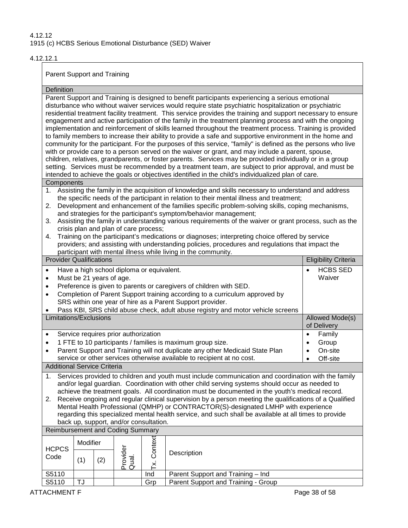### 4.12.12.1

Parent Support and Training

| Definition                                                                                                                                                                                                                                                                                                                                                                                                                                                                                                                                                                                                                                                              |                                                                                                                                                                                                                                                                                                                                                                                                                                                                                                                                                                                                                                                                                                                                                                                                                                                                                                                                                                                                                                                                                                                                                                                                                  |     |                                         |                |                                                                                                                                                                                                                                                                                                                                                                                                                                                                                                                                                                                                                                                                                                                                                           |                             |  |
|-------------------------------------------------------------------------------------------------------------------------------------------------------------------------------------------------------------------------------------------------------------------------------------------------------------------------------------------------------------------------------------------------------------------------------------------------------------------------------------------------------------------------------------------------------------------------------------------------------------------------------------------------------------------------|------------------------------------------------------------------------------------------------------------------------------------------------------------------------------------------------------------------------------------------------------------------------------------------------------------------------------------------------------------------------------------------------------------------------------------------------------------------------------------------------------------------------------------------------------------------------------------------------------------------------------------------------------------------------------------------------------------------------------------------------------------------------------------------------------------------------------------------------------------------------------------------------------------------------------------------------------------------------------------------------------------------------------------------------------------------------------------------------------------------------------------------------------------------------------------------------------------------|-----|-----------------------------------------|----------------|-----------------------------------------------------------------------------------------------------------------------------------------------------------------------------------------------------------------------------------------------------------------------------------------------------------------------------------------------------------------------------------------------------------------------------------------------------------------------------------------------------------------------------------------------------------------------------------------------------------------------------------------------------------------------------------------------------------------------------------------------------------|-----------------------------|--|
|                                                                                                                                                                                                                                                                                                                                                                                                                                                                                                                                                                                                                                                                         | Parent Support and Training is designed to benefit participants experiencing a serious emotional<br>disturbance who without waiver services would require state psychiatric hospitalization or psychiatric<br>residential treatment facility treatment. This service provides the training and support necessary to ensure<br>engagement and active participation of the family in the treatment planning process and with the ongoing<br>implementation and reinforcement of skills learned throughout the treatment process. Training is provided<br>to family members to increase their ability to provide a safe and supportive environment in the home and<br>community for the participant. For the purposes of this service, "family" is defined as the persons who live<br>with or provide care to a person served on the waiver or grant, and may include a parent, spouse,<br>children, relatives, grandparents, or foster parents. Services may be provided individually or in a group<br>setting. Services must be recommended by a treatment team, are subject to prior approval, and must be<br>intended to achieve the goals or objectives identified in the child's individualized plan of care. |     |                                         |                |                                                                                                                                                                                                                                                                                                                                                                                                                                                                                                                                                                                                                                                                                                                                                           |                             |  |
| Components                                                                                                                                                                                                                                                                                                                                                                                                                                                                                                                                                                                                                                                              |                                                                                                                                                                                                                                                                                                                                                                                                                                                                                                                                                                                                                                                                                                                                                                                                                                                                                                                                                                                                                                                                                                                                                                                                                  |     |                                         |                |                                                                                                                                                                                                                                                                                                                                                                                                                                                                                                                                                                                                                                                                                                                                                           |                             |  |
| 1.<br>2.<br>3.<br>4.                                                                                                                                                                                                                                                                                                                                                                                                                                                                                                                                                                                                                                                    |                                                                                                                                                                                                                                                                                                                                                                                                                                                                                                                                                                                                                                                                                                                                                                                                                                                                                                                                                                                                                                                                                                                                                                                                                  |     | crisis plan and plan of care process;   |                | Assisting the family in the acquisition of knowledge and skills necessary to understand and address<br>the specific needs of the participant in relation to their mental illness and treatment;<br>Development and enhancement of the families specific problem-solving skills, coping mechanisms,<br>and strategies for the participant's symptom/behavior management;<br>Assisting the family in understanding various requirements of the waiver or grant process, such as the<br>Training on the participant's medications or diagnoses; interpreting choice offered by service<br>providers; and assisting with understanding policies, procedures and regulations that impact the<br>participant with mental illness while living in the community. |                             |  |
| <b>Provider Qualifications</b>                                                                                                                                                                                                                                                                                                                                                                                                                                                                                                                                                                                                                                          |                                                                                                                                                                                                                                                                                                                                                                                                                                                                                                                                                                                                                                                                                                                                                                                                                                                                                                                                                                                                                                                                                                                                                                                                                  |     |                                         |                |                                                                                                                                                                                                                                                                                                                                                                                                                                                                                                                                                                                                                                                                                                                                                           | <b>Eligibility Criteria</b> |  |
| $\bullet$<br>$\bullet$<br>$\bullet$<br>$\bullet$                                                                                                                                                                                                                                                                                                                                                                                                                                                                                                                                                                                                                        | <b>HCBS SED</b><br>Have a high school diploma or equivalent.<br>$\bullet$<br>Waiver<br>Must be 21 years of age.<br>Preference is given to parents or caregivers of children with SED.<br>Completion of Parent Support training according to a curriculum approved by<br>SRS within one year of hire as a Parent Support provider.                                                                                                                                                                                                                                                                                                                                                                                                                                                                                                                                                                                                                                                                                                                                                                                                                                                                                |     |                                         |                |                                                                                                                                                                                                                                                                                                                                                                                                                                                                                                                                                                                                                                                                                                                                                           |                             |  |
|                                                                                                                                                                                                                                                                                                                                                                                                                                                                                                                                                                                                                                                                         | Pass KBI, SRS child abuse check, adult abuse registry and motor vehicle screens<br>Limitations/Exclusions<br>Allowed Mode(s)<br>of Delivery                                                                                                                                                                                                                                                                                                                                                                                                                                                                                                                                                                                                                                                                                                                                                                                                                                                                                                                                                                                                                                                                      |     |                                         |                |                                                                                                                                                                                                                                                                                                                                                                                                                                                                                                                                                                                                                                                                                                                                                           |                             |  |
| $\bullet$<br>$\bullet$<br>$\bullet$                                                                                                                                                                                                                                                                                                                                                                                                                                                                                                                                                                                                                                     | Service requires prior authorization<br>Family<br>$\bullet$<br>1 FTE to 10 participants / families is maximum group size.<br>Group<br>$\bullet$<br>Parent Support and Training will not duplicate any other Medicaid State Plan<br>On-site<br>$\bullet$<br>service or other services otherwise available to recipient at no cost.<br>Off-site<br>$\bullet$                                                                                                                                                                                                                                                                                                                                                                                                                                                                                                                                                                                                                                                                                                                                                                                                                                                       |     |                                         |                |                                                                                                                                                                                                                                                                                                                                                                                                                                                                                                                                                                                                                                                                                                                                                           |                             |  |
| <b>Additional Service Criteria</b>                                                                                                                                                                                                                                                                                                                                                                                                                                                                                                                                                                                                                                      |                                                                                                                                                                                                                                                                                                                                                                                                                                                                                                                                                                                                                                                                                                                                                                                                                                                                                                                                                                                                                                                                                                                                                                                                                  |     |                                         |                |                                                                                                                                                                                                                                                                                                                                                                                                                                                                                                                                                                                                                                                                                                                                                           |                             |  |
| Services provided to children and youth must include communication and coordination with the family<br>1.<br>and/or legal guardian. Coordination with other child serving systems should occur as needed to<br>achieve the treatment goals. All coordination must be documented in the youth's medical record.<br>Receive ongoing and regular clinical supervision by a person meeting the qualifications of a Qualified<br>2.<br>Mental Health Professional (QMHP) or CONTRACTOR(S)-designated LMHP with experience<br>regarding this specialized mental health service, and such shall be available at all times to provide<br>back up, support, and/or consultation. |                                                                                                                                                                                                                                                                                                                                                                                                                                                                                                                                                                                                                                                                                                                                                                                                                                                                                                                                                                                                                                                                                                                                                                                                                  |     |                                         |                |                                                                                                                                                                                                                                                                                                                                                                                                                                                                                                                                                                                                                                                                                                                                                           |                             |  |
|                                                                                                                                                                                                                                                                                                                                                                                                                                                                                                                                                                                                                                                                         |                                                                                                                                                                                                                                                                                                                                                                                                                                                                                                                                                                                                                                                                                                                                                                                                                                                                                                                                                                                                                                                                                                                                                                                                                  |     | <b>Reimbursement and Coding Summary</b> |                |                                                                                                                                                                                                                                                                                                                                                                                                                                                                                                                                                                                                                                                                                                                                                           |                             |  |
| <b>HCPCS</b><br>Code                                                                                                                                                                                                                                                                                                                                                                                                                                                                                                                                                                                                                                                    | Modifier<br>(1)                                                                                                                                                                                                                                                                                                                                                                                                                                                                                                                                                                                                                                                                                                                                                                                                                                                                                                                                                                                                                                                                                                                                                                                                  | (2) | Provider<br>Qual.                       | Context<br>Γ×. | Description                                                                                                                                                                                                                                                                                                                                                                                                                                                                                                                                                                                                                                                                                                                                               |                             |  |
| S5110                                                                                                                                                                                                                                                                                                                                                                                                                                                                                                                                                                                                                                                                   |                                                                                                                                                                                                                                                                                                                                                                                                                                                                                                                                                                                                                                                                                                                                                                                                                                                                                                                                                                                                                                                                                                                                                                                                                  |     |                                         | Ind            | Parent Support and Training - Ind                                                                                                                                                                                                                                                                                                                                                                                                                                                                                                                                                                                                                                                                                                                         |                             |  |
| S5110                                                                                                                                                                                                                                                                                                                                                                                                                                                                                                                                                                                                                                                                   | TJ                                                                                                                                                                                                                                                                                                                                                                                                                                                                                                                                                                                                                                                                                                                                                                                                                                                                                                                                                                                                                                                                                                                                                                                                               |     |                                         | Grp            | Parent Support and Training - Group                                                                                                                                                                                                                                                                                                                                                                                                                                                                                                                                                                                                                                                                                                                       |                             |  |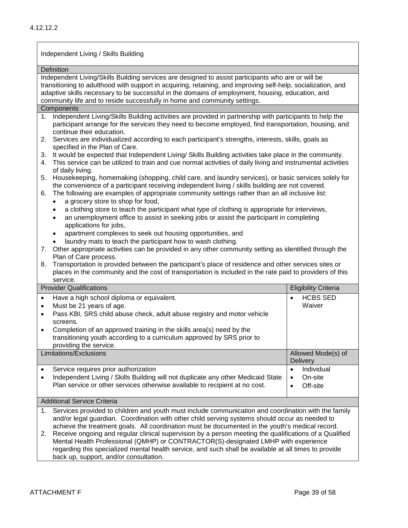Independent Living / Skills Building

**Definition** Independent Living/Skills Building services are designed to assist participants who are or will be transitioning to adulthood with support in acquiring, retaining, and improving self-help, socialization, and adaptive skills necessary to be successful in the domains of employment, housing, education, and community life and to reside successfully in home and community settings. **Components** 1. Independent Living/Skills Building activities are provided in partnership with participants to help the participant arrange for the services they need to become employed, find transportation, housing, and continue their education. 2. Services are individualized according to each participant's strengths, interests, skills, goals as specified in the Plan of Care. 3. It would be expected that Independent Living/ Skills Building activities take place in the community. 4. This service can be utilized to train and cue normal activities of daily living and instrumental activities of daily living. 5. Housekeeping, homemaking (shopping, child care, and laundry services), or basic services solely for the convenience of a participant receiving independent living / skills building are not covered. 6. The following are examples of appropriate community settings rather than an all inclusive list: • a grocery store to shop for food, • a clothing store to teach the participant what type of clothing is appropriate for interviews, • an unemployment office to assist in seeking jobs or assist the participant in completing applications for jobs, • apartment complexes to seek out housing opportunities, and laundry mats to teach the participant how to wash clothing. 7. Other appropriate activities can be provided in any other community setting as identified through the Plan of Care process. 8. Transportation is provided between the participant's place of residence and other services sites or places in the community and the cost of transportation is included in the rate paid to providers of this service. Provider Qualifications **Eligibility Criteria** Eligibility Criteria • Have a high school diploma or equivalent. • Must be 21 years of age. • Pass KBI, SRS child abuse check, adult abuse registry and motor vehicle screens. • Completion of an approved training in the skills area(s) need by the transitioning youth according to a curriculum approved by SRS prior to providing the service. • HCBS SED Waiver Limitations/Exclusions Allowed Mode(s) of **Delivery** Service requires prior authorization • Independent Living / Skills Building will not duplicate any other Medicaid State Plan service or other services otherwise available to recipient at no cost. • Individual • On-site • Off-site Additional Service Criteria 1. Services provided to children and youth must include communication and coordination with the family and/or legal guardian. Coordination with other child serving systems should occur as needed to achieve the treatment goals. All coordination must be documented in the youth's medical record. 2. Receive ongoing and regular clinical supervision by a person meeting the qualifications of a Qualified Mental Health Professional (QMHP) or CONTRACTOR(S)-designated LMHP with experience

regarding this specialized mental health service, and such shall be available at all times to provide back up, support, and/or consultation.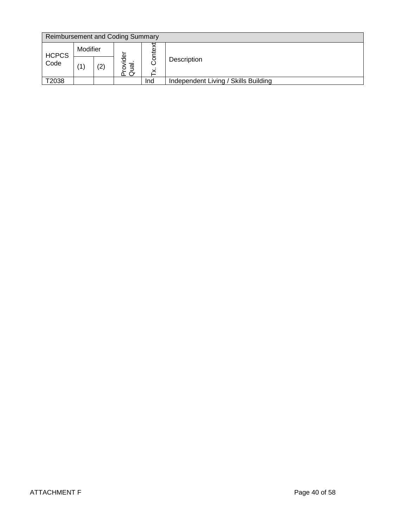|              | <b>Reimbursement and Coding Summary</b> |     |                                     |     |                                      |  |  |
|--------------|-----------------------------------------|-----|-------------------------------------|-----|--------------------------------------|--|--|
| <b>HCPCS</b> | Modifier                                |     | Φ                                   | ₽   |                                      |  |  |
| Code         |                                         | (2) | $\overline{\mathfrak{a}}$<br>$\sim$ | ō   | Description                          |  |  |
| T2038        |                                         |     |                                     | Ind | Independent Living / Skills Building |  |  |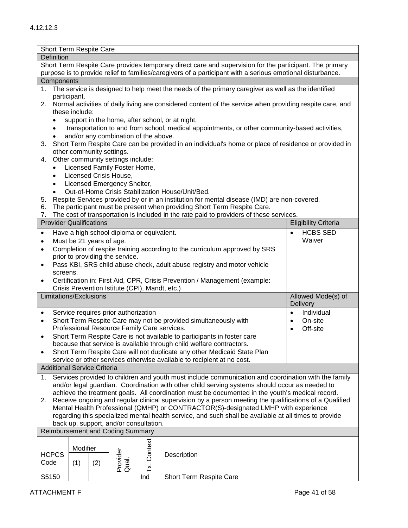| Short Term Respite Care                                                                                 |                                                                                                                                                    |                      |                                                |               |                                                                                                             |                             |  |  |
|---------------------------------------------------------------------------------------------------------|----------------------------------------------------------------------------------------------------------------------------------------------------|----------------------|------------------------------------------------|---------------|-------------------------------------------------------------------------------------------------------------|-----------------------------|--|--|
| Definition                                                                                              |                                                                                                                                                    |                      |                                                |               |                                                                                                             |                             |  |  |
| Short Term Respite Care provides temporary direct care and supervision for the participant. The primary |                                                                                                                                                    |                      |                                                |               |                                                                                                             |                             |  |  |
|                                                                                                         | purpose is to provide relief to families/caregivers of a participant with a serious emotional disturbance.                                         |                      |                                                |               |                                                                                                             |                             |  |  |
| Components                                                                                              |                                                                                                                                                    |                      |                                                |               |                                                                                                             |                             |  |  |
| 1.                                                                                                      |                                                                                                                                                    |                      |                                                |               | The service is designed to help meet the needs of the primary caregiver as well as the identified           |                             |  |  |
|                                                                                                         | participant.                                                                                                                                       |                      |                                                |               |                                                                                                             |                             |  |  |
|                                                                                                         |                                                                                                                                                    |                      |                                                |               | 2. Normal activities of daily living are considered content of the service when providing respite care, and |                             |  |  |
|                                                                                                         | these include:                                                                                                                                     |                      |                                                |               |                                                                                                             |                             |  |  |
|                                                                                                         |                                                                                                                                                    |                      |                                                |               | support in the home, after school, or at night,                                                             |                             |  |  |
| $\bullet$                                                                                               |                                                                                                                                                    |                      |                                                |               | transportation to and from school, medical appointments, or other community-based activities,               |                             |  |  |
|                                                                                                         |                                                                                                                                                    |                      | and/or any combination of the above.           |               |                                                                                                             |                             |  |  |
| 3.                                                                                                      |                                                                                                                                                    |                      |                                                |               | Short Term Respite Care can be provided in an individual's home or place of residence or provided in        |                             |  |  |
|                                                                                                         | other community settings.                                                                                                                          |                      |                                                |               |                                                                                                             |                             |  |  |
| 4.                                                                                                      |                                                                                                                                                    |                      | Other community settings include:              |               |                                                                                                             |                             |  |  |
| $\bullet$                                                                                               |                                                                                                                                                    |                      | Licensed Family Foster Home,                   |               |                                                                                                             |                             |  |  |
| $\bullet$                                                                                               |                                                                                                                                                    |                      | Licensed Crisis House,                         |               |                                                                                                             |                             |  |  |
| $\bullet$                                                                                               |                                                                                                                                                    |                      | Licensed Emergency Shelter,                    |               |                                                                                                             |                             |  |  |
| $\bullet$                                                                                               |                                                                                                                                                    |                      |                                                |               | Out-of-Home Crisis Stabilization House/Unit/Bed.                                                            |                             |  |  |
| 5.                                                                                                      |                                                                                                                                                    |                      |                                                |               | Respite Services provided by or in an institution for mental disease (IMD) are non-covered.                 |                             |  |  |
| 6.                                                                                                      |                                                                                                                                                    |                      |                                                |               | The participant must be present when providing Short Term Respite Care.                                     |                             |  |  |
| 7.                                                                                                      |                                                                                                                                                    |                      |                                                |               | The cost of transportation is included in the rate paid to providers of these services.                     |                             |  |  |
|                                                                                                         | <b>Provider Qualifications</b>                                                                                                                     |                      |                                                |               |                                                                                                             | <b>Eligibility Criteria</b> |  |  |
|                                                                                                         |                                                                                                                                                    |                      |                                                |               |                                                                                                             |                             |  |  |
| $\bullet$                                                                                               |                                                                                                                                                    |                      | Have a high school diploma or equivalent.      |               |                                                                                                             | <b>HCBS SED</b>             |  |  |
| ٠                                                                                                       | Must be 21 years of age.                                                                                                                           |                      |                                                |               |                                                                                                             | Waiver                      |  |  |
| $\bullet$                                                                                               |                                                                                                                                                    |                      |                                                |               | Completion of respite training according to the curriculum approved by SRS                                  |                             |  |  |
|                                                                                                         |                                                                                                                                                    |                      | prior to providing the service.                |               |                                                                                                             |                             |  |  |
|                                                                                                         |                                                                                                                                                    |                      |                                                |               | Pass KBI, SRS child abuse check, adult abuse registry and motor vehicle                                     |                             |  |  |
|                                                                                                         | screens.                                                                                                                                           |                      |                                                |               |                                                                                                             |                             |  |  |
|                                                                                                         |                                                                                                                                                    |                      |                                                |               | Certification in: First Aid, CPR, Crisis Prevention / Management (example:                                  |                             |  |  |
|                                                                                                         |                                                                                                                                                    |                      | Crisis Prevention Istitute (CPI), Mandt, etc.) |               |                                                                                                             |                             |  |  |
|                                                                                                         | Limitations/Exclusions<br>Allowed Mode(s) of                                                                                                       |                      |                                                |               |                                                                                                             |                             |  |  |
|                                                                                                         |                                                                                                                                                    |                      |                                                |               |                                                                                                             | <b>Delivery</b>             |  |  |
| $\bullet$                                                                                               |                                                                                                                                                    |                      | Service requires prior authorization           |               |                                                                                                             | Individual<br>$\bullet$     |  |  |
| ٠                                                                                                       |                                                                                                                                                    | On-site<br>$\bullet$ |                                                |               |                                                                                                             |                             |  |  |
|                                                                                                         | Short Term Respite Care may not be provided simultaneously with<br>Professional Resource Family Care services.<br>Off-site<br>$\bullet$            |                      |                                                |               |                                                                                                             |                             |  |  |
| ٠                                                                                                       |                                                                                                                                                    |                      |                                                |               | Short Term Respite Care is not available to participants in foster care                                     |                             |  |  |
|                                                                                                         |                                                                                                                                                    |                      |                                                |               | because that service is available through child welfare contractors.                                        |                             |  |  |
|                                                                                                         |                                                                                                                                                    |                      |                                                |               |                                                                                                             |                             |  |  |
|                                                                                                         | Short Term Respite Care will not duplicate any other Medicaid State Plan<br>service or other services otherwise available to recipient at no cost. |                      |                                                |               |                                                                                                             |                             |  |  |
| <b>Additional Service Criteria</b>                                                                      |                                                                                                                                                    |                      |                                                |               |                                                                                                             |                             |  |  |
| 1.                                                                                                      | Services provided to children and youth must include communication and coordination with the family                                                |                      |                                                |               |                                                                                                             |                             |  |  |
|                                                                                                         |                                                                                                                                                    |                      |                                                |               |                                                                                                             |                             |  |  |
|                                                                                                         | and/or legal guardian. Coordination with other child serving systems should occur as needed to                                                     |                      |                                                |               |                                                                                                             |                             |  |  |
|                                                                                                         | achieve the treatment goals. All coordination must be documented in the youth's medical record.                                                    |                      |                                                |               |                                                                                                             |                             |  |  |
|                                                                                                         | Receive ongoing and regular clinical supervision by a person meeting the qualifications of a Qualified<br>2.                                       |                      |                                                |               |                                                                                                             |                             |  |  |
|                                                                                                         | Mental Health Professional (QMHP) or CONTRACTOR(S)-designated LMHP with experience                                                                 |                      |                                                |               |                                                                                                             |                             |  |  |
| regarding this specialized mental health service, and such shall be available at all times to provide   |                                                                                                                                                    |                      |                                                |               |                                                                                                             |                             |  |  |
| back up, support, and/or consultation.<br><b>Reimbursement and Coding Summary</b>                       |                                                                                                                                                    |                      |                                                |               |                                                                                                             |                             |  |  |
|                                                                                                         |                                                                                                                                                    |                      |                                                |               |                                                                                                             |                             |  |  |
|                                                                                                         |                                                                                                                                                    |                      |                                                | Context       |                                                                                                             |                             |  |  |
|                                                                                                         | Modifier                                                                                                                                           |                      |                                                |               |                                                                                                             |                             |  |  |
| <b>HCPCS</b>                                                                                            |                                                                                                                                                    |                      |                                                |               | Description                                                                                                 |                             |  |  |
| Code                                                                                                    | (1)                                                                                                                                                | (2)                  | Provider<br>Qual.                              | $\check{\Xi}$ |                                                                                                             |                             |  |  |
| S5150                                                                                                   |                                                                                                                                                    |                      |                                                | Ind           | Short Term Respite Care                                                                                     |                             |  |  |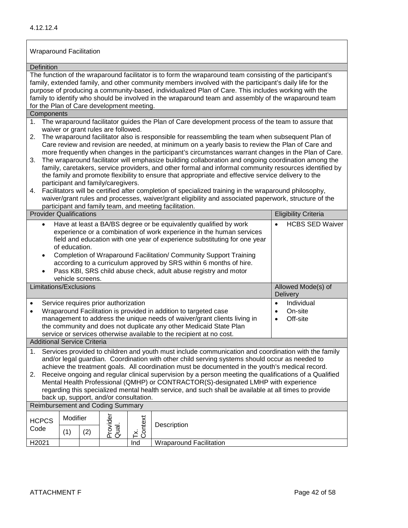| <b>Wraparound Facilitation</b>                                                                                                                                                                                                                                                                                                                                                                                                                                                                                       |                                                                                                                                                                                                                                                                                                                                                                                                                                                                                                                                                                                                                                                                                                                                                                                                                                                                                              |  |                                        |     |                                                                                                                                                                                                                                                                                                                                                                                                                                      |                                     |  |
|----------------------------------------------------------------------------------------------------------------------------------------------------------------------------------------------------------------------------------------------------------------------------------------------------------------------------------------------------------------------------------------------------------------------------------------------------------------------------------------------------------------------|----------------------------------------------------------------------------------------------------------------------------------------------------------------------------------------------------------------------------------------------------------------------------------------------------------------------------------------------------------------------------------------------------------------------------------------------------------------------------------------------------------------------------------------------------------------------------------------------------------------------------------------------------------------------------------------------------------------------------------------------------------------------------------------------------------------------------------------------------------------------------------------------|--|----------------------------------------|-----|--------------------------------------------------------------------------------------------------------------------------------------------------------------------------------------------------------------------------------------------------------------------------------------------------------------------------------------------------------------------------------------------------------------------------------------|-------------------------------------|--|
| Definition                                                                                                                                                                                                                                                                                                                                                                                                                                                                                                           |                                                                                                                                                                                                                                                                                                                                                                                                                                                                                                                                                                                                                                                                                                                                                                                                                                                                                              |  |                                        |     |                                                                                                                                                                                                                                                                                                                                                                                                                                      |                                     |  |
| for the Plan of Care development meeting.                                                                                                                                                                                                                                                                                                                                                                                                                                                                            |                                                                                                                                                                                                                                                                                                                                                                                                                                                                                                                                                                                                                                                                                                                                                                                                                                                                                              |  |                                        |     | The function of the wraparound facilitator is to form the wraparound team consisting of the participant's<br>family, extended family, and other community members involved with the participant's daily life for the<br>purpose of producing a community-based, individualized Plan of Care. This includes working with the<br>family to identify who should be involved in the wraparound team and assembly of the wraparound team  |                                     |  |
| Components                                                                                                                                                                                                                                                                                                                                                                                                                                                                                                           |                                                                                                                                                                                                                                                                                                                                                                                                                                                                                                                                                                                                                                                                                                                                                                                                                                                                                              |  |                                        |     |                                                                                                                                                                                                                                                                                                                                                                                                                                      |                                     |  |
| 1.                                                                                                                                                                                                                                                                                                                                                                                                                                                                                                                   |                                                                                                                                                                                                                                                                                                                                                                                                                                                                                                                                                                                                                                                                                                                                                                                                                                                                                              |  | waiver or grant rules are followed.    |     | The wraparound facilitator guides the Plan of Care development process of the team to assure that                                                                                                                                                                                                                                                                                                                                    |                                     |  |
| 2.<br>3.<br>4.                                                                                                                                                                                                                                                                                                                                                                                                                                                                                                       | The wraparound facilitator also is responsible for reassembling the team when subsequent Plan of<br>Care review and revision are needed, at minimum on a yearly basis to review the Plan of Care and<br>more frequently when changes in the participant's circumstances warrant changes in the Plan of Care.<br>The wraparound facilitator will emphasize building collaboration and ongoing coordination among the<br>family, caretakers, service providers, and other formal and informal community resources identified by<br>the family and promote flexibility to ensure that appropriate and effective service delivery to the<br>participant and family/caregivers.<br>Facilitators will be certified after completion of specialized training in the wraparound philosophy,<br>waiver/grant rules and processes, waiver/grant eligibility and associated paperwork, structure of the |  |                                        |     |                                                                                                                                                                                                                                                                                                                                                                                                                                      |                                     |  |
| <b>Provider Qualifications</b>                                                                                                                                                                                                                                                                                                                                                                                                                                                                                       |                                                                                                                                                                                                                                                                                                                                                                                                                                                                                                                                                                                                                                                                                                                                                                                                                                                                                              |  |                                        |     | participant and family team, and meeting facilitation.                                                                                                                                                                                                                                                                                                                                                                               | <b>Eligibility Criteria</b>         |  |
| $\bullet$<br>$\bullet$<br>$\bullet$                                                                                                                                                                                                                                                                                                                                                                                                                                                                                  | of education.<br>vehicle screens.                                                                                                                                                                                                                                                                                                                                                                                                                                                                                                                                                                                                                                                                                                                                                                                                                                                            |  |                                        |     | Have at least a BA/BS degree or be equivalently qualified by work<br>experience or a combination of work experience in the human services<br>field and education with one year of experience substituting for one year<br>Completion of Wraparound Facilitation/ Community Support Training<br>according to a curriculum approved by SRS within 6 months of hire.<br>Pass KBI, SRS child abuse check, adult abuse registry and motor | <b>HCBS SED Waiver</b><br>$\bullet$ |  |
| Limitations/Exclusions                                                                                                                                                                                                                                                                                                                                                                                                                                                                                               |                                                                                                                                                                                                                                                                                                                                                                                                                                                                                                                                                                                                                                                                                                                                                                                                                                                                                              |  |                                        |     |                                                                                                                                                                                                                                                                                                                                                                                                                                      | Allowed Mode(s) of<br>Delivery      |  |
| Service requires prior authorization<br>$\bullet$<br>Wraparound Facilitation is provided in addition to targeted case<br>$\bullet$<br>management to address the unique needs of waiver/grant clients living in<br>the community and does not duplicate any other Medicaid State Plan<br>service or services otherwise available to the recipient at no cost.                                                                                                                                                         |                                                                                                                                                                                                                                                                                                                                                                                                                                                                                                                                                                                                                                                                                                                                                                                                                                                                                              |  |                                        |     | Individual<br>$\bullet$<br>On-site<br>$\bullet$<br>Off-site<br>$\bullet$                                                                                                                                                                                                                                                                                                                                                             |                                     |  |
| <b>Additional Service Criteria</b>                                                                                                                                                                                                                                                                                                                                                                                                                                                                                   |                                                                                                                                                                                                                                                                                                                                                                                                                                                                                                                                                                                                                                                                                                                                                                                                                                                                                              |  |                                        |     |                                                                                                                                                                                                                                                                                                                                                                                                                                      |                                     |  |
| Services provided to children and youth must include communication and coordination with the family<br>1.<br>and/or legal guardian. Coordination with other child serving systems should occur as needed to<br>achieve the treatment goals. All coordination must be documented in the youth's medical record.<br>Receive ongoing and regular clinical supervision by a person meeting the qualifications of a Qualified<br>2.<br>Mental Health Professional (QMHP) or CONTRACTOR(S)-designated LMHP with experience |                                                                                                                                                                                                                                                                                                                                                                                                                                                                                                                                                                                                                                                                                                                                                                                                                                                                                              |  |                                        |     |                                                                                                                                                                                                                                                                                                                                                                                                                                      |                                     |  |
|                                                                                                                                                                                                                                                                                                                                                                                                                                                                                                                      |                                                                                                                                                                                                                                                                                                                                                                                                                                                                                                                                                                                                                                                                                                                                                                                                                                                                                              |  | back up, support, and/or consultation. |     | regarding this specialized mental health service, and such shall be available at all times to provide                                                                                                                                                                                                                                                                                                                                |                                     |  |
| <b>Reimbursement and Coding Summary</b>                                                                                                                                                                                                                                                                                                                                                                                                                                                                              |                                                                                                                                                                                                                                                                                                                                                                                                                                                                                                                                                                                                                                                                                                                                                                                                                                                                                              |  |                                        |     |                                                                                                                                                                                                                                                                                                                                                                                                                                      |                                     |  |
| Provider<br>Qual.<br>Modifier<br>Context<br><b>HCPCS</b><br>Description<br>Code<br>(1)<br>(2)<br>Ĕ                                                                                                                                                                                                                                                                                                                                                                                                                   |                                                                                                                                                                                                                                                                                                                                                                                                                                                                                                                                                                                                                                                                                                                                                                                                                                                                                              |  |                                        |     |                                                                                                                                                                                                                                                                                                                                                                                                                                      |                                     |  |
| H2021                                                                                                                                                                                                                                                                                                                                                                                                                                                                                                                |                                                                                                                                                                                                                                                                                                                                                                                                                                                                                                                                                                                                                                                                                                                                                                                                                                                                                              |  |                                        | Ind | <b>Wraparound Facilitation</b>                                                                                                                                                                                                                                                                                                                                                                                                       |                                     |  |
|                                                                                                                                                                                                                                                                                                                                                                                                                                                                                                                      |                                                                                                                                                                                                                                                                                                                                                                                                                                                                                                                                                                                                                                                                                                                                                                                                                                                                                              |  |                                        |     |                                                                                                                                                                                                                                                                                                                                                                                                                                      |                                     |  |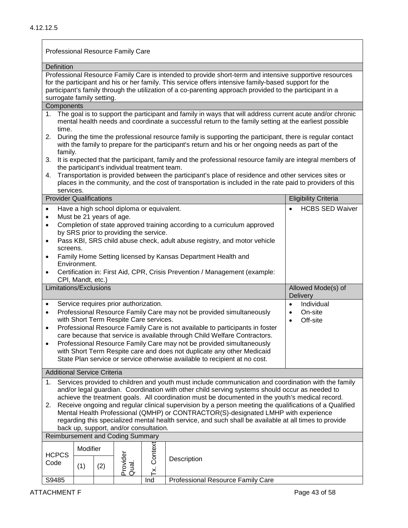# Professional Resource Family Care

| Definition                                                                                             |                                                                                                                                                                                                                                                                  |                          |                                           |         |                                                                                                          |                             |  |  |
|--------------------------------------------------------------------------------------------------------|------------------------------------------------------------------------------------------------------------------------------------------------------------------------------------------------------------------------------------------------------------------|--------------------------|-------------------------------------------|---------|----------------------------------------------------------------------------------------------------------|-----------------------------|--|--|
| Professional Resource Family Care is intended to provide short-term and intensive supportive resources |                                                                                                                                                                                                                                                                  |                          |                                           |         |                                                                                                          |                             |  |  |
|                                                                                                        |                                                                                                                                                                                                                                                                  |                          |                                           |         | for the participant and his or her family. This service offers intensive family-based support for the    |                             |  |  |
|                                                                                                        |                                                                                                                                                                                                                                                                  |                          |                                           |         | participant's family through the utilization of a co-parenting approach provided to the participant in a |                             |  |  |
| surrogate family setting.<br>Components                                                                |                                                                                                                                                                                                                                                                  |                          |                                           |         |                                                                                                          |                             |  |  |
|                                                                                                        |                                                                                                                                                                                                                                                                  |                          |                                           |         |                                                                                                          |                             |  |  |
| time.                                                                                                  | 1. The goal is to support the participant and family in ways that will address current acute and/or chronic<br>mental health needs and coordinate a successful return to the family setting at the earliest possible                                             |                          |                                           |         |                                                                                                          |                             |  |  |
| 2.                                                                                                     | During the time the professional resource family is supporting the participant, there is regular contact<br>with the family to prepare for the participant's return and his or her ongoing needs as part of the<br>family.                                       |                          |                                           |         |                                                                                                          |                             |  |  |
| 3.                                                                                                     |                                                                                                                                                                                                                                                                  |                          |                                           |         | It is expected that the participant, family and the professional resource family are integral members of |                             |  |  |
| 4.<br>services.                                                                                        | the participant's individual treatment team.<br>Transportation is provided between the participant's place of residence and other services sites or<br>places in the community, and the cost of transportation is included in the rate paid to providers of this |                          |                                           |         |                                                                                                          |                             |  |  |
| <b>Provider Qualifications</b>                                                                         |                                                                                                                                                                                                                                                                  |                          |                                           |         |                                                                                                          | <b>Eligibility Criteria</b> |  |  |
| $\bullet$                                                                                              |                                                                                                                                                                                                                                                                  |                          | Have a high school diploma or equivalent. |         |                                                                                                          | <b>HCBS SED Waiver</b>      |  |  |
| $\bullet$                                                                                              |                                                                                                                                                                                                                                                                  | Must be 21 years of age. |                                           |         |                                                                                                          |                             |  |  |
| $\bullet$                                                                                              |                                                                                                                                                                                                                                                                  |                          |                                           |         | Completion of state approved training according to a curriculum approved                                 |                             |  |  |
|                                                                                                        |                                                                                                                                                                                                                                                                  |                          | by SRS prior to providing the service.    |         |                                                                                                          |                             |  |  |
| $\bullet$                                                                                              | Pass KBI, SRS child abuse check, adult abuse registry, and motor vehicle                                                                                                                                                                                         |                          |                                           |         |                                                                                                          |                             |  |  |
| $\bullet$                                                                                              | screens.<br>Family Home Setting licensed by Kansas Department Health and                                                                                                                                                                                         |                          |                                           |         |                                                                                                          |                             |  |  |
| $\bullet$                                                                                              | Environment.<br>Certification in: First Aid, CPR, Crisis Prevention / Management (example:                                                                                                                                                                       |                          |                                           |         |                                                                                                          |                             |  |  |
|                                                                                                        | CPI, Mandt, etc.)                                                                                                                                                                                                                                                |                          |                                           |         |                                                                                                          |                             |  |  |
| Limitations/Exclusions                                                                                 |                                                                                                                                                                                                                                                                  |                          |                                           |         | Allowed Mode(s) of<br>Delivery                                                                           |                             |  |  |
| $\bullet$                                                                                              |                                                                                                                                                                                                                                                                  |                          | Service requires prior authorization.     |         |                                                                                                          | Individual<br>$\bullet$     |  |  |
| $\bullet$                                                                                              | Professional Resource Family Care may not be provided simultaneously<br>$\bullet$                                                                                                                                                                                |                          |                                           |         |                                                                                                          |                             |  |  |
| $\bullet$                                                                                              | with Short Term Respite Care services.<br>Off-site<br>Professional Resource Family Care is not available to participants in foster                                                                                                                               |                          |                                           |         |                                                                                                          |                             |  |  |
|                                                                                                        | care because that service is available through Child Welfare Contractors.                                                                                                                                                                                        |                          |                                           |         |                                                                                                          |                             |  |  |
| $\bullet$                                                                                              | Professional Resource Family Care may not be provided simultaneously                                                                                                                                                                                             |                          |                                           |         |                                                                                                          |                             |  |  |
|                                                                                                        | with Short Term Respite care and does not duplicate any other Medicaid                                                                                                                                                                                           |                          |                                           |         |                                                                                                          |                             |  |  |
|                                                                                                        | State Plan service or service otherwise available to recipient at no cost.                                                                                                                                                                                       |                          |                                           |         |                                                                                                          |                             |  |  |
| <b>Additional Service Criteria</b>                                                                     |                                                                                                                                                                                                                                                                  |                          |                                           |         |                                                                                                          |                             |  |  |
| 1.                                                                                                     | Services provided to children and youth must include communication and coordination with the family                                                                                                                                                              |                          |                                           |         |                                                                                                          |                             |  |  |
| and/or legal guardian. Coordination with other child serving systems should occur as needed to         |                                                                                                                                                                                                                                                                  |                          |                                           |         |                                                                                                          |                             |  |  |
| 2.                                                                                                     | achieve the treatment goals. All coordination must be documented in the youth's medical record.<br>Receive ongoing and regular clinical supervision by a person meeting the qualifications of a Qualified                                                        |                          |                                           |         |                                                                                                          |                             |  |  |
| Mental Health Professional (QMHP) or CONTRACTOR(S)-designated LMHP with experience                     |                                                                                                                                                                                                                                                                  |                          |                                           |         |                                                                                                          |                             |  |  |
| regarding this specialized mental health service, and such shall be available at all times to provide  |                                                                                                                                                                                                                                                                  |                          |                                           |         |                                                                                                          |                             |  |  |
| back up, support, and/or consultation.                                                                 |                                                                                                                                                                                                                                                                  |                          |                                           |         |                                                                                                          |                             |  |  |
| <b>Reimbursement and Coding Summary</b>                                                                |                                                                                                                                                                                                                                                                  |                          |                                           |         |                                                                                                          |                             |  |  |
|                                                                                                        | Modifier                                                                                                                                                                                                                                                         |                          |                                           |         |                                                                                                          |                             |  |  |
| <b>HCPCS</b>                                                                                           |                                                                                                                                                                                                                                                                  |                          |                                           | Context | Description                                                                                              |                             |  |  |
| Code                                                                                                   | (1)                                                                                                                                                                                                                                                              | (2)                      | Provider<br>Qual.                         |         |                                                                                                          |                             |  |  |
|                                                                                                        |                                                                                                                                                                                                                                                                  |                          |                                           | Ĕ.      |                                                                                                          |                             |  |  |
| S9485                                                                                                  |                                                                                                                                                                                                                                                                  |                          |                                           | Ind     | Professional Resource Family Care                                                                        |                             |  |  |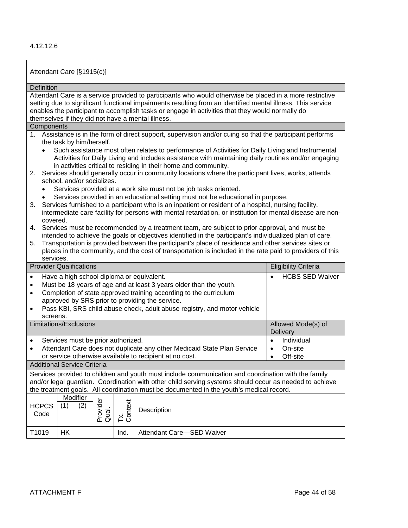| Attendant Care [§1915(c)]                                                                                                                                                                         |                                                                                                                                                                                                                                                                                                                                                                                 |                         |                   |                |                                                                                                                                                                        |                        |  |  |
|---------------------------------------------------------------------------------------------------------------------------------------------------------------------------------------------------|---------------------------------------------------------------------------------------------------------------------------------------------------------------------------------------------------------------------------------------------------------------------------------------------------------------------------------------------------------------------------------|-------------------------|-------------------|----------------|------------------------------------------------------------------------------------------------------------------------------------------------------------------------|------------------------|--|--|
|                                                                                                                                                                                                   | <b>Definition</b>                                                                                                                                                                                                                                                                                                                                                               |                         |                   |                |                                                                                                                                                                        |                        |  |  |
|                                                                                                                                                                                                   | Attendant Care is a service provided to participants who would otherwise be placed in a more restrictive<br>setting due to significant functional impairments resulting from an identified mental illness. This service<br>enables the participant to accomplish tasks or engage in activities that they would normally do<br>themselves if they did not have a mental illness. |                         |                   |                |                                                                                                                                                                        |                        |  |  |
| Components                                                                                                                                                                                        |                                                                                                                                                                                                                                                                                                                                                                                 |                         |                   |                |                                                                                                                                                                        |                        |  |  |
|                                                                                                                                                                                                   | 1. Assistance is in the form of direct support, supervision and/or cuing so that the participant performs<br>the task by him/herself.<br>Such assistance most often relates to performance of Activities for Daily Living and Instrumental                                                                                                                                      |                         |                   |                |                                                                                                                                                                        |                        |  |  |
|                                                                                                                                                                                                   |                                                                                                                                                                                                                                                                                                                                                                                 |                         |                   |                | Activities for Daily Living and includes assistance with maintaining daily routines and/or engaging<br>in activities critical to residing in their home and community. |                        |  |  |
|                                                                                                                                                                                                   | 2. Services should generally occur in community locations where the participant lives, works, attends<br>school, and/or socializes.<br>Services provided at a work site must not be job tasks oriented.                                                                                                                                                                         |                         |                   |                |                                                                                                                                                                        |                        |  |  |
| 3.                                                                                                                                                                                                | Services provided in an educational setting must not be educational in purpose.<br>Services furnished to a participant who is an inpatient or resident of a hospital, nursing facility,<br>intermediate care facility for persons with mental retardation, or institution for mental disease are non-                                                                           |                         |                   |                |                                                                                                                                                                        |                        |  |  |
| 4.                                                                                                                                                                                                | covered.<br>Services must be recommended by a treatment team, are subject to prior approval, and must be<br>intended to achieve the goals or objectives identified in the participant's individualized plan of care.                                                                                                                                                            |                         |                   |                |                                                                                                                                                                        |                        |  |  |
| 5.                                                                                                                                                                                                | Transportation is provided between the participant's place of residence and other services sites or<br>places in the community, and the cost of transportation is included in the rate paid to providers of this                                                                                                                                                                |                         |                   |                |                                                                                                                                                                        |                        |  |  |
| services.<br><b>Provider Qualifications</b><br><b>Eligibility Criteria</b>                                                                                                                        |                                                                                                                                                                                                                                                                                                                                                                                 |                         |                   |                |                                                                                                                                                                        |                        |  |  |
| Have a high school diploma or equivalent.                                                                                                                                                         |                                                                                                                                                                                                                                                                                                                                                                                 |                         |                   |                |                                                                                                                                                                        | <b>HCBS SED Waiver</b> |  |  |
| $\bullet$                                                                                                                                                                                         |                                                                                                                                                                                                                                                                                                                                                                                 |                         |                   |                | Must be 18 years of age and at least 3 years older than the youth.                                                                                                     |                        |  |  |
| $\bullet$                                                                                                                                                                                         |                                                                                                                                                                                                                                                                                                                                                                                 |                         |                   |                | Completion of state approved training according to the curriculum                                                                                                      |                        |  |  |
|                                                                                                                                                                                                   |                                                                                                                                                                                                                                                                                                                                                                                 |                         |                   |                |                                                                                                                                                                        |                        |  |  |
|                                                                                                                                                                                                   | approved by SRS prior to providing the service.<br>Pass KBI, SRS child abuse check, adult abuse registry, and motor vehicle                                                                                                                                                                                                                                                     |                         |                   |                |                                                                                                                                                                        |                        |  |  |
|                                                                                                                                                                                                   | screens.<br>Allowed Mode(s) of<br>Limitations/Exclusions                                                                                                                                                                                                                                                                                                                        |                         |                   |                |                                                                                                                                                                        |                        |  |  |
|                                                                                                                                                                                                   |                                                                                                                                                                                                                                                                                                                                                                                 |                         |                   |                |                                                                                                                                                                        | Delivery               |  |  |
| $\bullet$                                                                                                                                                                                         | Services must be prior authorized.                                                                                                                                                                                                                                                                                                                                              | Individual<br>$\bullet$ |                   |                |                                                                                                                                                                        |                        |  |  |
| $\bullet$                                                                                                                                                                                         |                                                                                                                                                                                                                                                                                                                                                                                 |                         |                   |                | Attendant Care does not duplicate any other Medicaid State Plan Service                                                                                                | On-site<br>$\bullet$   |  |  |
|                                                                                                                                                                                                   | or service otherwise available to recipient at no cost.<br>Off-site<br>$\bullet$                                                                                                                                                                                                                                                                                                |                         |                   |                |                                                                                                                                                                        |                        |  |  |
| <b>Additional Service Criteria</b>                                                                                                                                                                |                                                                                                                                                                                                                                                                                                                                                                                 |                         |                   |                |                                                                                                                                                                        |                        |  |  |
| Services provided to children and youth must include communication and coordination with the family                                                                                               |                                                                                                                                                                                                                                                                                                                                                                                 |                         |                   |                |                                                                                                                                                                        |                        |  |  |
| and/or legal guardian. Coordination with other child serving systems should occur as needed to achieve<br>the treatment goals. All coordination must be documented in the youth's medical record. |                                                                                                                                                                                                                                                                                                                                                                                 |                         |                   |                |                                                                                                                                                                        |                        |  |  |
| <b>HCPCS</b>                                                                                                                                                                                      | Modifier<br>(1)                                                                                                                                                                                                                                                                                                                                                                 | (2)                     |                   |                |                                                                                                                                                                        |                        |  |  |
| Code                                                                                                                                                                                              |                                                                                                                                                                                                                                                                                                                                                                                 |                         | Provider<br>Qual. | Tx.<br>Context | Description                                                                                                                                                            |                        |  |  |
| T1019                                                                                                                                                                                             | HK                                                                                                                                                                                                                                                                                                                                                                              |                         |                   | Ind.           | Attendant Care-SED Waiver                                                                                                                                              |                        |  |  |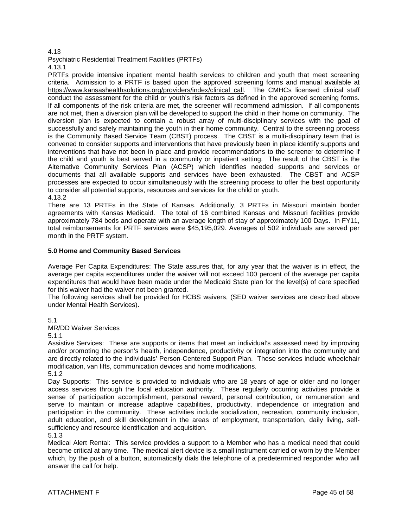### 4.13

Psychiatric Residential Treatment Facilities (PRTFs) 4.13.1

PRTFs provide intensive inpatient mental health services to children and youth that meet screening criteria. Admission to a PRTF is based upon the approved screening forms and manual available at https://www.kansashealthsolutions.org/providers/index/clinical call. The CMHCs licensed clinical staff conduct the assessment for the child or youth's risk factors as defined in the approved screening forms. If all components of the risk criteria are met, the screener will recommend admission. If all components are not met, then a diversion plan will be developed to support the child in their home on community. The diversion plan is expected to contain a robust array of multi-disciplinary services with the goal of successfully and safely maintaining the youth in their home community. Central to the screening process is the Community Based Service Team (CBST) process. The CBST is a multi-disciplinary team that is convened to consider supports and interventions that have previously been in place identify supports and interventions that have not been in place and provide recommendations to the screener to determine if the child and youth is best served in a community or inpatient setting. The result of the CBST is the Alternative Community Services Plan (ACSP) which identifies needed supports and services or documents that all available supports and services have been exhausted. The CBST and ACSP processes are expected to occur simultaneously with the screening process to offer the best opportunity to consider all potential supports, resources and services for the child or youth. 4.13.2

There are 13 PRTFs in the State of Kansas. Additionally, 3 PRTFs in Missouri maintain border agreements with Kansas Medicaid. The total of 16 combined Kansas and Missouri facilities provide approximately 784 beds and operate with an average length of stay of approximately 100 Days. In FY11, total reimbursements for PRTF services were \$45,195,029. Averages of 502 individuals are served per month in the PRTF system.

### **5.0 Home and Community Based Services**

Average Per Capita Expenditures: The State assures that, for any year that the waiver is in effect, the average per capita expenditures under the waiver will not exceed 100 percent of the average per capita expenditures that would have been made under the Medicaid State plan for the level(s) of care specified for this waiver had the waiver not been granted.

The following services shall be provided for HCBS waivers, (SED waiver services are described above under Mental Health Services).

5.1

MR/DD Waiver Services

5.1.1

Assistive Services: These are supports or items that meet an individual's assessed need by improving and/or promoting the person's health, independence, productivity or integration into the community and are directly related to the individuals' Person-Centered Support Plan. These services include wheelchair modification, van lifts, communication devices and home modifications.

5.1.2

Day Supports: This service is provided to individuals who are 18 years of age or older and no longer access services through the local education authority. These regularly occurring activities provide a sense of participation accomplishment, personal reward, personal contribution, or remuneration and serve to maintain or increase adaptive capabilities, productivity, independence or integration and participation in the community. These activities include socialization, recreation, community inclusion, adult education, and skill development in the areas of employment, transportation, daily living, selfsufficiency and resource identification and acquisition.

5.1.3

Medical Alert Rental: This service provides a support to a Member who has a medical need that could become critical at any time. The medical alert device is a small instrument carried or worn by the Member which, by the push of a button, automatically dials the telephone of a predetermined responder who will answer the call for help.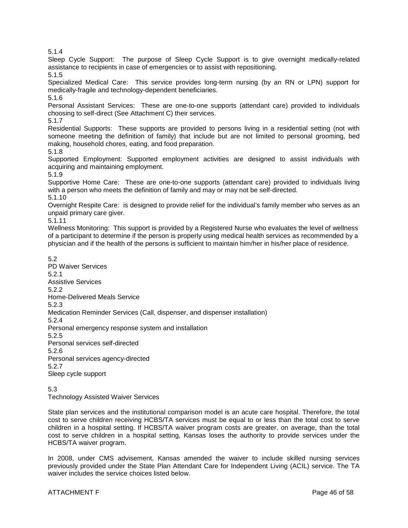5.1.4

Sleep Cycle Support: The purpose of Sleep Cycle Support is to give overnight medically-related assistance to recipients in case of emergencies or to assist with repositioning.

5.1.5

Specialized Medical Care: This service provides long-term nursing (by an RN or LPN) support for medically-fragile and technology-dependent beneficiaries.

5.1.6

Personal Assistant Services: These are one-to-one supports (attendant care) provided to individuals choosing to self-direct (See Attachment C) their services.

5.1.7

Residential Supports: These supports are provided to persons living in a residential setting (not with someone meeting the definition of family) that include but are not limited to personal grooming, bed making, household chores, eating, and food preparation.

5.1.8

Supported Employment: Supported employment activities are designed to assist individuals with acquiring and maintaining employment.

5.1.9

Supportive Home Care: These are one-to-one supports (attendant care) provided to individuals living with a person who meets the definition of family and may or may not be self-directed. 5.1.10

Overnight Respite Care: is designed to provide relief for the individual's family member who serves as an unpaid primary care giver.

5.1.11

Wellness Monitoring: This support is provided by a Registered Nurse who evaluates the level of wellness of a participant to determine if the person is properly using medical health services as recommended by a physician and if the health of the persons is sufficient to maintain him/her in his/her place of residence.

5.2 PD Waiver Services 5.2.1 Assistive Services 5.2.2 Home-Delivered Meals Service 5.2.3 Medication Reminder Services (Call, dispenser, and dispenser installation) 5.2.4 Personal emergency response system and installation 5.2.5 Personal services self-directed 5.2.6 Personal services agency-directed 5.2.7 Sleep cycle support

5.3

Technology Assisted Waiver Services

State plan services and the institutional comparison model is an acute care hospital. Therefore, the total cost to serve children receiving HCBS/TA services must be equal to or less than the total cost to serve children in a hospital setting. If HCBS/TA waiver program costs are greater, on average, than the total cost to serve children in a hospital setting, Kansas loses the authority to provide services under the HCBS/TA waiver program.

In 2008, under CMS advisement, Kansas amended the waiver to include skilled nursing services previously provided under the State Plan Attendant Care for Independent Living (ACIL) service. The TA waiver includes the service choices listed below.

# ATTACHMENT F Page 46 of 58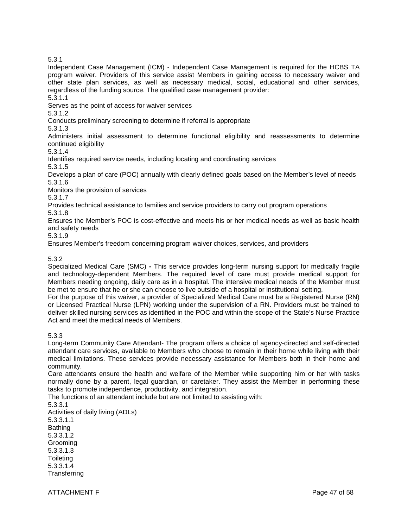5.3.1

Independent Case Management (ICM) - Independent Case Management is required for the HCBS TA program waiver. Providers of this service assist Members in gaining access to necessary waiver and other state plan services, as well as necessary medical, social, educational and other services, regardless of the funding source. The qualified case management provider:

5.3.1.1

Serves as the point of access for waiver services

5.3.1.2

Conducts preliminary screening to determine if referral is appropriate

5.3.1.3

Administers initial assessment to determine functional eligibility and reassessments to determine continued eligibility

5.3.1.4

Identifies required service needs, including locating and coordinating services

5.3.1.5

Develops a plan of care (POC) annually with clearly defined goals based on the Member's level of needs 5.3.1.6

Monitors the provision of services

5.3.1.7

Provides technical assistance to families and service providers to carry out program operations

5.3.1.8

Ensures the Member's POC is cost-effective and meets his or her medical needs as well as basic health and safety needs

5.3.1.9

Ensures Member's freedom concerning program waiver choices, services, and providers

5.3.2

Specialized Medical Care (SMC) **-** This service provides long-term nursing support for medically fragile and technology-dependent Members. The required level of care must provide medical support for Members needing ongoing, daily care as in a hospital. The intensive medical needs of the Member must be met to ensure that he or she can choose to live outside of a hospital or institutional setting.

For the purpose of this waiver, a provider of Specialized Medical Care must be a Registered Nurse (RN) or Licensed Practical Nurse (LPN) working under the supervision of a RN. Providers must be trained to deliver skilled nursing services as identified in the POC and within the scope of the State's Nurse Practice Act and meet the medical needs of Members.

5.3.3

Long-term Community Care Attendant- The program offers a choice of agency-directed and self-directed attendant care services, available to Members who choose to remain in their home while living with their medical limitations. These services provide necessary assistance for Members both in their home and community.

Care attendants ensure the health and welfare of the Member while supporting him or her with tasks normally done by a parent, legal guardian, or caretaker. They assist the Member in performing these tasks to promote independence, productivity, and integration.

The functions of an attendant include but are not limited to assisting with:

5.3.3.1

Activities of daily living (ADLs) 5.3.3.1.1 Bathing 5.3.3.1.2 Grooming 5.3.3.1.3 **Toileting** 5.3.3.1.4 **Transferring** 

ATTACHMENT F Page 47 of 58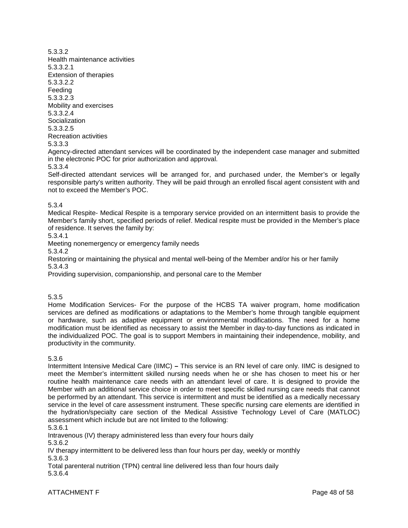5.3.3.2 Health maintenance activities 5.3.3.2.1 Extension of therapies 5.3.3.2.2 Feeding 5.3.3.2.3 Mobility and exercises 5.3.3.2.4 Socialization 5.3.3.2.5 Recreation activities 5.3.3.3

Agency-directed attendant services will be coordinated by the independent case manager and submitted in the electronic POC for prior authorization and approval. 5.3.3.4

Self-directed attendant services will be arranged for, and purchased under, the Member's or legally responsible party's written authority. They will be paid through an enrolled fiscal agent consistent with and not to exceed the Member's POC.

### 5.3.4

Medical Respite- Medical Respite is a temporary service provided on an intermittent basis to provide the Member's family short, specified periods of relief. Medical respite must be provided in the Member's place of residence. It serves the family by:

5.3.4.1

Meeting nonemergency or emergency family needs

5.3.4.2

Restoring or maintaining the physical and mental well-being of the Member and/or his or her family 5.3.4.3

Providing supervision, companionship, and personal care to the Member

### 5.3.5

Home Modification Services- For the purpose of the HCBS TA waiver program, home modification services are defined as modifications or adaptations to the Member's home through tangible equipment or hardware, such as adaptive equipment or environmental modifications. The need for a home modification must be identified as necessary to assist the Member in day-to-day functions as indicated in the individualized POC. The goal is to support Members in maintaining their independence, mobility, and productivity in the community.

5.3.6

Intermittent Intensive Medical Care (IIMC) **–** This service is an RN level of care only. IIMC is designed to meet the Member's intermittent skilled nursing needs when he or she has chosen to meet his or her routine health maintenance care needs with an attendant level of care. It is designed to provide the Member with an additional service choice in order to meet specific skilled nursing care needs that cannot be performed by an attendant. This service is intermittent and must be identified as a medically necessary service in the level of care assessment instrument. These specific nursing care elements are identified in the hydration/specialty care section of the Medical Assistive Technology Level of Care (MATLOC) assessment which include but are not limited to the following:

5.3.6.1

Intravenous (IV) therapy administered less than every four hours daily

5.3.6.2

IV therapy intermittent to be delivered less than four hours per day, weekly or monthly 5.3.6.3

Total parenteral nutrition (TPN) central line delivered less than four hours daily 5.3.6.4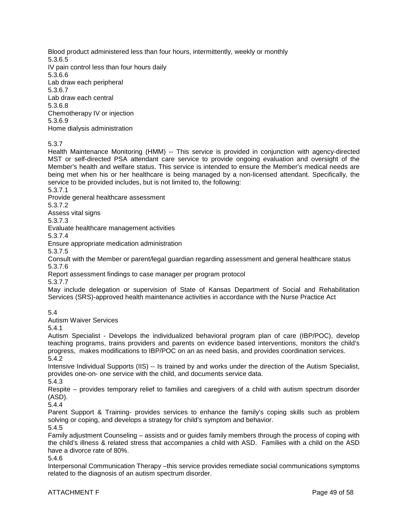Blood product administered less than four hours, intermittently, weekly or monthly 5.3.6.5 IV pain control less than four hours daily 5.3.6.6 Lab draw each peripheral 5.3.6.7 Lab draw each central 5.3.6.8 Chemotherapy IV or injection 5.3.6.9

Home dialysis administration

5.3.7

Health Maintenance Monitoring (HMM) -- This service is provided in conjunction with agency-directed MST or self-directed PSA attendant care service to provide ongoing evaluation and oversight of the Member's health and welfare status. This service is intended to ensure the Member's medical needs are being met when his or her healthcare is being managed by a non-licensed attendant. Specifically, the service to be provided includes, but is not limited to, the following:

5.3.7.1

Provide general healthcare assessment

5.3.7.2

Assess vital signs

5.3.7.3

Evaluate healthcare management activities

5.3.7.4

Ensure appropriate medication administration

5.3.7.5

Consult with the Member or parent/legal guardian regarding assessment and general healthcare status 5.3.7.6

Report assessment findings to case manager per program protocol

5.3.7.7

May include delegation or supervision of State of Kansas Department of Social and Rehabilitation Services (SRS)-approved health maintenance activities in accordance with the Nurse Practice Act

5.4

Autism Waiver Services

5.4.1

Autism Specialist - Develops the individualized behavioral program plan of care (IBP/POC), develop teaching programs, trains providers and parents on evidence based interventions, monitors the child's progress, makes modifications to IBP/POC on an as need basis, and provides coordination services. 5.4.2

Intensive Individual Supports (IIS) -- Is trained by and works under the direction of the Autism Specialist, provides one-on- one service with the child, and documents service data.

5.4.3

Respite – provides temporary relief to families and caregivers of a child with autism spectrum disorder (ASD).

5.4.4

Parent Support & Training- provides services to enhance the family's coping skills such as problem solving or coping, and develops a strategy for child's symptom and behavior.

5.4.5

Family adjustment Counseling – assists and or guides family members through the process of coping with the child's illness & related stress that accompanies a child with ASD. Families with a child on the ASD have a divorce rate of 80%.

5.4.6

Interpersonal Communication Therapy –this service provides remediate social communications symptoms related to the diagnosis of an autism spectrum disorder.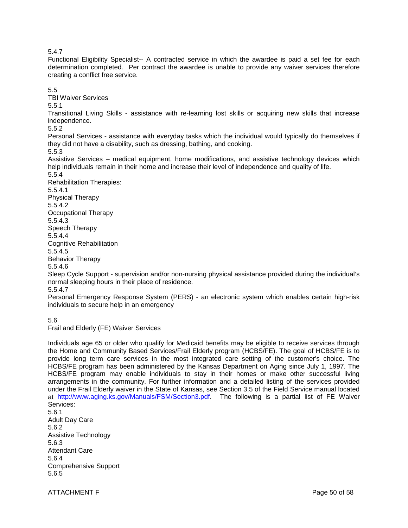### 5.4.7

Functional Eligibility Specialist-- A contracted service in which the awardee is paid a set fee for each determination completed. Per contract the awardee is unable to provide any waiver services therefore creating a conflict free service.

5.5

TBI Waiver Services

5.5.1

Transitional Living Skills - assistance with re-learning lost skills or acquiring new skills that increase independence.

5.5.2

Personal Services - assistance with everyday tasks which the individual would typically do themselves if they did not have a disability, such as dressing, bathing, and cooking.

5.5.3

Assistive Services – medical equipment, home modifications, and assistive technology devices which help individuals remain in their home and increase their level of independence and quality of life.

5.5.4 Rehabilitation Therapies:

5.5.4.1 Physical Therapy 5.5.4.2 Occupational Therapy 5.5.4.3 Speech Therapy 5.5.4.4 Cognitive Rehabilitation 5.5.4.5

Behavior Therapy

5.5.4.6

Sleep Cycle Support - supervision and/or non-nursing physical assistance provided during the individual's normal sleeping hours in their place of residence.

5.5.4.7

Personal Emergency Response System (PERS) - an electronic system which enables certain high-risk individuals to secure help in an emergency

5.6

Frail and Elderly (FE) Waiver Services

Individuals age 65 or older who qualify for Medicaid benefits may be eligible to receive services through the Home and Community Based Services/Frail Elderly program (HCBS/FE). The goal of HCBS/FE is to provide long term care services in the most integrated care setting of the customer's choice. The HCBS/FE program has been administered by the Kansas Department on Aging since July 1, 1997. The HCBS/FE program may enable individuals to stay in their homes or make other successful living arrangements in the community. For further information and a detailed listing of the services provided under the Frail Elderly waiver in the State of Kansas, see Section 3.5 of the Field Service manual located at [http://www.aging.ks.gov/Manuals/FSM/Section3.pdf.](http://www.aging.ks.gov/Manuals/FSM/Section3.pdf) The following is a partial list of FE Waiver Services: 5.6.1

Adult Day Care 5.6.2 Assistive Technology 5.6.3 Attendant Care 5.6.4 Comprehensive Support 5.6.5

ATTACHMENT F Page 50 of 58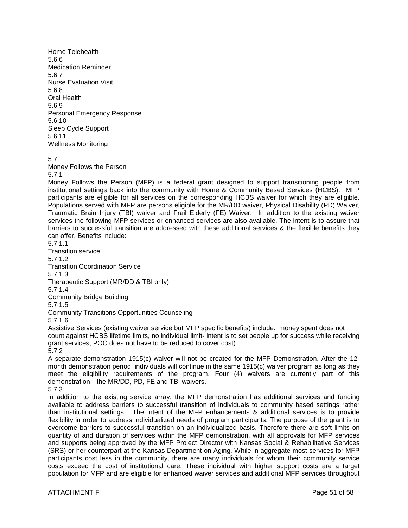Home Telehealth 5.6.6 Medication Reminder 5.6.7 Nurse Evaluation Visit 5.6.8 Oral Health 5.6.9 Personal Emergency Response 5.6.10 Sleep Cycle Support 5.6.11 Wellness Monitoring

5.7

Money Follows the Person

#### 5.7.1

Money Follows the Person (MFP) is a federal grant designed to support transitioning people from institutional settings back into the community with Home & Community Based Services (HCBS). MFP participants are eligible for all services on the corresponding HCBS waiver for which they are eligible. Populations served with MFP are persons eligible for the MR/DD waiver, Physical Disability (PD) Waiver, Traumatic Brain Injury (TBI) waiver and Frail Elderly (FE) Waiver. In addition to the existing waiver services the following MFP services or enhanced services are also available. The intent is to assure that barriers to successful transition are addressed with these additional services & the flexible benefits they can offer. Benefits include:

5.7.1.1

Transition service 5.7.1.2

Transition Coordination Service

5.7.1.3

Therapeutic Support (MR/DD & TBI only)

5.7.1.4

Community Bridge Building

5.7.1.5

Community Transitions Opportunities Counseling

5.7.1.6

Assistive Services (existing waiver service but MFP specific benefits) include: money spent does not count against HCBS lifetime limits, no individual limit- intent is to set people up for success while receiving grant services, POC does not have to be reduced to cover cost).

5.7.2

A separate demonstration 1915(c) waiver will not be created for the MFP Demonstration. After the 12 month demonstration period, individuals will continue in the same 1915(c) waiver program as long as they meet the eligibility requirements of the program. Four (4) waivers are currently part of this demonstration—the MR/DD, PD, FE and TBI waivers.

5.7.3

In addition to the existing service array, the MFP demonstration has additional services and funding available to address barriers to successful transition of individuals to community based settings rather than institutional settings. The intent of the MFP enhancements & additional services is to provide flexibility in order to address individualized needs of program participants. The purpose of the grant is to overcome barriers to successful transition on an individualized basis. Therefore there are soft limits on quantity of and duration of services within the MFP demonstration, with all approvals for MFP services and supports being approved by the MFP Project Director with Kansas Social & Rehabilitative Services (SRS) or her counterpart at the Kansas Department on Aging. While in aggregate most services for MFP participants cost less in the community, there are many individuals for whom their community service costs exceed the cost of institutional care. These individual with higher support costs are a target population for MFP and are eligible for enhanced waiver services and additional MFP services throughout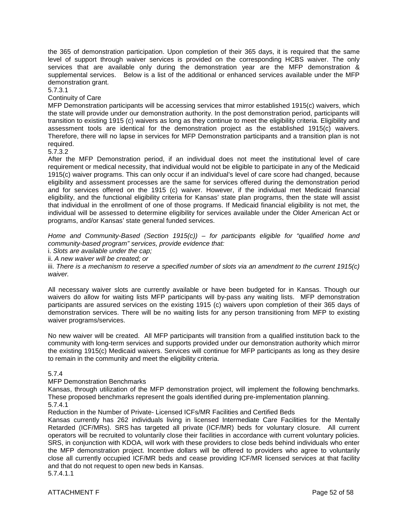the 365 of demonstration participation. Upon completion of their 365 days, it is required that the same level of support through waiver services is provided on the corresponding HCBS waiver. The only services that are available only during the demonstration year are the MFP demonstration & supplemental services. Below is a list of the additional or enhanced services available under the MFP demonstration grant.

5.7.3.1

Continuity of Care

MFP Demonstration participants will be accessing services that mirror established 1915(c) waivers, which the state will provide under our demonstration authority. In the post demonstration period, participants will transition to existing 1915 (c) waivers as long as they continue to meet the eligibility criteria. Eligibility and assessment tools are identical for the demonstration project as the established 1915(c) waivers. Therefore, there will no lapse in services for MFP Demonstration participants and a transition plan is not required.

5.7.3.2

After the MFP Demonstration period, if an individual does not meet the institutional level of care requirement or medical necessity, that individual would not be eligible to participate in any of the Medicaid 1915(c) waiver programs. This can only occur if an individual's level of care score had changed, because eligibility and assessment processes are the same for services offered during the demonstration period and for services offered on the 1915 (c) waiver. However, if the individual met Medicaid financial eligibility, and the functional eligibility criteria for Kansas' state plan programs, then the state will assist that individual in the enrollment of one of those programs. If Medicaid financial eligibility is not met, the individual will be assessed to determine eligibility for services available under the Older American Act or programs, and/or Kansas' state general funded services.

*Home and Community-Based (Section 1915(c)) – for participants eligible for "qualified home and community-based program" services, provide evidence that:*

i. *Slots are available under the cap;*

ii. *A new waiver will be created; or*

iii. *There is a mechanism to reserve a specified number of slots via an amendment to the current 1915(c) waiver.*

All necessary waiver slots are currently available or have been budgeted for in Kansas. Though our waivers do allow for waiting lists MFP participants will by-pass any waiting lists. MFP demonstration participants are assured services on the existing 1915 (c) waivers upon completion of their 365 days of demonstration services. There will be no waiting lists for any person transitioning from MFP to existing waiver programs/services.

No new waiver will be created. All MFP participants will transition from a qualified institution back to the community with long-term services and supports provided under our demonstration authority which mirror the existing 1915(c) Medicaid waivers. Services will continue for MFP participants as long as they desire to remain in the community and meet the eligibility criteria.

### 5.7.4

### MFP Demonstration Benchmarks

Kansas, through utilization of the MFP demonstration project, will implement the following benchmarks. These proposed benchmarks represent the goals identified during pre-implementation planning.

5.7.4.1

Reduction in the Number of Private- Licensed ICFs/MR Facilities and Certified Beds

Kansas currently has 262 individuals living in licensed Intermediate Care Facilities for the Mentally Retarded (ICF/MRs). SRS has targeted all private (ICF/MR) beds for voluntary closure. All current operators will be recruited to voluntarily close their facilities in accordance with current voluntary policies. SRS, in conjunction with KDOA, will work with these providers to close beds behind individuals who enter the MFP demonstration project. Incentive dollars will be offered to providers who agree to voluntarily close all currently occupied ICF/MR beds and cease providing ICF/MR licensed services at that facility and that do not request to open new beds in Kansas. 5.7.4.1.1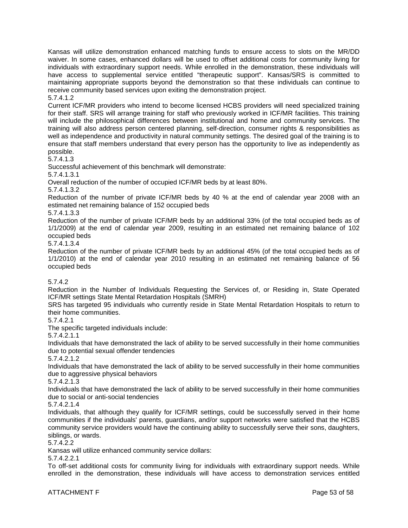Kansas will utilize demonstration enhanced matching funds to ensure access to slots on the MR/DD waiver. In some cases, enhanced dollars will be used to offset additional costs for community living for individuals with extraordinary support needs. While enrolled in the demonstration, these individuals will have access to supplemental service entitled "therapeutic support". Kansas/SRS is committed to maintaining appropriate supports beyond the demonstration so that these individuals can continue to receive community based services upon exiting the demonstration project.

5.7.4.1.2

Current ICF/MR providers who intend to become licensed HCBS providers will need specialized training for their staff. SRS will arrange training for staff who previously worked in ICF/MR facilities. This training will include the philosophical differences between institutional and home and community services. The training will also address person centered planning, self-direction, consumer rights & responsibilities as well as independence and productivity in natural community settings. The desired goal of the training is to ensure that staff members understand that every person has the opportunity to live as independently as possible.

5.7.4.1.3

Successful achievement of this benchmark will demonstrate:

5.7.4.1.3.1

Overall reduction of the number of occupied ICF/MR beds by at least 80%.

5.7.4.1.3.2

Reduction of the number of private ICF/MR beds by 40 % at the end of calendar year 2008 with an estimated net remaining balance of 152 occupied beds

5.7.4.1.3.3

Reduction of the number of private ICF/MR beds by an additional 33% (of the total occupied beds as of 1/1/2009) at the end of calendar year 2009, resulting in an estimated net remaining balance of 102 occupied beds

5.7.4.1.3.4

Reduction of the number of private ICF/MR beds by an additional 45% (of the total occupied beds as of 1/1/2010) at the end of calendar year 2010 resulting in an estimated net remaining balance of 56 occupied beds

# 5.7.4.2

Reduction in the Number of Individuals Requesting the Services of, or Residing in, State Operated ICF/MR settings State Mental Retardation Hospitals (SMRH)

SRS has targeted 95 individuals who currently reside in State Mental Retardation Hospitals to return to their home communities.

### 5.7.4.2.1

The specific targeted individuals include:

5.7.4.2.1.1

Individuals that have demonstrated the lack of ability to be served successfully in their home communities due to potential sexual offender tendencies

5.7.4.2.1.2

Individuals that have demonstrated the lack of ability to be served successfully in their home communities due to aggressive physical behaviors

5.7.4.2.1.3

Individuals that have demonstrated the lack of ability to be served successfully in their home communities due to social or anti-social tendencies

5.7.4.2.1.4

Individuals, that although they qualify for ICF/MR settings, could be successfully served in their home communities if the individuals' parents, guardians, and/or support networks were satisfied that the HCBS community service providers would have the continuing ability to successfully serve their sons, daughters, siblings, or wards.

5.7.4.2.2

Kansas will utilize enhanced community service dollars:

5.7.4.2.2.1

To off-set additional costs for community living for individuals with extraordinary support needs. While enrolled in the demonstration, these individuals will have access to demonstration services entitled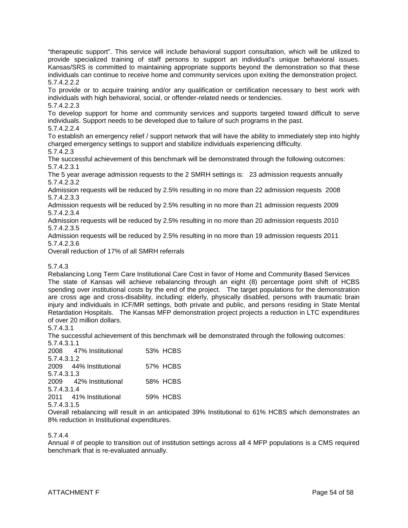"therapeutic support". This service will include behavioral support consultation, which will be utilized to provide specialized training of staff persons to support an individual's unique behavioral issues. Kansas/SRS is committed to maintaining appropriate supports beyond the demonstration so that these individuals can continue to receive home and community services upon exiting the demonstration project. 5.7.4.2.2.2

To provide or to acquire training and/or any qualification or certification necessary to best work with individuals with high behavioral, social, or offender-related needs or tendencies.

5.7.4.2.2.3

To develop support for home and community services and supports targeted toward difficult to serve individuals. Support needs to be developed due to failure of such programs in the past.

# 5.7.4.2.2.4

To establish an emergency relief / support network that will have the ability to immediately step into highly charged emergency settings to support and stabilize individuals experiencing difficulty.

5.7.4.2.3

The successful achievement of this benchmark will be demonstrated through the following outcomes: 5.7.4.2.3.1

The 5 year average admission requests to the 2 SMRH settings is: 23 admission requests annually 5.7.4.2.3.2

Admission requests will be reduced by 2.5% resulting in no more than 22 admission requests 2008 5.7.4.2.3.3

Admission requests will be reduced by 2.5% resulting in no more than 21 admission requests 2009 5.7.4.2.3.4

Admission requests will be reduced by 2.5% resulting in no more than 20 admission requests 2010 5.7.4.2.3.5

Admission requests will be reduced by 2.5% resulting in no more than 19 admission requests 2011 5.7.4.2.3.6

Overall reduction of 17% of all SMRH referrals

# 5.7.4.3

Rebalancing Long Term Care Institutional Care Cost in favor of Home and Community Based Services The state of Kansas will achieve rebalancing through an eight (8) percentage point shift of HCBS spending over institutional costs by the end of the project. The target populations for the demonstration are cross age and cross-disability, including: elderly, physically disabled, persons with traumatic brain injury and individuals in ICF/MR settings, both private and public, and persons residing in State Mental Retardation Hospitals. The Kansas MFP demonstration project projects a reduction in LTC expenditures of over 20 million dollars.

### 5.7.4.3.1

The successful achievement of this benchmark will be demonstrated through the following outcomes: 5.7.4.3.1.1

|             | 2008 47% Institutional | 53% HCBS |
|-------------|------------------------|----------|
| 5.7.4.3.1.2 |                        |          |
|             | 2009 44% Institutional | 57% HCBS |
| 5.7.4.3.1.3 |                        |          |
|             | 2009 42% Institutional | 58% HCBS |
| 5.7.4.3.1.4 |                        |          |
|             | 2011 41% Institutional | 59% HCBS |
| 5.7.4.3.1.5 |                        |          |
|             |                        |          |

Overall rebalancing will result in an anticipated 39% Institutional to 61% HCBS which demonstrates an 8% reduction in Institutional expenditures.

# 5.7.4.4

Annual # of people to transition out of institution settings across all 4 MFP populations is a CMS required benchmark that is re-evaluated annually.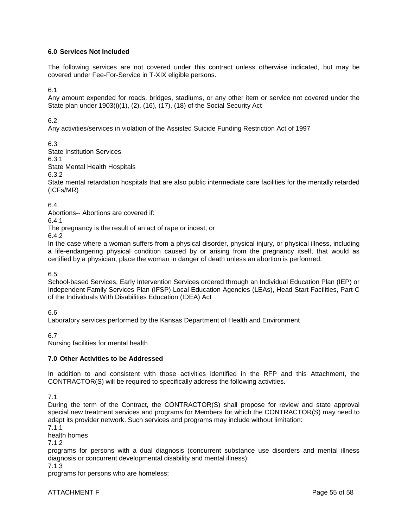# **6.0 Services Not Included**

The following services are not covered under this contract unless otherwise indicated, but may be covered under Fee-For-Service in T-XIX eligible persons.

6.1

Any amount expended for roads, bridges, stadiums, or any other item or service not covered under the State plan under 1903(i)(1), (2), (16), (17), (18) of the Social Security Act

6.2

Any activities/services in violation of the Assisted Suicide Funding Restriction Act of 1997

6.3

State Institution Services

6.3.1

State Mental Health Hospitals

6.3.2

State mental retardation hospitals that are also public intermediate care facilities for the mentally retarded (ICFs/MR)

### 6.4

Abortions-- Abortions are covered if:

6.4.1

The pregnancy is the result of an act of rape or incest; or

6.4.2

In the case where a woman suffers from a physical disorder, physical injury, or physical illness, including a life-endangering physical condition caused by or arising from the pregnancy itself, that would as certified by a physician, place the woman in danger of death unless an abortion is performed.

6.5

School-based Services, Early Intervention Services ordered through an Individual Education Plan (IEP) or Independent Family Services Plan (IFSP) Local Education Agencies (LEAs), Head Start Facilities, Part C of the Individuals With Disabilities Education (IDEA) Act

6.6

Laboratory services performed by the Kansas Department of Health and Environment

6.7

Nursing facilities for mental health

### **7.0 Other Activities to be Addressed**

In addition to and consistent with those activities identified in the RFP and this Attachment, the CONTRACTOR(S) will be required to specifically address the following activities.

7.1

During the term of the Contract, the CONTRACTOR(S) shall propose for review and state approval special new treatment services and programs for Members for which the CONTRACTOR(S) may need to adapt its provider network. Such services and programs may include without limitation:

7.1.1

health homes

7.1.2

programs for persons with a dual diagnosis (concurrent substance use disorders and mental illness diagnosis or concurrent developmental disability and mental illness);

7.1.3

programs for persons who are homeless;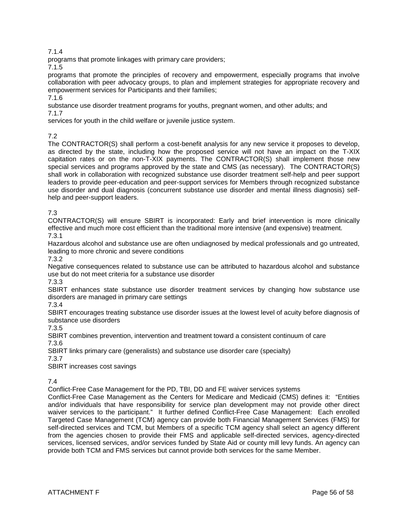# 7.1.4

programs that promote linkages with primary care providers;

7.1.5

programs that promote the principles of recovery and empowerment, especially programs that involve collaboration with peer advocacy groups, to plan and implement strategies for appropriate recovery and empowerment services for Participants and their families;

### 7.1.6

substance use disorder treatment programs for youths, pregnant women, and other adults; and 7.1.7

services for youth in the child welfare or juvenile justice system.

# 7.2

The CONTRACTOR(S) shall perform a cost-benefit analysis for any new service it proposes to develop, as directed by the state, including how the proposed service will not have an impact on the T-XIX capitation rates or on the non-T-XIX payments. The CONTRACTOR(S) shall implement those new special services and programs approved by the state and CMS (as necessary). The CONTRACTOR(S) shall work in collaboration with recognized substance use disorder treatment self-help and peer support leaders to provide peer-education and peer-support services for Members through recognized substance use disorder and dual diagnosis (concurrent substance use disorder and mental illness diagnosis) selfhelp and peer-support leaders.

# 7.3

CONTRACTOR(S) will ensure SBIRT is incorporated: Early and brief intervention is more clinically effective and much more cost efficient than the traditional more intensive (and expensive) treatment. 7.3.1

Hazardous alcohol and substance use are often undiagnosed by medical professionals and go untreated, leading to more chronic and severe conditions

7.3.2

Negative consequences related to substance use can be attributed to hazardous alcohol and substance use but do not meet criteria for a substance use disorder

7.3.3

SBIRT enhances state substance use disorder treatment services by changing how substance use disorders are managed in primary care settings

7.3.4

SBIRT encourages treating substance use disorder issues at the lowest level of acuity before diagnosis of substance use disorders

7.3.5

SBIRT combines prevention, intervention and treatment toward a consistent continuum of care 7.3.6

SBIRT links primary care (generalists) and substance use disorder care (specialty)

7.3.7

SBIRT increases cost savings

7.4

Conflict-Free Case Management for the PD, TBI, DD and FE waiver services systems

Conflict-Free Case Management as the Centers for Medicare and Medicaid (CMS) defines it: "Entities and/or individuals that have responsibility for service plan development may not provide other direct waiver services to the participant." It further defined Conflict-Free Case Management: Each enrolled Targeted Case Management (TCM) agency can provide both Financial Management Services (FMS) for self-directed services and TCM, but Members of a specific TCM agency shall select an agency different from the agencies chosen to provide their FMS and applicable self-directed services, agency-directed services, licensed services, and/or services funded by State Aid or county mill levy funds. An agency can provide both TCM and FMS services but cannot provide both services for the same Member.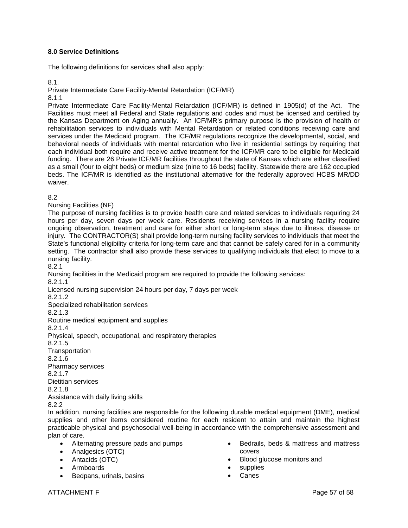## **8.0 Service Definitions**

The following definitions for services shall also apply:

8.1.

Private Intermediate Care Facility-Mental Retardation (ICF/MR)

8.1.1

Private Intermediate Care Facility-Mental Retardation (ICF/MR) is defined in 1905(d) of the Act. The Facilities must meet all Federal and State regulations and codes and must be licensed and certified by the Kansas Department on Aging annually. An ICF/MR's primary purpose is the provision of health or rehabilitation services to individuals with Mental Retardation or related conditions receiving care and services under the Medicaid program. The ICF/MR regulations recognize the developmental, social, and behavioral needs of individuals with mental retardation who live in residential settings by requiring that each individual both require and receive active treatment for the ICF/MR care to be eligible for Medicaid funding. There are 26 Private ICF/MR facilities throughout the state of Kansas which are either classified as a small (four to eight beds) or medium size (nine to 16 beds) facility. Statewide there are 162 occupied beds. The ICF/MR is identified as the institutional alternative for the federally approved HCBS MR/DD waiver.

### 8.2

Nursing Facilities (NF)

The purpose of nursing facilities is to provide health care and related services to individuals requiring 24 hours per day, seven days per week care. Residents receiving services in a nursing facility require ongoing observation, treatment and care for either short or long-term stays due to illness, disease or injury. The CONTRACTOR(S) shall provide long-term nursing facility services to individuals that meet the State's functional eligibility criteria for long-term care and that cannot be safely cared for in a community setting. The contractor shall also provide these services to qualifying individuals that elect to move to a nursing facility.

8.2.1

Nursing facilities in the Medicaid program are required to provide the following services:

8.2.1.1

Licensed nursing supervision 24 hours per day, 7 days per week

8.2.1.2

Specialized rehabilitation services

8.2.1.3

Routine medical equipment and supplies

8.2.1.4

Physical, speech, occupational, and respiratory therapies

8.2.1.5

**Transportation** 

8.2.1.6

Pharmacy services

8.2.1.7

Dietitian services 8.2.1.8

Assistance with daily living skills

8.2.2

In addition, nursing facilities are responsible for the following durable medical equipment (DME), medical supplies and other items considered routine for each resident to attain and maintain the highest practicable physical and psychosocial well-being in accordance with the comprehensive assessment and plan of care.

- Alternating pressure pads and pumps
- Analgesics (OTC)
- Antacids (OTC)
- Armboards
- Bedpans, urinals, basins
- Bedrails, beds & mattress and mattress covers
- Blood glucose monitors and
- supplies
- Canes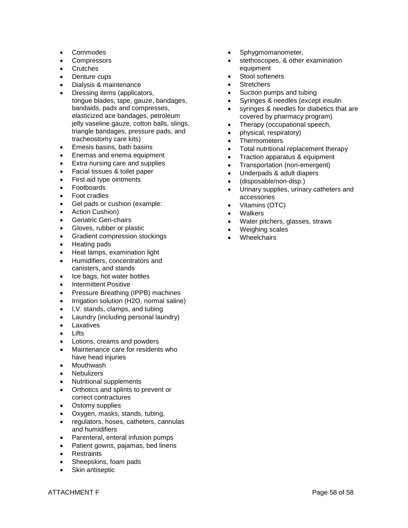- Commodes
- Compressors
- **Crutches**
- Denture cups
- Dialysis & maintenance
- Dressing items (applicators, tongue blades, tape, gauze, bandages, bandaids, pads and compresses, elasticized ace bandages, petroleum jelly vaseline gauze, cotton balls, slings, triangle bandages, pressure pads, and tracheostomy care kits)
- Emesis basins, bath basins
- Enemas and enema equipment
- Extra nursing care and supplies
- Facial tissues & toilet paper
- First aid type ointments
- Footboards
- Foot cradles
- Gel pads or cushion (example:
- Action Cushion)
- Geriatric Geri-chairs
- Gloves, rubber or plastic
- Gradient compression stockings
- Heating pads
- Heat lamps, examination light
- Humidifiers, concentrators and canisters, and stands
- Ice bags, hot water bottles
- Intermittent Positive
- Pressure Breathing (IPPB) machines
- Irrigation solution (H2O, normal saline)
- I.V. stands, clamps, and tubing
- Laundry (including personal laundry)
- Laxatives
- Lifts
- Lotions, creams and powders
- Maintenance care for residents who have head injuries
- Mouthwash
- **Nebulizers**
- Nutritional supplements
- Orthotics and splints to prevent or correct contractures
- Ostomy supplies
- Oxygen, masks, stands, tubing,
- regulators, hoses, catheters, cannulas and humidifiers
- Parenteral, enteral infusion pumps
- Patient gowns, pajamas, bed linens
- Restraints
- Sheepskins, foam pads
- Skin antiseptic
- Sphygmomanometer,
- stethoscopes, & other examination equipment
- Stool softeners
- **Stretchers**
- Suction pumps and tubing
- Syringes & needles (except insulin
- syringes & needles for diabetics that are covered by pharmacy program)
- Therapy (occupational speech,
- physical, respiratory)
- Thermometers
- Total nutritional replacement therapy
- Traction apparatus & equipment
- Transportation (non-emergent)
- Underpads & adult diapers
- (disposable/non-disp.)
- Urinary supplies, urinary catheters and accessories
- Vitamins (OTC)
- **Walkers**
- Water pitchers, glasses, straws
- Weighing scales
- **Wheelchairs**